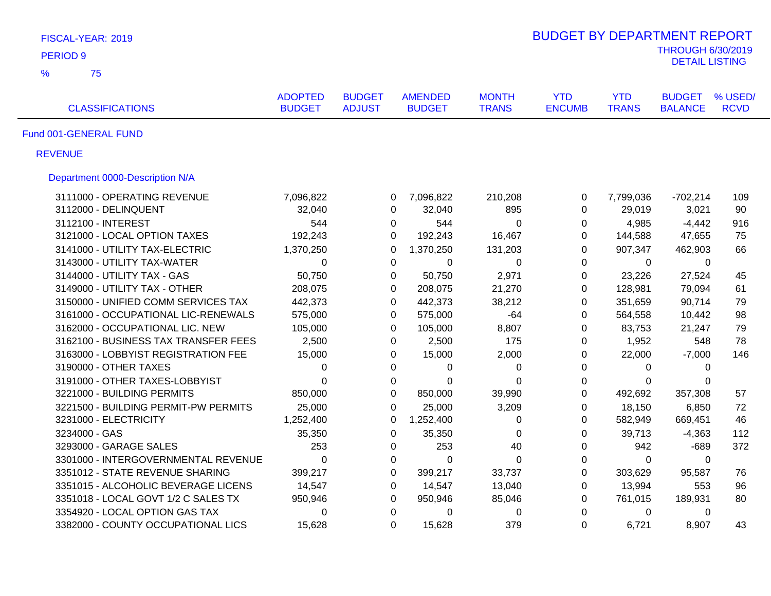| FISCAL-YEAR: 2019                    |                                 |                                |                                 |                              | <b>BUDGET BY DEPARTMENT REPORT</b> |                            |                                 |                        |
|--------------------------------------|---------------------------------|--------------------------------|---------------------------------|------------------------------|------------------------------------|----------------------------|---------------------------------|------------------------|
| <b>PERIOD 9</b>                      |                                 |                                |                                 |                              |                                    |                            | <b>THROUGH 6/30/2019</b>        |                        |
| $\frac{9}{6}$<br>75                  |                                 |                                |                                 |                              |                                    |                            | <b>DETAIL LISTING</b>           |                        |
| <b>CLASSIFICATIONS</b>               | <b>ADOPTED</b><br><b>BUDGET</b> | <b>BUDGET</b><br><b>ADJUST</b> | <b>AMENDED</b><br><b>BUDGET</b> | <b>MONTH</b><br><b>TRANS</b> | <b>YTD</b><br><b>ENCUMB</b>        | <b>YTD</b><br><b>TRANS</b> | <b>BUDGET</b><br><b>BALANCE</b> | % USED/<br><b>RCVD</b> |
| Fund 001-GENERAL FUND                |                                 |                                |                                 |                              |                                    |                            |                                 |                        |
| <b>REVENUE</b>                       |                                 |                                |                                 |                              |                                    |                            |                                 |                        |
| Department 0000-Description N/A      |                                 |                                |                                 |                              |                                    |                            |                                 |                        |
| 3111000 - OPERATING REVENUE          | 7,096,822                       | 0                              | 7,096,822                       | 210,208                      | $\mathbf 0$                        | 7,799,036                  | $-702,214$                      | 109                    |
| 3112000 - DELINQUENT                 | 32,040                          | 0                              | 32,040                          | 895                          | $\mathbf 0$                        | 29,019                     | 3,021                           | 90                     |
| 3112100 - INTEREST                   | 544                             | 0                              | 544                             | $\mathbf 0$                  | 0                                  | 4,985                      | $-4,442$                        | 916                    |
| 3121000 - LOCAL OPTION TAXES         | 192,243                         | $\Omega$                       | 192,243                         | 16,467                       | 0                                  | 144,588                    | 47,655                          | 75                     |
| 3141000 - UTILITY TAX-ELECTRIC       | 1,370,250                       | 0                              | 1,370,250                       | 131,203                      | $\mathbf 0$                        | 907,347                    | 462,903                         | 66                     |
| 3143000 - UTILITY TAX-WATER          | 0                               | $\mathbf{0}$                   | $\Omega$                        | 0                            | $\Omega$                           | $\mathbf{0}$               | $\Omega$                        |                        |
| 3144000 - UTILITY TAX - GAS          | 50,750                          | 0                              | 50,750                          | 2,971                        | $\mathbf 0$                        | 23,226                     | 27,524                          | 45                     |
| 3149000 - UTILITY TAX - OTHER        | 208,075                         | 0                              | 208,075                         | 21,270                       | 0                                  | 128,981                    | 79,094                          | 61                     |
| 3150000 - UNIFIED COMM SERVICES TAX  | 442,373                         | $\mathbf 0$                    | 442,373                         | 38,212                       | $\mathbf 0$                        | 351,659                    | 90,714                          | 79                     |
| 3161000 - OCCUPATIONAL LIC-RENEWALS  | 575,000                         | $\Omega$                       | 575,000                         | $-64$                        | $\Omega$                           | 564,558                    | 10,442                          | 98                     |
| 3162000 - OCCUPATIONAL LIC. NEW      | 105,000                         | $\Omega$                       | 105,000                         | 8,807                        | $\Omega$                           | 83,753                     | 21,247                          | 79                     |
| 3162100 - BUSINESS TAX TRANSFER FEES | 2,500                           | 0                              | 2,500                           | 175                          | 0                                  | 1,952                      | 548                             | 78                     |
| 3163000 - LOBBYIST REGISTRATION FEE  | 15,000                          | $\Omega$                       | 15,000                          | 2,000                        | 0                                  | 22,000                     | $-7,000$                        | 146                    |
| 3190000 - OTHER TAXES                | 0                               | 0                              | 0                               | 0                            | 0                                  | 0                          | $\Omega$                        |                        |
| 3191000 - OTHER TAXES-LOBBYIST       | $\Omega$                        | $\mathbf{0}$                   | 0                               | $\Omega$                     | 0                                  | 0                          | 0                               |                        |
| 3221000 - BUILDING PERMITS           | 850,000                         | 0                              | 850,000                         | 39,990                       | $\mathbf 0$                        | 492,692                    | 357,308                         | 57                     |
| 3221500 - BUILDING PERMIT-PW PERMITS | 25,000                          | $\mathbf{0}$                   | 25,000                          | 3,209                        | $\mathbf{0}$                       | 18,150                     | 6,850                           | 72                     |
| 3231000 - ELECTRICITY                | 1,252,400                       | 0                              | 1,252,400                       | 0                            | 0                                  | 582,949                    | 669,451                         | 46                     |
| 3234000 - GAS                        | 35,350                          | 0                              | 35,350                          | $\mathbf 0$                  | 0                                  | 39,713                     | $-4,363$                        | 112                    |
| 3293000 - GARAGE SALES               | 253                             | 0                              | 253                             | 40                           | $\boldsymbol{0}$                   | 942                        | $-689$                          | 372                    |
| 3301000 - INTERGOVERNMENTAL REVENUE  | 0                               | 0                              | $\mathbf 0$                     | $\mathbf 0$                  | $\mathbf 0$                        | 0                          | 0                               |                        |
| 3351012 - STATE REVENUE SHARING      | 399,217                         | 0                              | 399,217                         | 33,737                       | 0                                  | 303,629                    | 95,587                          | 76                     |
| 3351015 - ALCOHOLIC BEVERAGE LICENS  | 14,547                          | $\mathbf 0$                    | 14,547                          | 13,040                       | $\mathbf 0$                        | 13,994                     | 553                             | 96                     |
| 3351018 - LOCAL GOVT 1/2 C SALES TX  | 950,946                         | 0                              | 950,946                         | 85,046                       | 0                                  | 761,015                    | 189,931                         | 80                     |
| 3354920 - LOCAL OPTION GAS TAX       | 0                               | $\mathbf 0$                    | 0                               | $\mathbf 0$                  | $\mathbf 0$                        | 0                          | 0                               |                        |
| 3382000 - COUNTY OCCUPATIONAL LICS   | 15,628                          | $\Omega$                       | 15,628                          | 379                          | $\Omega$                           | 6,721                      | 8,907                           | 43                     |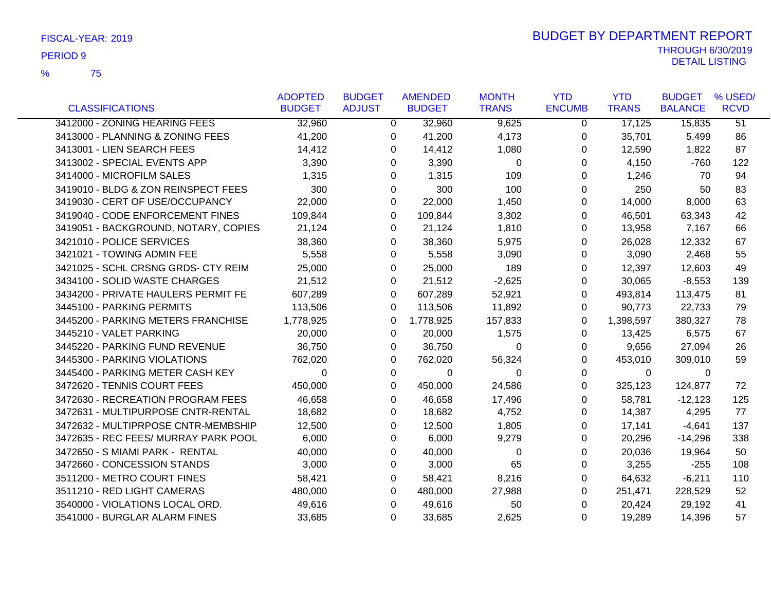|                                      | <b>ADOPTED</b> | <b>BUDGET</b>  | <b>AMENDED</b> | <b>MONTH</b> | <b>YTD</b>    | <b>YTD</b>   | <b>BUDGET</b>  | % USED/         |
|--------------------------------------|----------------|----------------|----------------|--------------|---------------|--------------|----------------|-----------------|
| <b>CLASSIFICATIONS</b>               | <b>BUDGET</b>  | <b>ADJUST</b>  | <b>BUDGET</b>  | <b>TRANS</b> | <b>ENCUMB</b> | <b>TRANS</b> | <b>BALANCE</b> | <b>RCVD</b>     |
| 3412000 - ZONING HEARING FEES        | 32,960         | $\overline{0}$ | 32,960         | 9,625        | $\Omega$      | 17,125       | 15,835         | $\overline{51}$ |
| 3413000 - PLANNING & ZONING FEES     | 41,200         | 0              | 41,200         | 4,173        | 0             | 35,701       | 5,499          | 86              |
| 3413001 - LIEN SEARCH FEES           | 14,412         | 0              | 14,412         | 1,080        | 0             | 12,590       | 1,822          | 87              |
| 3413002 - SPECIAL EVENTS APP         | 3,390          | 0              | 3,390          | $\Omega$     | 0             | 4,150        | $-760$         | 122             |
| 3414000 - MICROFILM SALES            | 1,315          | 0              | 1,315          | 109          | 0             | 1,246        | 70             | 94              |
| 3419010 - BLDG & ZON REINSPECT FEES  | 300            | 0              | 300            | 100          | 0             | 250          | 50             | 83              |
| 3419030 - CERT OF USE/OCCUPANCY      | 22,000         | 0              | 22,000         | 1,450        | 0             | 14,000       | 8,000          | 63              |
| 3419040 - CODE ENFORCEMENT FINES     | 109,844        | 0              | 109,844        | 3,302        | 0             | 46,501       | 63,343         | 42              |
| 3419051 - BACKGROUND, NOTARY, COPIES | 21,124         | 0              | 21,124         | 1,810        | 0             | 13,958       | 7,167          | 66              |
| 3421010 - POLICE SERVICES            | 38,360         | 0              | 38,360         | 5,975        | $\Omega$      | 26,028       | 12,332         | 67              |
| 3421021 - TOWING ADMIN FEE           | 5,558          | 0              | 5,558          | 3,090        | 0             | 3,090        | 2,468          | 55              |
| 3421025 - SCHL CRSNG GRDS- CTY REIM  | 25,000         | 0              | 25,000         | 189          | 0             | 12,397       | 12,603         | 49              |
| 3434100 - SOLID WASTE CHARGES        | 21,512         | 0              | 21,512         | $-2,625$     | 0             | 30,065       | $-8,553$       | 139             |
| 3434200 - PRIVATE HAULERS PERMIT FE  | 607,289        | 0              | 607,289        | 52,921       | 0             | 493,814      | 113,475        | 81              |
| 3445100 - PARKING PERMITS            | 113,506        | 0              | 113,506        | 11,892       | 0             | 90,773       | 22,733         | 79              |
| 3445200 - PARKING METERS FRANCHISE   | 1,778,925      | 0              | 1,778,925      | 157,833      | 0             | 1,398,597    | 380,327        | 78              |
| 3445210 - VALET PARKING              | 20,000         | 0              | 20,000         | 1,575        | 0             | 13,425       | 6,575          | 67              |
| 3445220 - PARKING FUND REVENUE       | 36,750         | 0              | 36,750         | $\Omega$     | 0             | 9,656        | 27,094         | 26              |
| 3445300 - PARKING VIOLATIONS         | 762,020        | 0              | 762,020        | 56,324       | 0             | 453,010      | 309,010        | 59              |
| 3445400 - PARKING METER CASH KEY     | 0              | 0              | $\mathbf 0$    | 0            | 0             | $\mathbf 0$  | $\mathbf 0$    |                 |
| 3472620 - TENNIS COURT FEES          | 450,000        | 0              | 450,000        | 24,586       | $\Omega$      | 325,123      | 124,877        | 72              |
| 3472630 - RECREATION PROGRAM FEES    | 46,658         | 0              | 46,658         | 17,496       | 0             | 58,781       | $-12,123$      | 125             |
| 3472631 - MULTIPURPOSE CNTR-RENTAL   | 18,682         | 0              | 18,682         | 4,752        | 0             | 14,387       | 4,295          | 77              |
| 3472632 - MULTIPRPOSE CNTR-MEMBSHIP  | 12,500         | 0              | 12,500         | 1,805        | 0             | 17,141       | $-4,641$       | 137             |
| 3472635 - REC FEES/ MURRAY PARK POOL | 6,000          | 0              | 6,000          | 9,279        | 0             | 20,296       | -14,296        | 338             |
| 3472650 - S MIAMI PARK - RENTAL      | 40,000         | 0              | 40,000         | $\Omega$     | 0             | 20,036       | 19,964         | 50              |
| 3472660 - CONCESSION STANDS          | 3,000          | 0              | 3,000          | 65           | 0             | 3,255        | $-255$         | 108             |
| 3511200 - METRO COURT FINES          | 58,421         | 0              | 58,421         | 8,216        | 0             | 64,632       | $-6,211$       | 110             |
| 3511210 - RED LIGHT CAMERAS          | 480,000        | 0              | 480,000        | 27,988       | 0             | 251,471      | 228,529        | 52              |
| 3540000 - VIOLATIONS LOCAL ORD.      | 49,616         | 0              | 49,616         | 50           | $\Omega$      | 20,424       | 29,192         | 41              |
| 3541000 - BURGLAR ALARM FINES        | 33,685         | 0              | 33,685         | 2,625        | $\Omega$      | 19,289       | 14,396         | 57              |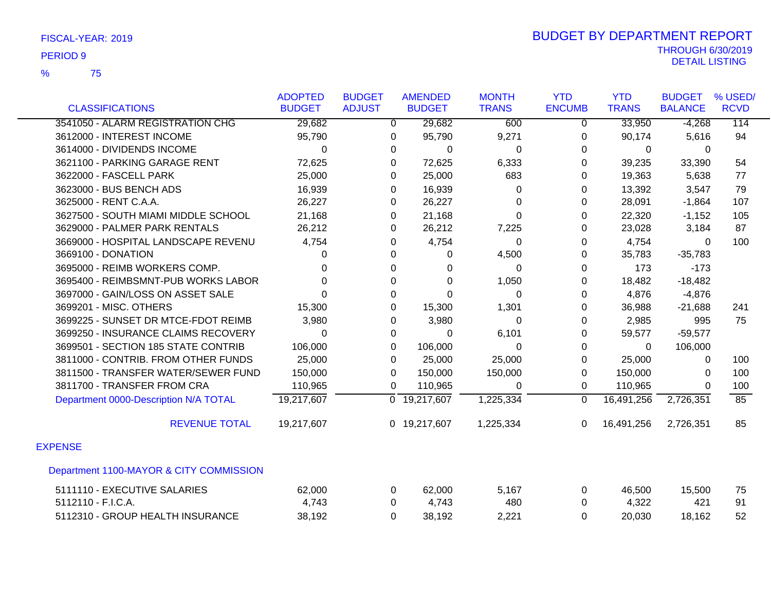|                                         | <b>ADOPTED</b> | <b>BUDGET</b>  | <b>AMENDED</b>            | <b>MONTH</b> | <b>YTD</b>     | <b>YTD</b>   | <b>BUDGET</b>  | % USED/     |
|-----------------------------------------|----------------|----------------|---------------------------|--------------|----------------|--------------|----------------|-------------|
| <b>CLASSIFICATIONS</b>                  | <b>BUDGET</b>  | <b>ADJUST</b>  | <b>BUDGET</b>             | <b>TRANS</b> | <b>ENCUMB</b>  | <b>TRANS</b> | <b>BALANCE</b> | <b>RCVD</b> |
| 3541050 - ALARM REGISTRATION CHG        | 29,682         | $\overline{0}$ | 29,682                    | 600          | $\overline{0}$ | 33,950       | $-4,268$       | 114         |
| 3612000 - INTEREST INCOME               | 95,790         | 0              | 95,790                    | 9,271        | 0              | 90,174       | 5,616          | 94          |
| 3614000 - DIVIDENDS INCOME              | $\Omega$       | 0              | $\Omega$                  | 0            | $\Omega$       | 0            | 0              |             |
| 3621100 - PARKING GARAGE RENT           | 72,625         | 0              | 72,625                    | 6,333        | 0              | 39,235       | 33,390         | 54          |
| 3622000 - FASCELL PARK                  | 25,000         | 0              | 25,000                    | 683          | 0              | 19,363       | 5,638          | 77          |
| 3623000 - BUS BENCH ADS                 | 16,939         | 0              | 16,939                    | 0            | $\Omega$       | 13,392       | 3,547          | 79          |
| 3625000 - RENT C.A.A.                   | 26,227         | 0              | 26,227                    | 0            | $\Omega$       | 28,091       | $-1,864$       | 107         |
| 3627500 - SOUTH MIAMI MIDDLE SCHOOL     | 21,168         | 0              | 21,168                    | 0            | 0              | 22,320       | $-1,152$       | 105         |
| 3629000 - PALMER PARK RENTALS           | 26,212         | 0              | 26,212                    | 7,225        | 0              | 23,028       | 3,184          | 87          |
| 3669000 - HOSPITAL LANDSCAPE REVENU     | 4,754          | 0              | 4,754                     | 0            | $\Omega$       | 4,754        | $\Omega$       | 100         |
| 3669100 - DONATION                      | $\Omega$       | 0              | 0                         | 4,500        | 0              | 35,783       | $-35,783$      |             |
| 3695000 - REIMB WORKERS COMP.           | $\Omega$       | 0              | 0                         | $\Omega$     | 0              | 173          | $-173$         |             |
| 3695400 - REIMBSMNT-PUB WORKS LABOR     | $\Omega$       | 0              | $\Omega$                  | 1,050        | 0              | 18,482       | $-18,482$      |             |
| 3697000 - GAIN/LOSS ON ASSET SALE       | $\Omega$       | $\Omega$       | $\Omega$                  | 0            | $\Omega$       | 4,876        | $-4,876$       |             |
| 3699201 - MISC. OTHERS                  | 15,300         | 0              | 15,300                    | 1,301        | 0              | 36,988       | $-21,688$      | 241         |
| 3699225 - SUNSET DR MTCE-FDOT REIMB     | 3,980          | 0              | 3,980                     | 0            | 0              | 2,985        | 995            | 75          |
| 3699250 - INSURANCE CLAIMS RECOVERY     | $\Omega$       | 0              | $\Omega$                  | 6,101        | $\Omega$       | 59,577       | $-59,577$      |             |
| 3699501 - SECTION 185 STATE CONTRIB     | 106,000        | $\Omega$       | 106,000                   | 0            | $\Omega$       | $\Omega$     | 106,000        |             |
| 3811000 - CONTRIB. FROM OTHER FUNDS     | 25,000         | 0              | 25,000                    | 25,000       | 0              | 25,000       | 0              | 100         |
| 3811500 - TRANSFER WATER/SEWER FUND     | 150,000        | 0              | 150,000                   | 150,000      | $\mathbf 0$    | 150,000      | 0              | 100         |
| 3811700 - TRANSFER FROM CRA             | 110,965        | $\Omega$       | 110,965                   | $\Omega$     | $\mathbf{0}$   | 110,965      | $\Omega$       | 100         |
| Department 0000-Description N/A TOTAL   | 19,217,607     |                | $\overline{0}$ 19,217,607 | 1,225,334    | $\mathbf 0$    | 16,491,256   | 2,726,351      | 85          |
| <b>REVENUE TOTAL</b>                    | 19,217,607     |                | 0 19,217,607              | 1,225,334    | $\Omega$       | 16,491,256   | 2,726,351      | 85          |
| <b>EXPENSE</b>                          |                |                |                           |              |                |              |                |             |
| Department 1100-MAYOR & CITY COMMISSION |                |                |                           |              |                |              |                |             |
| 5111110 - EXECUTIVE SALARIES            | 62,000         | 0              | 62,000                    | 5,167        | 0              | 46,500       | 15,500         | 75          |
| 5112110 - F.I.C.A.                      | 4,743          | 0              | 4,743                     | 480          | $\Omega$       | 4,322        | 421            | 91          |
| 5112310 - GROUP HEALTH INSURANCE        | 38,192         | $\Omega$       | 38,192                    | 2,221        | 0              | 20,030       | 18,162         | 52          |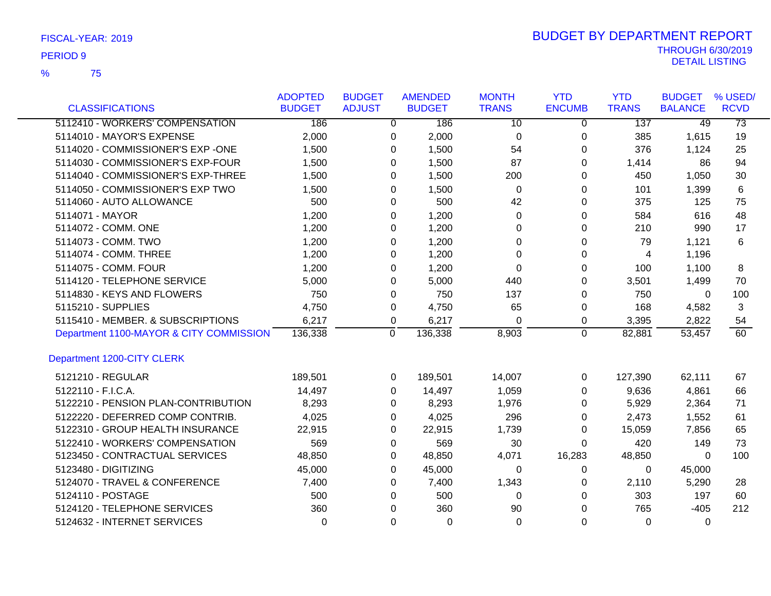75 %

|                                         | <b>ADOPTED</b> | <b>BUDGET</b> |                  | <b>AMENDED</b> | <b>MONTH</b> | <b>YTD</b>    | <b>YTD</b>   | <b>BUDGET</b>  | % USED/         |
|-----------------------------------------|----------------|---------------|------------------|----------------|--------------|---------------|--------------|----------------|-----------------|
| <b>CLASSIFICATIONS</b>                  | <b>BUDGET</b>  | <b>ADJUST</b> |                  | <b>BUDGET</b>  | <b>TRANS</b> | <b>ENCUMB</b> | <b>TRANS</b> | <b>BALANCE</b> | <b>RCVD</b>     |
| 5112410 - WORKERS' COMPENSATION         | 186            |               | 0                | 186            | 10           | 0             | 137          | 49             | $\overline{73}$ |
| 5114010 - MAYOR'S EXPENSE               | 2,000          |               | 0                | 2,000          | 0            | 0             | 385          | 1,615          | 19              |
| 5114020 - COMMISSIONER'S EXP -ONE       | 1,500          |               | 0                | 1,500          | 54           | 0             | 376          | 1,124          | 25              |
| 5114030 - COMMISSIONER'S EXP-FOUR       | 1,500          |               | 0                | 1,500          | 87           | 0             | 1,414        | 86             | 94              |
| 5114040 - COMMISSIONER'S EXP-THREE      | 1,500          |               | 0                | 1,500          | 200          | 0             | 450          | 1,050          | 30              |
| 5114050 - COMMISSIONER'S EXP TWO        | 1,500          |               | 0                | 1,500          | 0            | 0             | 101          | 1,399          | 6               |
| 5114060 - AUTO ALLOWANCE                | 500            |               | 0                | 500            | 42           | 0             | 375          | 125            | 75              |
| 5114071 - MAYOR                         | 1,200          |               | 0                | 1,200          | 0            | 0             | 584          | 616            | 48              |
| 5114072 - COMM. ONE                     | 1,200          |               | 0                | 1,200          | 0            | 0             | 210          | 990            | 17              |
| 5114073 - COMM. TWO                     | 1,200          |               | 0                | 1,200          | 0            | 0             | 79           | 1,121          | 6               |
| 5114074 - COMM. THREE                   | 1,200          |               | 0                | 1,200          | $\Omega$     | 0             | 4            | 1,196          |                 |
| 5114075 - COMM. FOUR                    | 1,200          |               | 0                | 1,200          | $\Omega$     | 0             | 100          | 1,100          | 8               |
| 5114120 - TELEPHONE SERVICE             | 5,000          |               | 0                | 5,000          | 440          | 0             | 3,501        | 1,499          | 70              |
| 5114830 - KEYS AND FLOWERS              | 750            |               | 0                | 750            | 137          | 0             | 750          | $\mathbf{0}$   | 100             |
| 5115210 - SUPPLIES                      | 4,750          |               | 0                | 4,750          | 65           | 0             | 168          | 4,582          | 3               |
| 5115410 - MEMBER. & SUBSCRIPTIONS       | 6,217          |               | 0                | 6,217          | 0            | 0             | 3,395        | 2,822          | 54              |
| Department 1100-MAYOR & CITY COMMISSION | 136,338        |               | $\boldsymbol{0}$ | 136,338        | 8,903        | 0             | 82,881       | 53,457         | 60              |
| Department 1200-CITY CLERK              |                |               |                  |                |              |               |              |                |                 |
| 5121210 - REGULAR                       | 189,501        |               | 0                | 189,501        | 14,007       | 0             | 127,390      | 62,111         | 67              |
| 5122110 - F.I.C.A.                      | 14,497         |               | 0                | 14,497         | 1,059        | 0             | 9,636        | 4,861          | 66              |
| 5122210 - PENSION PLAN-CONTRIBUTION     | 8,293          |               | 0                | 8,293          | 1,976        | 0             | 5,929        | 2,364          | 71              |
| 5122220 - DEFERRED COMP CONTRIB.        | 4,025          |               | 0                | 4,025          | 296          | 0             | 2,473        | 1,552          | 61              |
| 5122310 - GROUP HEALTH INSURANCE        | 22,915         |               | 0                | 22,915         | 1,739        | 0             | 15,059       | 7,856          | 65              |
| 5122410 - WORKERS' COMPENSATION         | 569            |               | 0                | 569            | 30           | 0             | 420          | 149            | 73              |
| 5123450 - CONTRACTUAL SERVICES          | 48,850         |               | 0                | 48,850         | 4,071        | 16,283        | 48,850       | $\mathbf{0}$   | 100             |
| 5123480 - DIGITIZING                    | 45,000         |               | 0                | 45,000         | 0            | 0             | $\Omega$     | 45,000         |                 |
| 5124070 - TRAVEL & CONFERENCE           | 7,400          |               | 0                | 7,400          | 1,343        | 0             | 2,110        | 5,290          | 28              |
| 5124110 - POSTAGE                       | 500            |               | 0                | 500            | $\Omega$     | 0             | 303          | 197            | 60              |
| 5124120 - TELEPHONE SERVICES            | 360            |               | $\Omega$         | 360            | 90           | $\Omega$      | 765          | $-405$         | 212             |
| 5124632 - INTERNET SERVICES             | $\Omega$       |               | $\Omega$         | $\Omega$       | $\Omega$     | $\Omega$      | $\Omega$     | $\Omega$       |                 |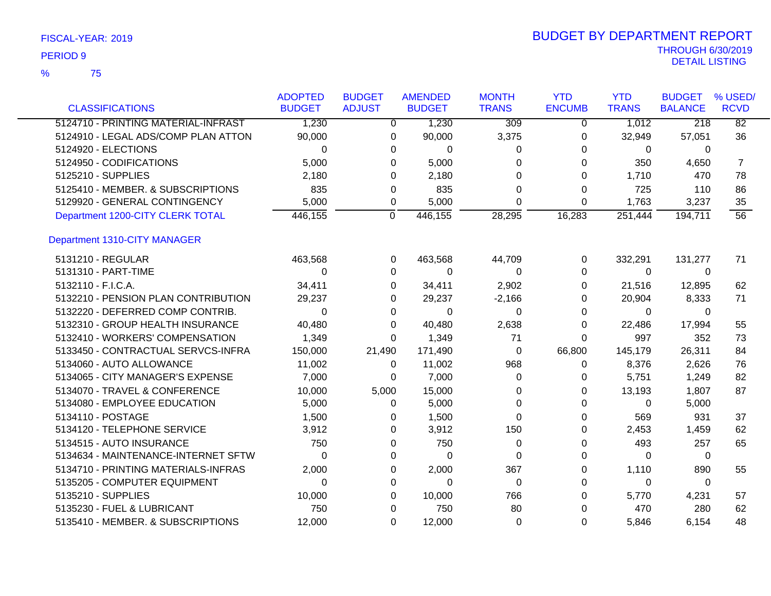|                                     | <b>ADOPTED</b> | <b>BUDGET</b>  | <b>AMENDED</b>          | <b>MONTH</b>     | <b>YTD</b>    | <b>YTD</b>   | <b>BUDGET</b>  | % USED/         |
|-------------------------------------|----------------|----------------|-------------------------|------------------|---------------|--------------|----------------|-----------------|
| <b>CLASSIFICATIONS</b>              | <b>BUDGET</b>  | <b>ADJUST</b>  | <b>BUDGET</b>           | <b>TRANS</b>     | <b>ENCUMB</b> | <b>TRANS</b> | <b>BALANCE</b> | <b>RCVD</b>     |
| 5124710 - PRINTING MATERIAL-INFRAST | 1,230          |                | 1,230<br>$\overline{0}$ | $\overline{309}$ | $\Omega$      | 1,012        | 218            | $\overline{82}$ |
| 5124910 - LEGAL ADS/COMP PLAN ATTON | 90,000         | 0              | 90,000                  | 3,375            | 0             | 32,949       | 57,051         | 36              |
| 5124920 - ELECTIONS                 | $\Omega$       | 0              | $\Omega$                | 0                | 0             | $\mathbf{0}$ | $\Omega$       |                 |
| 5124950 - CODIFICATIONS             | 5,000          | 0              | 5,000                   | 0                | 0             | 350          | 4,650          | 7               |
| 5125210 - SUPPLIES                  | 2,180          | 0              | 2,180                   | $\Omega$         | 0             | 1,710        | 470            | 78              |
| 5125410 - MEMBER. & SUBSCRIPTIONS   | 835            | 0              | 835                     | 0                | 0             | 725          | 110            | 86              |
| 5129920 - GENERAL CONTINGENCY       | 5,000          | 0              | 5,000                   | $\Omega$         | 0             | 1,763        | 3,237          | 35              |
| Department 1200-CITY CLERK TOTAL    | 446,155        | $\overline{0}$ | 446,155                 | 28,295           | 16,283        | 251,444      | 194,711        | 56              |
| Department 1310-CITY MANAGER        |                |                |                         |                  |               |              |                |                 |
| 5131210 - REGULAR                   | 463,568        | 0              | 463,568                 | 44,709           | 0             | 332,291      | 131,277        | 71              |
| 5131310 - PART-TIME                 | $\Omega$       | 0              | $\Omega$                | 0                | 0             | $\mathbf{0}$ | $\Omega$       |                 |
| 5132110 - F.I.C.A.                  | 34,411         | 0              | 34,411                  | 2,902            | 0             | 21,516       | 12,895         | 62              |
| 5132210 - PENSION PLAN CONTRIBUTION | 29,237         | 0              | 29,237                  | $-2,166$         | 0             | 20,904       | 8,333          | 71              |
| 5132220 - DEFERRED COMP CONTRIB.    | 0              | 0              | $\Omega$                | 0                | 0             | 0            | $\Omega$       |                 |
| 5132310 - GROUP HEALTH INSURANCE    | 40,480         | 0              | 40,480                  | 2,638            | 0             | 22,486       | 17,994         | 55              |
| 5132410 - WORKERS' COMPENSATION     | 1,349          | $\Omega$       | 1,349                   | 71               | $\Omega$      | 997          | 352            | 73              |
| 5133450 - CONTRACTUAL SERVCS-INFRA  | 150,000        | 21,490         | 171,490                 | 0                | 66,800        | 145,179      | 26,311         | 84              |
| 5134060 - AUTO ALLOWANCE            | 11,002         | 0              | 11,002                  | 968              | 0             | 8,376        | 2,626          | 76              |
| 5134065 - CITY MANAGER'S EXPENSE    | 7,000          | 0              | 7,000                   | 0                | 0             | 5,751        | 1,249          | 82              |
| 5134070 - TRAVEL & CONFERENCE       | 10,000         | 5,000          | 15,000                  | 0                | 0             | 13,193       | 1,807          | 87              |
| 5134080 - EMPLOYEE EDUCATION        | 5,000          | 0              | 5,000                   | $\Omega$         | 0             | $\Omega$     | 5,000          |                 |
| 5134110 - POSTAGE                   | 1,500          | 0              | 1,500                   | $\Omega$         | 0             | 569          | 931            | 37              |
| 5134120 - TELEPHONE SERVICE         | 3,912          | 0              | 3,912                   | 150              | 0             | 2,453        | 1,459          | 62              |
| 5134515 - AUTO INSURANCE            | 750            | 0              | 750                     | 0                | 0             | 493          | 257            | 65              |
| 5134634 - MAINTENANCE-INTERNET SFTW | 0              | 0              | 0                       | $\Omega$         | 0             | 0            | 0              |                 |
| 5134710 - PRINTING MATERIALS-INFRAS | 2,000          | 0              | 2,000                   | 367              | 0             | 1,110        | 890            | 55              |
| 5135205 - COMPUTER EQUIPMENT        | 0              | 0              | $\Omega$                | 0                | 0             | 0            | 0              |                 |
| 5135210 - SUPPLIES                  | 10,000         | 0              | 10,000                  | 766              | 0             | 5,770        | 4,231          | 57              |
| 5135230 - FUEL & LUBRICANT          | 750            | 0              | 750                     | 80               | 0             | 470          | 280            | 62              |
| 5135410 - MEMBER. & SUBSCRIPTIONS   | 12,000         | 0              | 12,000                  | 0                | 0             | 5,846        | 6.154          | 48              |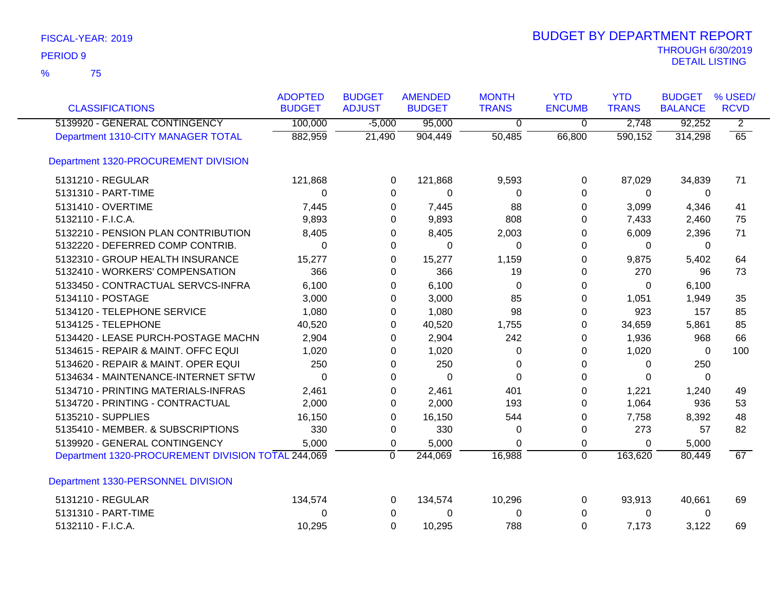| <b>CLASSIFICATIONS</b>                             | <b>ADOPTED</b><br><b>BUDGET</b> | <b>BUDGET</b><br><b>ADJUST</b> | <b>AMENDED</b><br><b>BUDGET</b> | <b>MONTH</b><br><b>TRANS</b> | <b>YTD</b><br><b>ENCUMB</b> | <b>YTD</b><br><b>TRANS</b> | <b>BUDGET</b><br><b>BALANCE</b> | % USED/<br><b>RCVD</b> |
|----------------------------------------------------|---------------------------------|--------------------------------|---------------------------------|------------------------------|-----------------------------|----------------------------|---------------------------------|------------------------|
| 5139920 - GENERAL CONTINGENCY                      | 100,000                         | $-5,000$                       | 95,000                          | $\mathbf 0$                  | $\mathbf 0$                 | 2,748                      | 92,252                          | $\overline{2}$         |
| Department 1310-CITY MANAGER TOTAL                 | 882,959                         | 21,490                         | 904,449                         | 50,485                       | 66,800                      | 590,152                    | 314,298                         | 65                     |
| Department 1320-PROCUREMENT DIVISION               |                                 |                                |                                 |                              |                             |                            |                                 |                        |
| 5131210 - REGULAR                                  | 121,868                         | 0                              | 121,868                         | 9,593                        | 0                           | 87,029                     | 34,839                          | 71                     |
| 5131310 - PART-TIME                                | 0                               | 0                              | 0                               | 0                            | $\Omega$                    | $\mathbf{0}$               | 0                               |                        |
| 5131410 - OVERTIME                                 | 7,445                           | 0                              | 7,445                           | 88                           | 0                           | 3,099                      | 4,346                           | 41                     |
| 5132110 - F.I.C.A.                                 | 9,893                           | 0                              | 9,893                           | 808                          | 0                           | 7,433                      | 2,460                           | 75                     |
| 5132210 - PENSION PLAN CONTRIBUTION                | 8,405                           | 0                              | 8,405                           | 2,003                        | 0                           | 6,009                      | 2,396                           | 71                     |
| 5132220 - DEFERRED COMP CONTRIB.                   | 0                               | 0                              | 0                               | 0                            | $\Omega$                    | 0                          | 0                               |                        |
| 5132310 - GROUP HEALTH INSURANCE                   | 15,277                          | 0                              | 15,277                          | 1,159                        | $\Omega$                    | 9,875                      | 5,402                           | 64                     |
| 5132410 - WORKERS' COMPENSATION                    | 366                             | 0                              | 366                             | 19                           | 0                           | 270                        | 96                              | 73                     |
| 5133450 - CONTRACTUAL SERVCS-INFRA                 | 6,100                           | 0                              | 6,100                           | $\Omega$                     | $\Omega$                    | $\mathbf{0}$               | 6,100                           |                        |
| 5134110 - POSTAGE                                  | 3,000                           | 0                              | 3,000                           | 85                           | $\Omega$                    | 1,051                      | 1,949                           | 35                     |
| 5134120 - TELEPHONE SERVICE                        | 1,080                           | 0                              | 1,080                           | 98                           | $\Omega$                    | 923                        | 157                             | 85                     |
| 5134125 - TELEPHONE                                | 40,520                          | 0                              | 40,520                          | 1,755                        | 0                           | 34,659                     | 5,861                           | 85                     |
| 5134420 - LEASE PURCH-POSTAGE MACHN                | 2,904                           | 0                              | 2,904                           | 242                          | 0                           | 1,936                      | 968                             | 66                     |
| 5134615 - REPAIR & MAINT. OFFC EQUI                | 1,020                           | 0                              | 1,020                           | 0                            | 0                           | 1,020                      | 0                               | 100                    |
| 5134620 - REPAIR & MAINT. OPER EQUI                | 250                             | 0                              | 250                             | $\Omega$                     | 0                           | $\Omega$                   | 250                             |                        |
| 5134634 - MAINTENANCE-INTERNET SFTW                | $\Omega$                        | 0                              | $\Omega$                        | $\Omega$                     | $\Omega$                    | $\Omega$                   | $\Omega$                        |                        |
| 5134710 - PRINTING MATERIALS-INFRAS                | 2,461                           | 0                              | 2,461                           | 401                          | 0                           | 1,221                      | 1,240                           | 49                     |
| 5134720 - PRINTING - CONTRACTUAL                   | 2,000                           | 0                              | 2,000                           | 193                          | 0                           | 1,064                      | 936                             | 53                     |
| 5135210 - SUPPLIES                                 | 16,150                          | 0                              | 16,150                          | 544                          | 0                           | 7,758                      | 8,392                           | 48                     |
| 5135410 - MEMBER. & SUBSCRIPTIONS                  | 330                             | 0                              | 330                             | 0                            | 0                           | 273                        | 57                              | 82                     |
| 5139920 - GENERAL CONTINGENCY                      | 5,000                           | $\mathbf 0$                    | 5,000                           | $\Omega$                     | $\mathbf 0$                 | 0                          | 5,000                           |                        |
| Department 1320-PROCUREMENT DIVISION TOTAL 244,069 |                                 | $\Omega$                       | 244,069                         | 16,988                       | $\overline{0}$              | 163,620                    | 80,449                          | 67                     |
| Department 1330-PERSONNEL DIVISION                 |                                 |                                |                                 |                              |                             |                            |                                 |                        |
| 5131210 - REGULAR                                  | 134,574                         | 0                              | 134,574                         | 10,296                       | 0                           | 93,913                     | 40,661                          | 69                     |
| 5131310 - PART-TIME                                | 0                               | 0                              | 0                               | 0                            | 0                           | $\mathbf 0$                | 0                               |                        |
| 5132110 - F.I.C.A.                                 | 10,295                          | $\Omega$                       | 10,295                          | 788                          | $\mathbf 0$                 | 7,173                      | 3,122                           | 69                     |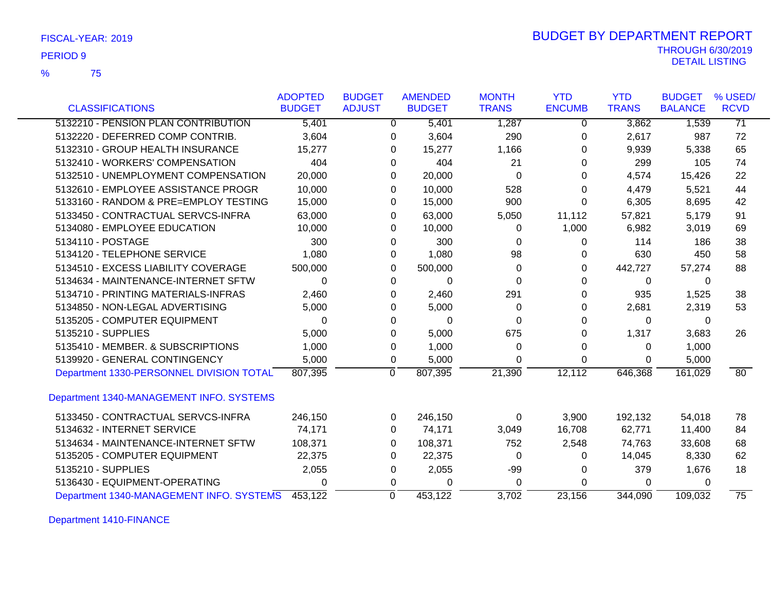| FISCAL-YEAR: 2019 |  |
|-------------------|--|
|-------------------|--|

75 %

# THROUGH 6/30/2019 DETAIL LISTING PERIOD <sup>9</sup> BUDGET BY DEPARTMENT REPORT

|                                          | <b>ADOPTED</b> | <b>BUDGET</b> | <b>AMENDED</b>    | <b>MONTH</b>   | <b>YTD</b>    | <b>YTD</b>   | <b>BUDGET</b>  | % USED/         |
|------------------------------------------|----------------|---------------|-------------------|----------------|---------------|--------------|----------------|-----------------|
| <b>CLASSIFICATIONS</b>                   | <b>BUDGET</b>  | <b>ADJUST</b> | <b>BUDGET</b>     | <b>TRANS</b>   | <b>ENCUMB</b> | <b>TRANS</b> | <b>BALANCE</b> | <b>RCVD</b>     |
| 5132210 - PENSION PLAN CONTRIBUTION      | 5,401          |               | 5,401<br>$\Omega$ | 1,287          | 0             | 3,862        | 1,539          | $\overline{71}$ |
| 5132220 - DEFERRED COMP CONTRIB.         | 3,604          |               | 3,604<br>0        | 290            | 0             | 2,617        | 987            | 72              |
| 5132310 - GROUP HEALTH INSURANCE         | 15,277         |               | 15,277<br>0       | 1,166          | 0             | 9,939        | 5,338          | 65              |
| 5132410 - WORKERS' COMPENSATION          | 404            |               | 404<br>0          | 21             | 0             | 299          | 105            | 74              |
| 5132510 - UNEMPLOYMENT COMPENSATION      | 20,000         |               | 20,000<br>0       | 0              | 0             | 4,574        | 15,426         | 22              |
| 5132610 - EMPLOYEE ASSISTANCE PROGR      | 10,000         |               | 10,000<br>0       | 528            | 0             | 4,479        | 5,521          | 44              |
| 5133160 - RANDOM & PRE=EMPLOY TESTING    | 15,000         |               | 15,000<br>0       | 900            | 0             | 6,305        | 8,695          | 42              |
| 5133450 - CONTRACTUAL SERVCS-INFRA       | 63,000         |               | 0<br>63,000       | 5,050          | 11,112        | 57,821       | 5,179          | 91              |
| 5134080 - EMPLOYEE EDUCATION             | 10,000         |               | 10,000<br>0       | 0              | 1,000         | 6,982        | 3,019          | 69              |
| 5134110 - POSTAGE                        | 300            |               | 300<br>0          | 0              | 0             | 114          | 186            | 38              |
| 5134120 - TELEPHONE SERVICE              | 1,080          |               | 1,080<br>0        | 98             | 0             | 630          | 450            | 58              |
| 5134510 - EXCESS LIABILITY COVERAGE      | 500,000        |               | 500,000<br>0      | 0              | 0             | 442,727      | 57,274         | 88              |
| 5134634 - MAINTENANCE-INTERNET SFTW      | $\Omega$       |               | 0<br>$\Omega$     | $\overline{0}$ | $\Omega$      | 0            | 0              |                 |
| 5134710 - PRINTING MATERIALS-INFRAS      | 2,460          |               | 2,460<br>0        | 291            | 0             | 935          | 1,525          | 38              |
| 5134850 - NON-LEGAL ADVERTISING          | 5,000          |               | 5,000<br>0        | 0              | 0             | 2,681        | 2,319          | 53              |
| 5135205 - COMPUTER EQUIPMENT             | 0              |               | $\Omega$<br>0     | 0              | 0             | 0            | 0              |                 |
| 5135210 - SUPPLIES                       | 5,000          |               | 5,000<br>0        | 675            | 0             | 1,317        | 3,683          | 26              |
| 5135410 - MEMBER. & SUBSCRIPTIONS        | 1,000          |               | 1,000<br>0        | 0              | 0             | 0            | 1,000          |                 |
| 5139920 - GENERAL CONTINGENCY            | 5,000          |               | 5,000<br>0        | 0              | 0             | 0            | 5,000          |                 |
| Department 1330-PERSONNEL DIVISION TOTAL | 807,395        | $\mathbf 0$   | 807,395           | 21,390         | 12,112        | 646,368      | 161,029        | 80              |
| Department 1340-MANAGEMENT INFO. SYSTEMS |                |               |                   |                |               |              |                |                 |
| 5133450 - CONTRACTUAL SERVCS-INFRA       | 246,150        |               | 246,150<br>0      | 0              | 3,900         | 192,132      | 54,018         | 78              |
| 5134632 - INTERNET SERVICE               | 74,171         |               | 0<br>74,171       | 3,049          | 16,708        | 62,771       | 11,400         | 84              |
| 5134634 - MAINTENANCE-INTERNET SFTW      | 108,371        |               | 108,371<br>0      | 752            | 2,548         | 74,763       | 33,608         | 68              |
| 5135205 - COMPUTER EQUIPMENT             | 22,375         |               | 22,375<br>0       | $\Omega$       | 0             | 14,045       | 8,330          | 62              |
| 5135210 - SUPPLIES                       | 2,055          |               | 2,055<br>0        | $-99$          | 0             | 379          | 1,676          | 18              |
| 5136430 - EQUIPMENT-OPERATING            | 0              |               | 0<br>$\Omega$     | 0              | 0             | 0            | 0              |                 |
| Department 1340-MANAGEMENT INFO. SYSTEMS | 453,122        | $\mathbf 0$   | 453,122           | 3,702          | 23,156        | 344,090      | 109,032        | $\overline{75}$ |

Department 1410-FINANCE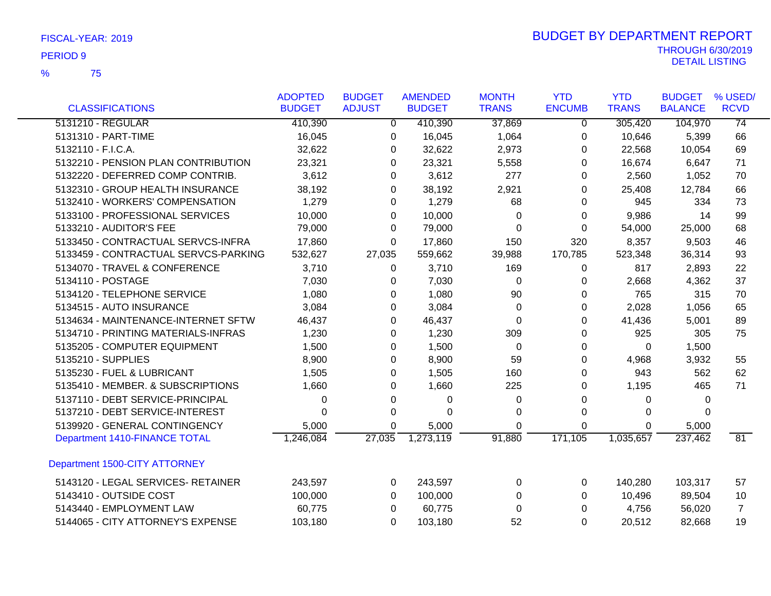|                                      | <b>ADOPTED</b> | <b>BUDGET</b>  | <b>AMENDED</b> | <b>MONTH</b> | <b>YTD</b>     | <b>YTD</b>   | <b>BUDGET</b>  | % USED/         |
|--------------------------------------|----------------|----------------|----------------|--------------|----------------|--------------|----------------|-----------------|
| <b>CLASSIFICATIONS</b>               | <b>BUDGET</b>  | <b>ADJUST</b>  | <b>BUDGET</b>  | <b>TRANS</b> | <b>ENCUMB</b>  | <b>TRANS</b> | <b>BALANCE</b> | <b>RCVD</b>     |
| 5131210 - REGULAR                    | 410,390        | $\overline{0}$ | 410,390        | 37,869       | $\overline{0}$ | 305,420      | 104,970        | $\overline{74}$ |
| 5131310 - PART-TIME                  | 16,045         | 0              | 16,045         | 1,064        | 0              | 10,646       | 5,399          | 66              |
| 5132110 - F.I.C.A.                   | 32,622         | 0              | 32,622         | 2,973        | 0              | 22,568       | 10,054         | 69              |
| 5132210 - PENSION PLAN CONTRIBUTION  | 23,321         | $\Omega$       | 23,321         | 5,558        | 0              | 16,674       | 6,647          | 71              |
| 5132220 - DEFERRED COMP CONTRIB.     | 3,612          | 0              | 3,612          | 277          | 0              | 2,560        | 1,052          | 70              |
| 5132310 - GROUP HEALTH INSURANCE     | 38,192         | 0              | 38,192         | 2,921        | 0              | 25,408       | 12,784         | 66              |
| 5132410 - WORKERS' COMPENSATION      | 1,279          | 0              | 1,279          | 68           | 0              | 945          | 334            | 73              |
| 5133100 - PROFESSIONAL SERVICES      | 10,000         | 0              | 10,000         | 0            | 0              | 9,986        | 14             | 99              |
| 5133210 - AUDITOR'S FEE              | 79,000         | 0              | 79,000         | 0            | 0              | 54,000       | 25,000         | 68              |
| 5133450 - CONTRACTUAL SERVCS-INFRA   | 17,860         | $\Omega$       | 17,860         | 150          | 320            | 8,357        | 9,503          | 46              |
| 5133459 - CONTRACTUAL SERVCS-PARKING | 532,627        | 27,035         | 559,662        | 39,988       | 170,785        | 523,348      | 36,314         | 93              |
| 5134070 - TRAVEL & CONFERENCE        | 3,710          | $\Omega$       | 3,710          | 169          | 0              | 817          | 2,893          | 22              |
| 5134110 - POSTAGE                    | 7,030          | 0              | 7,030          | 0            | 0              | 2,668        | 4,362          | 37              |
| 5134120 - TELEPHONE SERVICE          | 1,080          | $\Omega$       | 1,080          | 90           | 0              | 765          | 315            | 70              |
| 5134515 - AUTO INSURANCE             | 3,084          | 0              | 3,084          | 0            | 0              | 2,028        | 1,056          | 65              |
| 5134634 - MAINTENANCE-INTERNET SFTW  | 46,437         | $\Omega$       | 46,437         | 0            | $\Omega$       | 41,436       | 5,001          | 89              |
| 5134710 - PRINTING MATERIALS-INFRAS  | 1,230          | 0              | 1,230          | 309          | 0              | 925          | 305            | 75              |
| 5135205 - COMPUTER EQUIPMENT         | 1,500          | 0              | 1,500          | 0            | 0              | 0            | 1,500          |                 |
| 5135210 - SUPPLIES                   | 8,900          | 0              | 8,900          | 59           | 0              | 4,968        | 3,932          | 55              |
| 5135230 - FUEL & LUBRICANT           | 1,505          | 0              | 1,505          | 160          | 0              | 943          | 562            | 62              |
| 5135410 - MEMBER. & SUBSCRIPTIONS    | 1,660          | $\Omega$       | 1,660          | 225          | $\Omega$       | 1,195        | 465            | 71              |
| 5137110 - DEBT SERVICE-PRINCIPAL     | 0              | 0              | 0              | 0            | 0              | 0            | 0              |                 |
| 5137210 - DEBT SERVICE-INTEREST      | 0              | $\Omega$       | 0              | $\Omega$     | $\Omega$       | 0            | $\Omega$       |                 |
| 5139920 - GENERAL CONTINGENCY        | 5,000          | 0              | 5,000          | $\Omega$     | 0              | 0            | 5,000          |                 |
| Department 1410-FINANCE TOTAL        | 1,246,084      | 27,035         | 1,273,119      | 91,880       | 171,105        | 1,035,657    | 237,462        | 81              |
| Department 1500-CITY ATTORNEY        |                |                |                |              |                |              |                |                 |
| 5143120 - LEGAL SERVICES- RETAINER   | 243,597        | 0              | 243,597        | 0            | 0              | 140,280      | 103,317        | 57              |
| 5143410 - OUTSIDE COST               | 100,000        | 0              | 100,000        | 0            | 0              | 10,496       | 89,504         | 10              |
| 5143440 - EMPLOYMENT LAW             | 60,775         | 0              | 60,775         | $\Omega$     | 0              | 4,756        | 56,020         | $\overline{7}$  |
| 5144065 - CITY ATTORNEY'S EXPENSE    | 103,180        | $\Omega$       | 103,180        | 52           | $\Omega$       | 20,512       | 82,668         | 19              |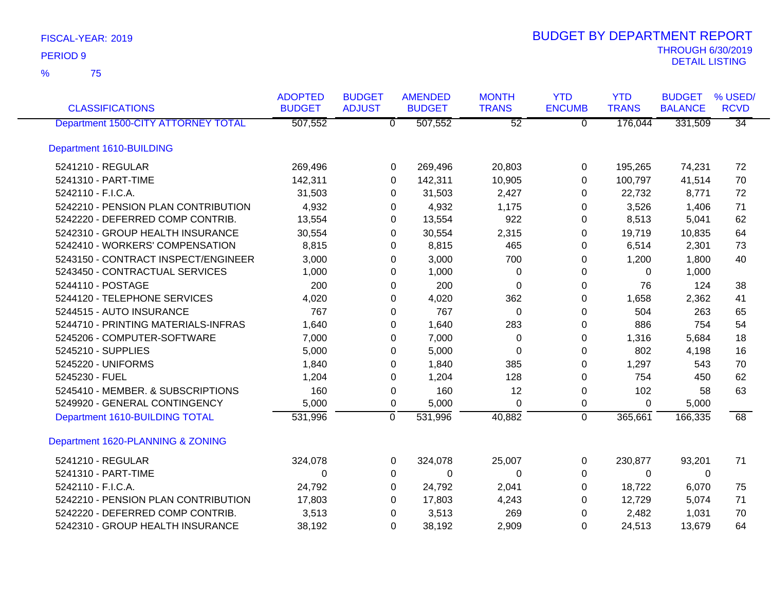| <b>CLASSIFICATIONS</b>              | <b>ADOPTED</b><br><b>BUDGET</b> | <b>BUDGET</b><br><b>ADJUST</b> | <b>AMENDED</b><br><b>BUDGET</b> | <b>MONTH</b><br><b>TRANS</b> | <b>YTD</b><br><b>ENCUMB</b> | <b>YTD</b><br><b>TRANS</b> | <b>BUDGET</b><br><b>BALANCE</b> | % USED/<br><b>RCVD</b> |
|-------------------------------------|---------------------------------|--------------------------------|---------------------------------|------------------------------|-----------------------------|----------------------------|---------------------------------|------------------------|
| Department 1500-CITY ATTORNEY TOTAL | 507,552                         |                                | 507,552<br>$\overline{0}$       | $\overline{52}$              | $\overline{0}$              | 176,044                    | 331,509                         | $\overline{34}$        |
| Department 1610-BUILDING            |                                 |                                |                                 |                              |                             |                            |                                 |                        |
| 5241210 - REGULAR                   | 269,496                         |                                | 269,496<br>0                    | 20,803                       | 0                           | 195,265                    | 74,231                          | 72                     |
| 5241310 - PART-TIME                 | 142,311                         |                                | 142,311<br>0                    | 10,905                       | 0                           | 100,797                    | 41,514                          | 70                     |
| 5242110 - F.I.C.A.                  | 31,503                          |                                | 31,503<br>0                     | 2,427                        | 0                           | 22,732                     | 8,771                           | 72                     |
| 5242210 - PENSION PLAN CONTRIBUTION | 4,932                           |                                | 4,932<br>0                      | 1,175                        | 0                           | 3,526                      | 1,406                           | 71                     |
| 5242220 - DEFERRED COMP CONTRIB.    | 13,554                          |                                | 13,554<br>0                     | 922                          | 0                           | 8,513                      | 5,041                           | 62                     |
| 5242310 - GROUP HEALTH INSURANCE    | 30,554                          |                                | 30,554<br>0                     | 2,315                        | 0                           | 19,719                     | 10,835                          | 64                     |
| 5242410 - WORKERS' COMPENSATION     | 8,815                           |                                | 8,815<br>0                      | 465                          | 0                           | 6,514                      | 2,301                           | 73                     |
| 5243150 - CONTRACT INSPECT/ENGINEER | 3,000                           |                                | 3,000<br>0                      | 700                          | 0                           | 1,200                      | 1,800                           | 40                     |
| 5243450 - CONTRACTUAL SERVICES      | 1,000                           |                                | 1,000<br>0                      | 0                            | 0                           | 0                          | 1,000                           |                        |
| 5244110 - POSTAGE                   | 200                             |                                | 200<br>0                        | $\Omega$                     | $\Omega$                    | 76                         | 124                             | 38                     |
| 5244120 - TELEPHONE SERVICES        | 4,020                           |                                | 4,020<br>0                      | 362                          | 0                           | 1,658                      | 2,362                           | 41                     |
| 5244515 - AUTO INSURANCE            | 767                             |                                | 767<br>0                        | 0                            | 0                           | 504                        | 263                             | 65                     |
| 5244710 - PRINTING MATERIALS-INFRAS | 1,640                           |                                | 0<br>1,640                      | 283                          | 0                           | 886                        | 754                             | 54                     |
| 5245206 - COMPUTER-SOFTWARE         | 7,000                           |                                | 7,000<br>0                      | 0                            | 0                           | 1,316                      | 5,684                           | 18                     |
| 5245210 - SUPPLIES                  | 5,000                           |                                | 5,000<br>0                      | 0                            | 0                           | 802                        | 4,198                           | 16                     |
| 5245220 - UNIFORMS                  | 1,840                           |                                | 1,840<br>0                      | 385                          | 0                           | 1,297                      | 543                             | 70                     |
| 5245230 - FUEL                      | 1,204                           |                                | 1,204<br>0                      | 128                          | 0                           | 754                        | 450                             | 62                     |
| 5245410 - MEMBER. & SUBSCRIPTIONS   | 160                             |                                | 160<br>0                        | 12                           | 0                           | 102                        | 58                              | 63                     |
| 5249920 - GENERAL CONTINGENCY       | 5,000                           |                                | 5,000<br>0                      | $\Omega$                     | 0                           | $\Omega$                   | 5,000                           |                        |
| Department 1610-BUILDING TOTAL      | 531,996                         |                                | $\overline{0}$<br>531,996       | 40,882                       | $\mathbf 0$                 | 365,661                    | 166,335                         | 68                     |
| Department 1620-PLANNING & ZONING   |                                 |                                |                                 |                              |                             |                            |                                 |                        |
| 5241210 - REGULAR                   | 324,078                         |                                | 324,078<br>0                    | 25,007                       | 0                           | 230,877                    | 93,201                          | 71                     |
| 5241310 - PART-TIME                 | $\Omega$                        |                                | 0<br>0                          | 0                            | 0                           | $\Omega$                   | 0                               |                        |
| 5242110 - F.I.C.A.                  | 24,792                          |                                | 24,792<br>0                     | 2,041                        | 0                           | 18,722                     | 6,070                           | 75                     |
| 5242210 - PENSION PLAN CONTRIBUTION | 17,803                          |                                | 17,803<br>0                     | 4,243                        | 0                           | 12,729                     | 5,074                           | 71                     |
| 5242220 - DEFERRED COMP CONTRIB.    | 3,513                           |                                | 3,513<br>0                      | 269                          | 0                           | 2,482                      | 1,031                           | 70                     |
| 5242310 - GROUP HEALTH INSURANCE    | 38,192                          |                                | 0<br>38,192                     | 2,909                        | 0                           | 24,513                     | 13,679                          | 64                     |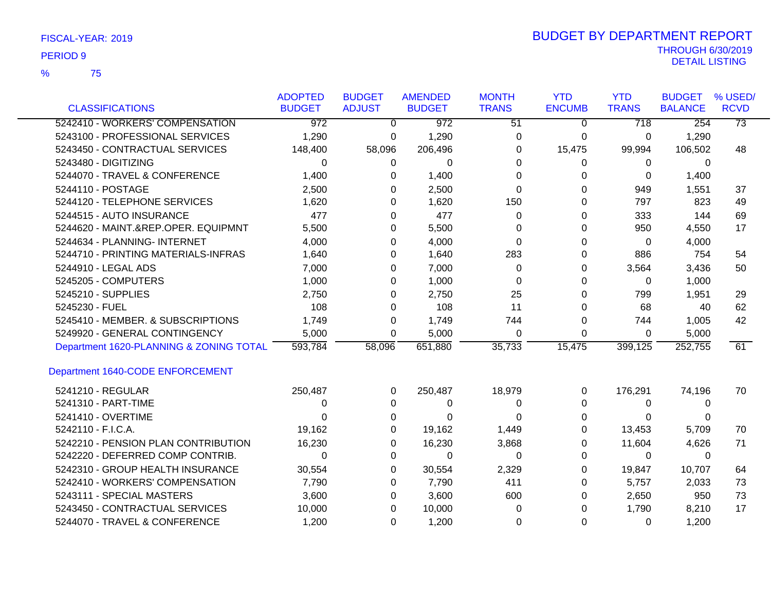75 %

|                                         | <b>ADOPTED</b>   | <b>BUDGET</b>  | <b>AMENDED</b> | <b>MONTH</b>    | <b>YTD</b>    | <b>YTD</b>   | <b>BUDGET</b>  | % USED/         |
|-----------------------------------------|------------------|----------------|----------------|-----------------|---------------|--------------|----------------|-----------------|
| <b>CLASSIFICATIONS</b>                  | <b>BUDGET</b>    | <b>ADJUST</b>  | <b>BUDGET</b>  | <b>TRANS</b>    | <b>ENCUMB</b> | <b>TRANS</b> | <b>BALANCE</b> | <b>RCVD</b>     |
| 5242410 - WORKERS' COMPENSATION         | $\overline{972}$ | $\overline{0}$ | 972            | $\overline{51}$ | $\mathbf 0$   | 718          | 254            | $\overline{73}$ |
| 5243100 - PROFESSIONAL SERVICES         | 1,290            | 0              | 1,290          | 0               | 0             | 0            | 1,290          |                 |
| 5243450 - CONTRACTUAL SERVICES          | 148,400          | 58,096         | 206,496        | $\Omega$        | 15,475        | 99,994       | 106,502        | 48              |
| 5243480 - DIGITIZING                    | $\Omega$         | 0              | 0              | $\Omega$        | 0             | 0            | 0              |                 |
| 5244070 - TRAVEL & CONFERENCE           | 1,400            | 0              | 1,400          | $\Omega$        | 0             | 0            | 1,400          |                 |
| 5244110 - POSTAGE                       | 2,500            | $\Omega$       | 2,500          | $\Omega$        | $\Omega$      | 949          | 1,551          | 37              |
| 5244120 - TELEPHONE SERVICES            | 1,620            | 0              | 1,620          | 150             | 0             | 797          | 823            | 49              |
| 5244515 - AUTO INSURANCE                | 477              | $\Omega$       | 477            | $\Omega$        | 0             | 333          | 144            | 69              |
| 5244620 - MAINT.&REP.OPER. EQUIPMNT     | 5,500            | 0              | 5,500          | 0               | 0             | 950          | 4,550          | 17              |
| 5244634 - PLANNING- INTERNET            | 4,000            | 0              | 4,000          | $\Omega$        | 0             | 0            | 4,000          |                 |
| 5244710 - PRINTING MATERIALS-INFRAS     | 1,640            | $\Omega$       | 1,640          | 283             | 0             | 886          | 754            | 54              |
| 5244910 - LEGAL ADS                     | 7,000            | 0              | 7,000          | $\Omega$        | 0             | 3,564        | 3,436          | 50              |
| 5245205 - COMPUTERS                     | 1,000            | $\Omega$       | 1,000          | $\Omega$        | $\Omega$      | 0            | 1,000          |                 |
| 5245210 - SUPPLIES                      | 2,750            | $\Omega$       | 2,750          | 25              | $\Omega$      | 799          | 1,951          | 29              |
| 5245230 - FUEL                          | 108              | $\Omega$       | 108            | 11              | 0             | 68           | 40             | 62              |
| 5245410 - MEMBER. & SUBSCRIPTIONS       | 1,749            | 0              | 1,749          | 744             | 0             | 744          | 1,005          | 42              |
| 5249920 - GENERAL CONTINGENCY           | 5,000            | 0              | 5,000          | 0               | 0             | 0            | 5,000          |                 |
| Department 1620-PLANNING & ZONING TOTAL | 593,784          | 58,096         | 651,880        | 35,733          | 15,475        | 399,125      | 252,755        | 61              |
| Department 1640-CODE ENFORCEMENT        |                  |                |                |                 |               |              |                |                 |
| 5241210 - REGULAR                       | 250,487          | $\Omega$       | 250,487        | 18,979          | 0             | 176,291      | 74,196         | 70              |
| 5241310 - PART-TIME                     | 0                | 0              | 0              | 0               | $\Omega$      | 0            | 0              |                 |
| 5241410 - OVERTIME                      | 0                | 0              | $\mathbf 0$    | 0               | 0             | 0            | 0              |                 |
| 5242110 - F.I.C.A.                      | 19,162           | 0              | 19,162         | 1,449           | 0             | 13,453       | 5,709          | 70              |
| 5242210 - PENSION PLAN CONTRIBUTION     | 16,230           | 0              | 16,230         | 3,868           | 0             | 11,604       | 4,626          | 71              |
| 5242220 - DEFERRED COMP CONTRIB.        | $\Omega$         | 0              | $\Omega$       | $\Omega$        | 0             | $\Omega$     | 0              |                 |
| 5242310 - GROUP HEALTH INSURANCE        | 30,554           | 0              | 30,554         | 2,329           | 0             | 19,847       | 10,707         | 64              |
| 5242410 - WORKERS' COMPENSATION         | 7,790            | 0              | 7,790          | 411             | 0             | 5,757        | 2,033          | 73              |
| 5243111 - SPECIAL MASTERS               | 3,600            | $\Omega$       | 3,600          | 600             | 0             | 2,650        | 950            | 73              |
| 5243450 - CONTRACTUAL SERVICES          | 10,000           | 0              | 10,000         | $\Omega$        | 0             | 1,790        | 8,210          | 17              |
| 5244070 - TRAVEL & CONFERENCE           | 1,200            | $\Omega$       | 1,200          | $\Omega$        | $\Omega$      | $\Omega$     | 1.200          |                 |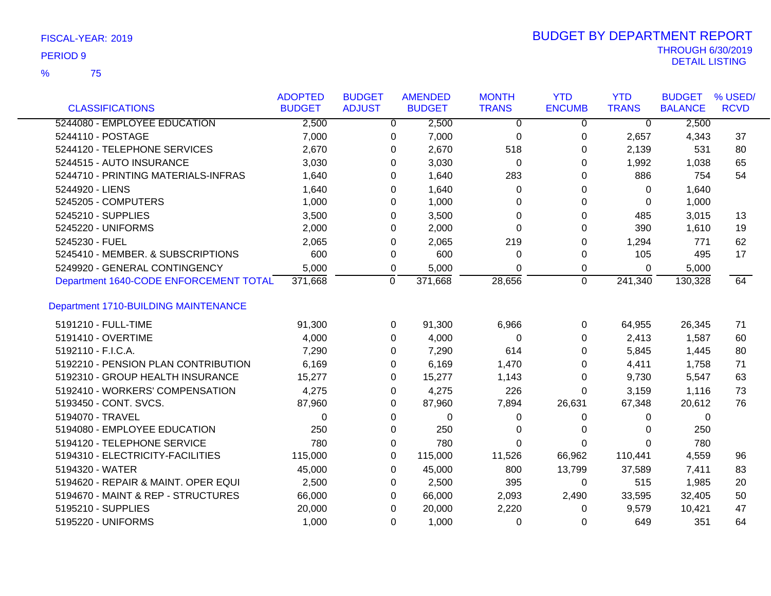75 %

| <b>CLASSIFICATIONS</b>                      | <b>ADOPTED</b><br><b>BUDGET</b> | <b>BUDGET</b><br><b>ADJUST</b> | <b>AMENDED</b><br><b>BUDGET</b> | <b>MONTH</b><br><b>TRANS</b> | <b>YTD</b><br><b>ENCUMB</b> | <b>YTD</b><br><b>TRANS</b> | <b>BUDGET</b><br><b>BALANCE</b> | % USED/<br><b>RCVD</b> |
|---------------------------------------------|---------------------------------|--------------------------------|---------------------------------|------------------------------|-----------------------------|----------------------------|---------------------------------|------------------------|
| 5244080 - EMPLOYEE EDUCATION                | 2,500                           | $\overline{0}$                 | 2,500                           | $\Omega$                     | $\Omega$                    | $\overline{0}$             | 2,500                           |                        |
| 5244110 - POSTAGE                           | 7,000                           | 0                              | 7,000                           | 0                            | 0                           | 2,657                      | 4,343                           | 37                     |
| 5244120 - TELEPHONE SERVICES                | 2,670                           | 0                              | 2,670                           | 518                          | 0                           | 2,139                      | 531                             | 80                     |
| 5244515 - AUTO INSURANCE                    | 3,030                           | 0                              | 3,030                           | 0                            | 0                           | 1,992                      | 1,038                           | 65                     |
| 5244710 - PRINTING MATERIALS-INFRAS         | 1,640                           | 0                              | 1,640                           | 283                          | 0                           | 886                        | 754                             | 54                     |
| 5244920 - LIENS                             | 1,640                           | 0                              | 1,640                           | 0                            | 0                           | 0                          | 1,640                           |                        |
| 5245205 - COMPUTERS                         | 1,000                           | 0                              | 1,000                           | 0                            | 0                           | 0                          | 1,000                           |                        |
| 5245210 - SUPPLIES                          | 3,500                           | $\Omega$                       | 3,500                           | $\Omega$                     | 0                           | 485                        | 3,015                           | 13                     |
| 5245220 - UNIFORMS                          | 2,000                           | $\Omega$                       | 2,000                           | $\Omega$                     | 0                           | 390                        | 1,610                           | 19                     |
| 5245230 - FUEL                              | 2,065                           | 0                              | 2,065                           | 219                          | 0                           | 1,294                      | 771                             | 62                     |
| 5245410 - MEMBER. & SUBSCRIPTIONS           | 600                             | 0                              | 600                             | 0                            | 0                           | 105                        | 495                             | 17                     |
| 5249920 - GENERAL CONTINGENCY               | 5,000                           | 0                              | 5,000                           | $\Omega$                     | 0                           | 0                          | 5,000                           |                        |
| Department 1640-CODE ENFORCEMENT TOTAL      | 371,668                         | 0                              | 371,668                         | 28,656                       | 0                           | 241,340                    | 130,328                         | 64                     |
|                                             |                                 |                                |                                 |                              |                             |                            |                                 |                        |
| <b>Department 1710-BUILDING MAINTENANCE</b> |                                 |                                |                                 |                              |                             |                            |                                 |                        |
| 5191210 - FULL-TIME                         | 91,300                          | 0                              | 91,300                          | 6,966                        | 0                           | 64,955                     | 26,345                          | 71                     |
| 5191410 - OVERTIME                          | 4,000                           | $\Omega$                       | 4,000                           | $\Omega$                     | 0                           | 2,413                      | 1,587                           | 60                     |
| 5192110 - F.I.C.A.                          | 7,290                           | $\Omega$                       | 7,290                           | 614                          | 0                           | 5,845                      | 1,445                           | 80                     |
| 5192210 - PENSION PLAN CONTRIBUTION         | 6,169                           | 0                              | 6,169                           | 1,470                        | 0                           | 4,411                      | 1,758                           | 71                     |
| 5192310 - GROUP HEALTH INSURANCE            | 15,277                          | 0                              | 15,277                          | 1,143                        | 0                           | 9,730                      | 5,547                           | 63                     |
| 5192410 - WORKERS' COMPENSATION             | 4,275                           | $\Omega$                       | 4,275                           | 226                          | 0                           | 3,159                      | 1,116                           | 73                     |
| 5193450 - CONT. SVCS.                       | 87,960                          | 0                              | 87,960                          | 7,894                        | 26,631                      | 67,348                     | 20,612                          | 76                     |
| 5194070 - TRAVEL                            | $\Omega$                        | 0                              | 0                               | 0                            | 0                           | 0                          | 0                               |                        |
| 5194080 - EMPLOYEE EDUCATION                | 250                             | 0                              | 250                             | 0                            | 0                           | 0                          | 250                             |                        |
| 5194120 - TELEPHONE SERVICE                 | 780                             | 0                              | 780                             | $\Omega$                     | 0                           | $\Omega$                   | 780                             |                        |
| 5194310 - ELECTRICITY-FACILITIES            | 115,000                         | 0                              | 115,000                         | 11,526                       | 66,962                      | 110,441                    | 4,559                           | 96                     |
| 5194320 - WATER                             | 45,000                          | 0                              | 45,000                          | 800                          | 13,799                      | 37,589                     | 7,411                           | 83                     |
| 5194620 - REPAIR & MAINT. OPER EQUI         | 2,500                           | 0                              | 2,500                           | 395                          | 0                           | 515                        | 1,985                           | 20                     |
| 5194670 - MAINT & REP - STRUCTURES          | 66,000                          | 0                              | 66,000                          | 2,093                        | 2,490                       | 33,595                     | 32,405                          | 50                     |
| 5195210 - SUPPLIES                          | 20,000                          | 0                              | 20,000                          | 2,220                        | 0                           | 9,579                      | 10,421                          | 47                     |
| 5195220 - UNIFORMS                          | 1,000                           | 0                              | 1,000                           | 0                            | 0                           | 649                        | 351                             | 64                     |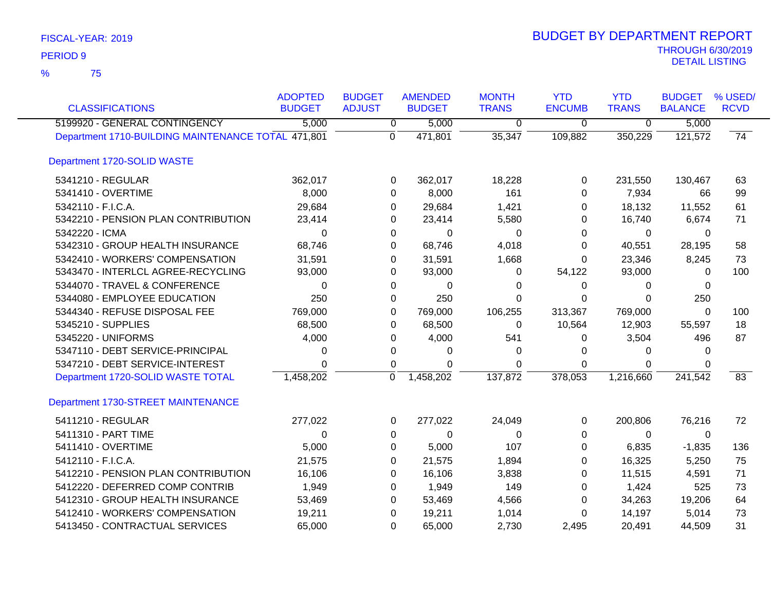75 %

| <b>CLASSIFICATIONS</b>                             | <b>ADOPTED</b><br><b>BUDGET</b> | <b>BUDGET</b><br><b>ADJUST</b> | <b>AMENDED</b><br><b>BUDGET</b> | <b>MONTH</b><br><b>TRANS</b> | <b>YTD</b><br><b>ENCUMB</b> | <b>YTD</b><br><b>TRANS</b> | <b>BUDGET</b><br><b>BALANCE</b> | % USED/<br><b>RCVD</b> |
|----------------------------------------------------|---------------------------------|--------------------------------|---------------------------------|------------------------------|-----------------------------|----------------------------|---------------------------------|------------------------|
| 5199920 - GENERAL CONTINGENCY                      | 5,000                           | $\overline{0}$                 | 5,000                           | $\overline{0}$               | $\mathbf 0$                 | $\overline{0}$             | 5,000                           |                        |
| Department 1710-BUILDING MAINTENANCE TOTAL 471,801 |                                 | $\overline{0}$                 | 471,801                         | 35,347                       | 109,882                     | 350,229                    | 121,572                         | 74                     |
| Department 1720-SOLID WASTE                        |                                 |                                |                                 |                              |                             |                            |                                 |                        |
| 5341210 - REGULAR                                  | 362,017                         | 0                              | 362,017                         | 18,228                       | 0                           | 231,550                    | 130,467                         | 63                     |
| 5341410 - OVERTIME                                 | 8,000                           | 0                              | 8,000                           | 161                          | 0                           | 7,934                      | 66                              | 99                     |
| 5342110 - F.I.C.A.                                 | 29,684                          | 0                              | 29,684                          | 1,421                        | 0                           | 18,132                     | 11,552                          | 61                     |
| 5342210 - PENSION PLAN CONTRIBUTION                | 23,414                          | 0                              | 23,414                          | 5,580                        | 0                           | 16,740                     | 6,674                           | 71                     |
| 5342220 - ICMA                                     | 0                               | 0                              | $\Omega$                        | 0                            | $\Omega$                    | $\Omega$                   | $\Omega$                        |                        |
| 5342310 - GROUP HEALTH INSURANCE                   | 68,746                          | $\Omega$                       | 68,746                          | 4,018                        | 0                           | 40,551                     | 28,195                          | 58                     |
| 5342410 - WORKERS' COMPENSATION                    | 31,591                          | 0                              | 31,591                          | 1,668                        | $\Omega$                    | 23,346                     | 8,245                           | 73                     |
| 5343470 - INTERLCL AGREE-RECYCLING                 | 93,000                          | 0                              | 93,000                          | 0                            | 54,122                      | 93,000                     | 0                               | 100                    |
| 5344070 - TRAVEL & CONFERENCE                      | 0                               | 0                              | 0                               | 0                            | $\Omega$                    | $\Omega$                   | $\Omega$                        |                        |
| 5344080 - EMPLOYEE EDUCATION                       | 250                             | 0                              | 250                             | $\Omega$                     | $\mathbf 0$                 | $\Omega$                   | 250                             |                        |
| 5344340 - REFUSE DISPOSAL FEE                      | 769,000                         | 0                              | 769,000                         | 106,255                      | 313,367                     | 769,000                    | 0                               | 100                    |
| 5345210 - SUPPLIES                                 | 68,500                          | 0                              | 68,500                          | 0                            | 10,564                      | 12,903                     | 55,597                          | 18                     |
| 5345220 - UNIFORMS                                 | 4,000                           | 0                              | 4,000                           | 541                          | 0                           | 3,504                      | 496                             | 87                     |
| 5347110 - DEBT SERVICE-PRINCIPAL                   | 0                               | 0                              | 0                               | 0                            | $\Omega$                    | $\Omega$                   | $\Omega$                        |                        |
| 5347210 - DEBT SERVICE-INTEREST                    | $\Omega$                        | 0                              | 0                               | $\Omega$                     | $\Omega$                    | $\Omega$                   | $\Omega$                        |                        |
| Department 1720-SOLID WASTE TOTAL                  | 1,458,202                       | 0                              | 1,458,202                       | 137,872                      | 378,053                     | 1,216,660                  | 241,542                         | 83                     |
| Department 1730-STREET MAINTENANCE                 |                                 |                                |                                 |                              |                             |                            |                                 |                        |
| 5411210 - REGULAR                                  | 277,022                         | 0                              | 277,022                         | 24,049                       | 0                           | 200,806                    | 76,216                          | 72                     |
| 5411310 - PART TIME                                | 0                               | 0                              | 0                               | 0                            | 0                           | 0                          | 0                               |                        |
| 5411410 - OVERTIME                                 | 5,000                           | 0                              | 5,000                           | 107                          | $\Omega$                    | 6,835                      | $-1,835$                        | 136                    |
| 5412110 - F.I.C.A.                                 | 21,575                          | 0                              | 21,575                          | 1,894                        | 0                           | 16,325                     | 5,250                           | 75                     |
| 5412210 - PENSION PLAN CONTRIBUTION                | 16,106                          | 0                              | 16,106                          | 3,838                        | $\Omega$                    | 11,515                     | 4,591                           | 71                     |
| 5412220 - DEFERRED COMP CONTRIB                    | 1,949                           | 0                              | 1,949                           | 149                          | 0                           | 1,424                      | 525                             | 73                     |
| 5412310 - GROUP HEALTH INSURANCE                   | 53,469                          | $\Omega$                       | 53,469                          | 4,566                        | $\Omega$                    | 34,263                     | 19,206                          | 64                     |
| 5412410 - WORKERS' COMPENSATION                    | 19,211                          | 0                              | 19,211                          | 1,014                        | 0                           | 14,197                     | 5,014                           | 73                     |
| 5413450 - CONTRACTUAL SERVICES                     | 65,000                          | 0                              | 65,000                          | 2,730                        | 2,495                       | 20,491                     | 44,509                          | 31                     |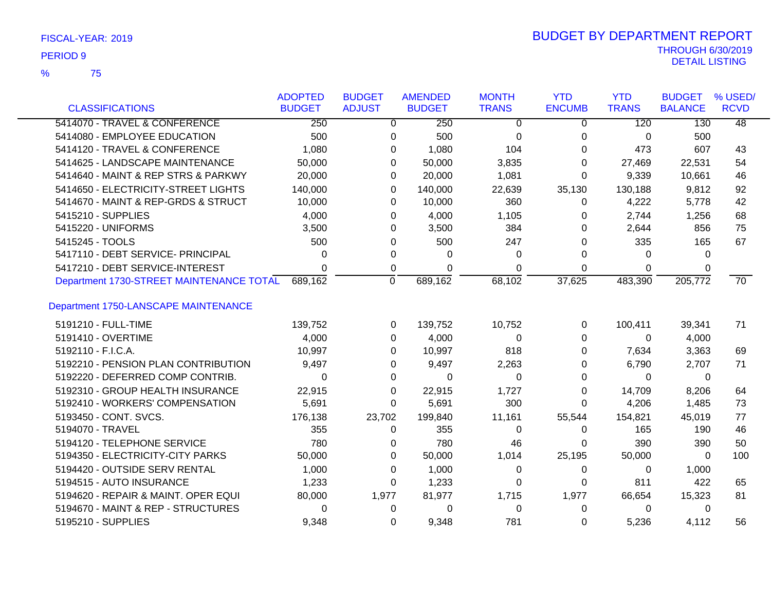| FISCAL-YEAR: 2019 |  |
|-------------------|--|
|                   |  |

75 %

|                                          | <b>ADOPTED</b> | <b>BUDGET</b> | <b>AMENDED</b> | <b>MONTH</b> | <b>YTD</b>    | <b>YTD</b>   | <b>BUDGET</b>  | % USED/         |
|------------------------------------------|----------------|---------------|----------------|--------------|---------------|--------------|----------------|-----------------|
| <b>CLASSIFICATIONS</b>                   | <b>BUDGET</b>  | <b>ADJUST</b> | <b>BUDGET</b>  | <b>TRANS</b> | <b>ENCUMB</b> | <b>TRANS</b> | <b>BALANCE</b> | <b>RCVD</b>     |
| 5414070 - TRAVEL & CONFERENCE            | 250            | 0             | 250            | $\Omega$     | $\mathbf{0}$  | 120          | 130            | $\overline{48}$ |
| 5414080 - EMPLOYEE EDUCATION             | 500            | 0             | 500            | 0            | 0             | 0            | 500            |                 |
| 5414120 - TRAVEL & CONFERENCE            | 1,080          | 0             | 1,080          | 104          | 0             | 473          | 607            | 43              |
| 5414625 - LANDSCAPE MAINTENANCE          | 50,000         | 0             | 50,000         | 3,835        | 0             | 27,469       | 22,531         | 54              |
| 5414640 - MAINT & REP STRS & PARKWY      | 20,000         | 0             | 20,000         | 1,081        | 0             | 9,339        | 10,661         | 46              |
| 5414650 - ELECTRICITY-STREET LIGHTS      | 140,000        | 0             | 140,000        | 22,639       | 35,130        | 130,188      | 9,812          | 92              |
| 5414670 - MAINT & REP-GRDS & STRUCT      | 10,000         | 0             | 10,000         | 360          | 0             | 4,222        | 5,778          | 42              |
| 5415210 - SUPPLIES                       | 4,000          | 0             | 4,000          | 1,105        | 0             | 2,744        | 1,256          | 68              |
| 5415220 - UNIFORMS                       | 3,500          | 0             | 3,500          | 384          | 0             | 2,644        | 856            | 75              |
| 5415245 - TOOLS                          | 500            | 0             | 500            | 247          | 0             | 335          | 165            | 67              |
| 5417110 - DEBT SERVICE- PRINCIPAL        | 0              | 0             | 0              | 0            | 0             | 0            | 0              |                 |
| 5417210 - DEBT SERVICE-INTEREST          | 0              | 0             | 0              | 0            | 0             | 0            | 0              |                 |
| Department 1730-STREET MAINTENANCE TOTAL | 689,162        | $\Omega$      | 689,162        | 68,102       | 37,625        | 483,390      | 205,772        | $\overline{70}$ |
| Department 1750-LANSCAPE MAINTENANCE     |                |               |                |              |               |              |                |                 |
| 5191210 - FULL-TIME                      | 139,752        | 0             | 139,752        | 10,752       | 0             | 100,411      | 39,341         | 71              |
| 5191410 - OVERTIME                       | 4,000          | 0             | 4,000          | 0            | 0             | 0            | 4,000          |                 |
| 5192110 - F.I.C.A.                       | 10,997         | 0             | 10,997         | 818          | 0             | 7,634        | 3,363          | 69              |
| 5192210 - PENSION PLAN CONTRIBUTION      | 9,497          | 0             | 9,497          | 2,263        | 0             | 6,790        | 2,707          | 71              |
| 5192220 - DEFERRED COMP CONTRIB.         | 0              | 0             | $\Omega$       | 0            | 0             | 0            | 0              |                 |
| 5192310 - GROUP HEALTH INSURANCE         | 22,915         | 0             | 22,915         | 1,727        | 0             | 14,709       | 8,206          | 64              |
| 5192410 - WORKERS' COMPENSATION          | 5,691          | 0             | 5,691          | 300          | 0             | 4,206        | 1,485          | 73              |
| 5193450 - CONT. SVCS.                    | 176,138        | 23,702        | 199,840        | 11,161       | 55,544        | 154,821      | 45,019         | 77              |
| 5194070 - TRAVEL                         | 355            | 0             | 355            | 0            | 0             | 165          | 190            | 46              |
| 5194120 - TELEPHONE SERVICE              | 780            | 0             | 780            | 46           | 0             | 390          | 390            | 50              |
| 5194350 - ELECTRICITY-CITY PARKS         | 50,000         | 0             | 50,000         | 1,014        | 25,195        | 50,000       | 0              | 100             |
| 5194420 - OUTSIDE SERV RENTAL            | 1,000          | 0             | 1,000          | 0            | 0             | 0            | 1,000          |                 |
| 5194515 - AUTO INSURANCE                 | 1,233          | 0             | 1,233          | 0            | 0             | 811          | 422            | 65              |
| 5194620 - REPAIR & MAINT. OPER EQUI      | 80,000         | 1,977         | 81,977         | 1,715        | 1,977         | 66,654       | 15,323         | 81              |
| 5194670 - MAINT & REP - STRUCTURES       | 0              | 0             | 0              | 0            | 0             | 0            | 0              |                 |
| 5195210 - SUPPLIES                       | 9,348          | 0             | 9,348          | 781          | 0             | 5,236        | 4,112          | 56              |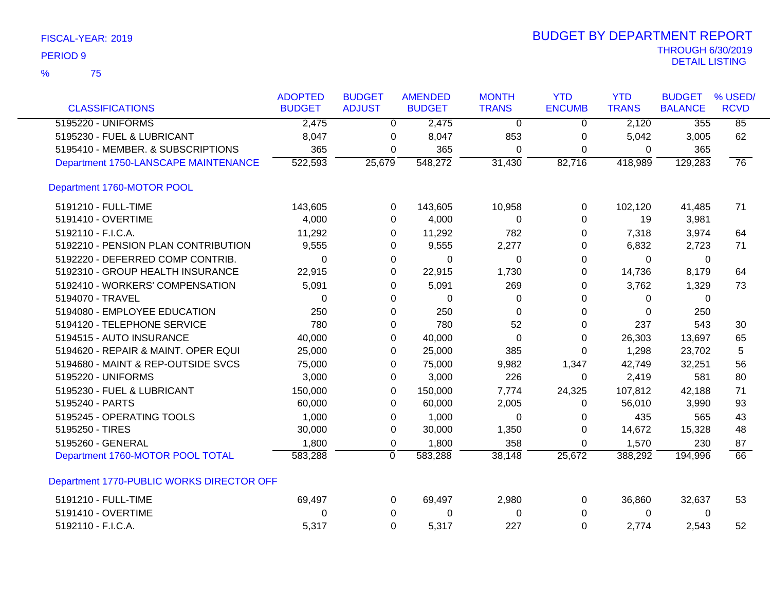| FISCAL-YEAR: 2019 |  |  |
|-------------------|--|--|
|-------------------|--|--|

|                                           | <b>ADOPTED</b> | <b>BUDGET</b> | <b>AMENDED</b> | <b>MONTH</b> | <b>YTD</b>    | <b>YTD</b>   | <b>BUDGET</b>  | % USED/         |
|-------------------------------------------|----------------|---------------|----------------|--------------|---------------|--------------|----------------|-----------------|
| <b>CLASSIFICATIONS</b>                    | <b>BUDGET</b>  | <b>ADJUST</b> | <b>BUDGET</b>  | <b>TRANS</b> | <b>ENCUMB</b> | <b>TRANS</b> | <b>BALANCE</b> | <b>RCVD</b>     |
| 5195220 - UNIFORMS                        | 2,475          | $\Omega$      | 2,475          | 0            | $\Omega$      | 2,120        | 355            | 85              |
| 5195230 - FUEL & LUBRICANT                | 8,047          | 0             | 8,047          | 853          | $\mathbf 0$   | 5,042        | 3,005          | 62              |
| 5195410 - MEMBER. & SUBSCRIPTIONS         | 365            | 0             | 365            | 0            | 0             | $\mathbf 0$  | 365            |                 |
| Department 1750-LANSCAPE MAINTENANCE      | 522,593        | 25,679        | 548,272        | 31,430       | 82,716        | 418,989      | 129,283        | $\overline{76}$ |
| Department 1760-MOTOR POOL                |                |               |                |              |               |              |                |                 |
| 5191210 - FULL-TIME                       | 143,605        | 0             | 143,605        | 10,958       | 0             | 102,120      | 41,485         | 71              |
| 5191410 - OVERTIME                        | 4,000          | 0             | 4,000          | 0            | 0             | 19           | 3,981          |                 |
| 5192110 - F.I.C.A.                        | 11,292         | 0             | 11,292         | 782          | 0             | 7,318        | 3,974          | 64              |
| 5192210 - PENSION PLAN CONTRIBUTION       | 9,555          | 0             | 9,555          | 2,277        | 0             | 6,832        | 2,723          | 71              |
| 5192220 - DEFERRED COMP CONTRIB.          | $\Omega$       | 0             | 0              | 0            | 0             | 0            | 0              |                 |
| 5192310 - GROUP HEALTH INSURANCE          | 22,915         | 0             | 22,915         | 1,730        | 0             | 14,736       | 8,179          | 64              |
| 5192410 - WORKERS' COMPENSATION           | 5,091          | 0             | 5,091          | 269          | 0             | 3,762        | 1,329          | 73              |
| 5194070 - TRAVEL                          | 0              | 0             | 0              | 0            | 0             | 0            | 0              |                 |
| 5194080 - EMPLOYEE EDUCATION              | 250            | 0             | 250            | $\Omega$     | 0             | $\Omega$     | 250            |                 |
| 5194120 - TELEPHONE SERVICE               | 780            | 0             | 780            | 52           | 0             | 237          | 543            | 30              |
| 5194515 - AUTO INSURANCE                  | 40,000         | 0             | 40,000         | 0            | 0             | 26,303       | 13,697         | 65              |
| 5194620 - REPAIR & MAINT. OPER EQUI       | 25,000         | 0             | 25,000         | 385          | 0             | 1,298        | 23,702         | 5               |
| 5194680 - MAINT & REP-OUTSIDE SVCS        | 75,000         | 0             | 75,000         | 9,982        | 1,347         | 42,749       | 32,251         | 56              |
| 5195220 - UNIFORMS                        | 3,000          | 0             | 3,000          | 226          | 0             | 2,419        | 581            | 80              |
| 5195230 - FUEL & LUBRICANT                | 150,000        | 0             | 150,000        | 7,774        | 24,325        | 107,812      | 42,188         | 71              |
| 5195240 - PARTS                           | 60,000         | 0             | 60,000         | 2,005        | 0             | 56,010       | 3,990          | 93              |
| 5195245 - OPERATING TOOLS                 | 1,000          | 0             | 1,000          | $\Omega$     | 0             | 435          | 565            | 43              |
| 5195250 - TIRES                           | 30,000         | 0             | 30,000         | 1,350        | 0             | 14,672       | 15,328         | 48              |
| 5195260 - GENERAL                         | 1,800          | 0             | 1,800          | 358          | 0             | 1,570        | 230            | 87              |
| Department 1760-MOTOR POOL TOTAL          | 583,288        | ō             | 583,288        | 38,148       | 25,672        | 388,292      | 194,996        | $\overline{66}$ |
| Department 1770-PUBLIC WORKS DIRECTOR OFF |                |               |                |              |               |              |                |                 |
| 5191210 - FULL-TIME                       | 69,497         | 0             | 69,497         | 2,980        | 0             | 36,860       | 32,637         | 53              |
| 5191410 - OVERTIME                        | 0              | 0             | 0              | 0            | 0             | 0            | 0              |                 |
| 5192110 - F.I.C.A.                        | 5,317          | $\Omega$      | 5,317          | 227          | 0             | 2,774        | 2,543          | 52              |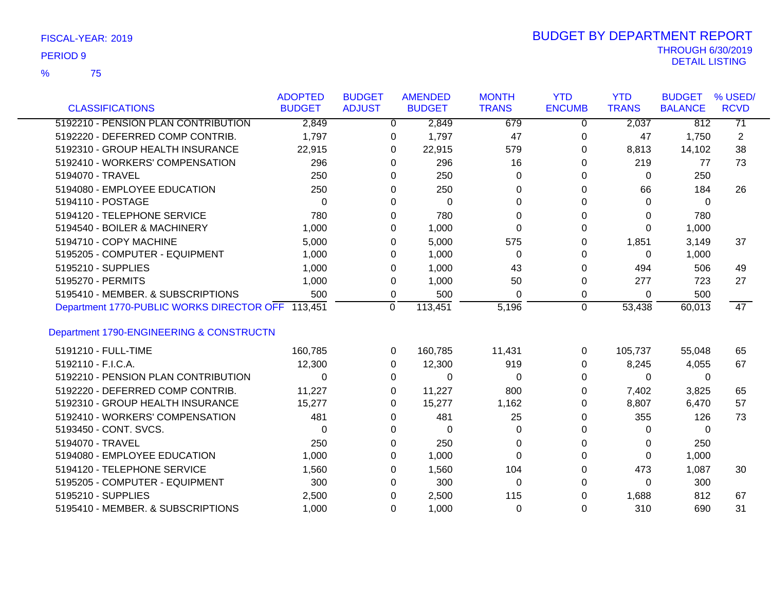75 %

|                                                   | <b>ADOPTED</b> | <b>BUDGET</b> | <b>AMENDED</b>          | <b>MONTH</b> | <b>YTD</b>    | <b>YTD</b>   | <b>BUDGET</b>  | % USED/         |
|---------------------------------------------------|----------------|---------------|-------------------------|--------------|---------------|--------------|----------------|-----------------|
| <b>CLASSIFICATIONS</b>                            | <b>BUDGET</b>  | <b>ADJUST</b> | <b>BUDGET</b>           | <b>TRANS</b> | <b>ENCUMB</b> | <b>TRANS</b> | <b>BALANCE</b> | <b>RCVD</b>     |
| 5192210 - PENSION PLAN CONTRIBUTION               | 2,849          |               | 2,849<br>$\overline{0}$ | 679          | 0             | 2,037        | 812            | $\overline{71}$ |
| 5192220 - DEFERRED COMP CONTRIB.                  | 1,797          |               | 1,797<br>0              | 47           | 0             | 47           | 1,750          | $\overline{c}$  |
| 5192310 - GROUP HEALTH INSURANCE                  | 22,915         |               | 22,915<br>0             | 579          | 0             | 8,813        | 14,102         | 38              |
| 5192410 - WORKERS' COMPENSATION                   | 296            |               | 296<br>0                | 16           | 0             | 219          | 77             | 73              |
| 5194070 - TRAVEL                                  | 250            |               | 250<br>0                | 0            | 0             | 0            | 250            |                 |
| 5194080 - EMPLOYEE EDUCATION                      | 250            |               | 250<br>0                | 0            | 0             | 66           | 184            | 26              |
| 5194110 - POSTAGE                                 | 0              |               | $\mathbf 0$<br>0        | 0            | 0             | 0            | 0              |                 |
| 5194120 - TELEPHONE SERVICE                       | 780            |               | 780<br>0                | 0            | 0             | 0            | 780            |                 |
| 5194540 - BOILER & MACHINERY                      | 1,000          |               | 1,000<br>0              | 0            | 0             | 0            | 1,000          |                 |
| 5194710 - COPY MACHINE                            | 5,000          |               | 5,000<br>0              | 575          | 0             | 1,851        | 3,149          | 37              |
| 5195205 - COMPUTER - EQUIPMENT                    | 1,000          |               | 1,000<br>0              | $\Omega$     | 0             | 0            | 1,000          |                 |
| 5195210 - SUPPLIES                                | 1,000          |               | 1,000<br>0              | 43           | 0             | 494          | 506            | 49              |
| 5195270 - PERMITS                                 | 1,000          |               | 1,000<br>0              | 50           | 0             | 277          | 723            | 27              |
| 5195410 - MEMBER, & SUBSCRIPTIONS                 | 500            |               | 500<br>0                | 0            | 0             | 0            | 500            |                 |
| Department 1770-PUBLIC WORKS DIRECTOR OFF 113,451 |                | $\Omega$      | 113,451                 | 5,196        | $\Omega$      | 53,438       | 60,013         | 47              |
| Department 1790-ENGINEERING & CONSTRUCTN          |                |               |                         |              |               |              |                |                 |
| 5191210 - FULL-TIME                               | 160,785        |               | 160,785<br>0            | 11,431       | 0             | 105,737      | 55,048         | 65              |
| 5192110 - F.I.C.A.                                | 12,300         |               | 12,300<br>0             | 919          | 0             | 8,245        | 4,055          | 67              |
| 5192210 - PENSION PLAN CONTRIBUTION               | 0              |               | $\Omega$<br>0           | 0            | $\Omega$      | 0            | 0              |                 |
| 5192220 - DEFERRED COMP CONTRIB.                  | 11,227         |               | 11,227<br>0             | 800          | 0             | 7,402        | 3,825          | 65              |
| 5192310 - GROUP HEALTH INSURANCE                  | 15,277         |               | 15,277<br>0             | 1,162        | 0             | 8,807        | 6,470          | 57              |
| 5192410 - WORKERS' COMPENSATION                   | 481            |               | 481<br>0                | 25           | 0             | 355          | 126            | 73              |
| 5193450 - CONT. SVCS.                             | 0              |               | $\mathbf 0$<br>0        | 0            | 0             | 0            | 0              |                 |
| 5194070 - TRAVEL                                  | 250            |               | 250<br>0                | 0            | 0             | 0            | 250            |                 |
| 5194080 - EMPLOYEE EDUCATION                      | 1,000          |               | 1,000<br>0              | $\Omega$     | 0             | 0            | 1,000          |                 |
| 5194120 - TELEPHONE SERVICE                       | 1,560          |               | 1,560<br>0              | 104          | 0             | 473          | 1,087          | 30              |
| 5195205 - COMPUTER - EQUIPMENT                    | 300            |               | 300<br>0                | 0            | 0             | 0            | 300            |                 |
| 5195210 - SUPPLIES                                | 2,500          |               | 2,500<br>0              | 115          | 0             | 1,688        | 812            | 67              |
| 5195410 - MEMBER. & SUBSCRIPTIONS                 | 1,000          |               | 1,000<br>0              | 0            | $\Omega$      | 310          | 690            | 31              |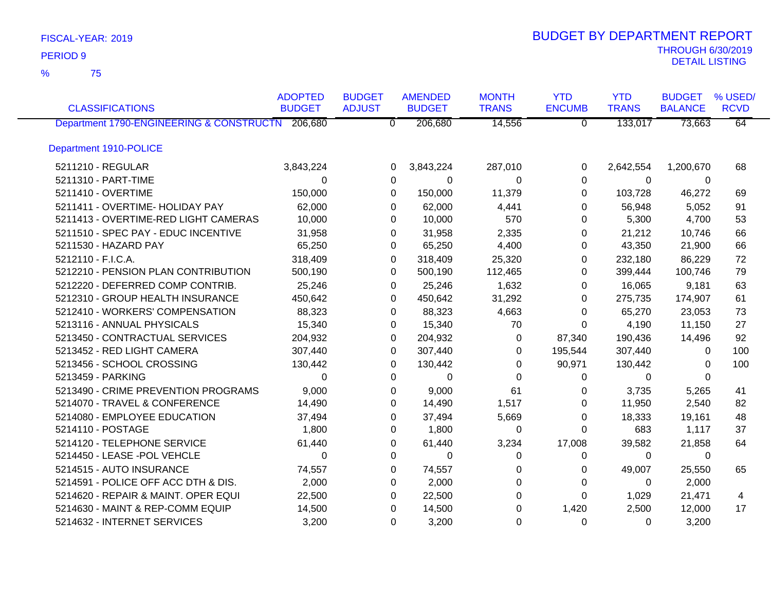75 %

| <b>CLASSIFICATIONS</b>                           | <b>ADOPTED</b><br><b>BUDGET</b> | <b>BUDGET</b><br><b>ADJUST</b> | <b>AMENDED</b><br><b>BUDGET</b> | <b>MONTH</b><br><b>TRANS</b> | <b>YTD</b><br><b>ENCUMB</b> | <b>YTD</b><br><b>TRANS</b> | <b>BUDGET</b><br><b>BALANCE</b> | % USED/<br><b>RCVD</b> |
|--------------------------------------------------|---------------------------------|--------------------------------|---------------------------------|------------------------------|-----------------------------|----------------------------|---------------------------------|------------------------|
| Department 1790-ENGINEERING & CONSTRUCTN 206,680 |                                 | $\overline{0}$                 | 206,680                         | 14,556                       | $\mathbf 0$                 | 133,017                    | 73,663                          | 64                     |
| Department 1910-POLICE                           |                                 |                                |                                 |                              |                             |                            |                                 |                        |
| 5211210 - REGULAR                                | 3,843,224                       | 0                              | 3,843,224                       | 287,010                      | 0                           | 2,642,554                  | 1,200,670                       | 68                     |
| 5211310 - PART-TIME                              | $\Omega$                        | 0                              | 0                               | $\Omega$                     | 0                           | 0                          | $\Omega$                        |                        |
| 5211410 - OVERTIME                               | 150,000                         | 0                              | 150,000                         | 11,379                       | 0                           | 103,728                    | 46,272                          | 69                     |
| 5211411 - OVERTIME- HOLIDAY PAY                  | 62,000                          | 0                              | 62,000                          | 4,441                        | 0                           | 56,948                     | 5,052                           | 91                     |
| 5211413 - OVERTIME-RED LIGHT CAMERAS             | 10,000                          | 0                              | 10,000                          | 570                          | 0                           | 5,300                      | 4,700                           | 53                     |
| 5211510 - SPEC PAY - EDUC INCENTIVE              | 31,958                          | 0                              | 31,958                          | 2,335                        | 0                           | 21,212                     | 10,746                          | 66                     |
| 5211530 - HAZARD PAY                             | 65,250                          | 0                              | 65,250                          | 4,400                        | 0                           | 43,350                     | 21,900                          | 66                     |
| 5212110 - F.I.C.A.                               | 318,409                         | 0                              | 318,409                         | 25,320                       | 0                           | 232,180                    | 86,229                          | 72                     |
| 5212210 - PENSION PLAN CONTRIBUTION              | 500,190                         | 0                              | 500,190                         | 112,465                      | 0                           | 399,444                    | 100,746                         | 79                     |
| 5212220 - DEFERRED COMP CONTRIB.                 | 25,246                          | 0                              | 25,246                          | 1,632                        | 0                           | 16,065                     | 9,181                           | 63                     |
| 5212310 - GROUP HEALTH INSURANCE                 | 450,642                         | 0                              | 450,642                         | 31,292                       | 0                           | 275,735                    | 174,907                         | 61                     |
| 5212410 - WORKERS' COMPENSATION                  | 88,323                          | 0                              | 88,323                          | 4,663                        | 0                           | 65,270                     | 23,053                          | 73                     |
| 5213116 - ANNUAL PHYSICALS                       | 15,340                          | 0                              | 15,340                          | 70                           | 0                           | 4,190                      | 11,150                          | 27                     |
| 5213450 - CONTRACTUAL SERVICES                   | 204,932                         | 0                              | 204,932                         | 0                            | 87,340                      | 190,436                    | 14,496                          | 92                     |
| 5213452 - RED LIGHT CAMERA                       | 307,440                         | 0                              | 307,440                         | 0                            | 195,544                     | 307,440                    | 0                               | 100                    |
| 5213456 - SCHOOL CROSSING                        | 130,442                         | 0                              | 130,442                         | 0                            | 90,971                      | 130,442                    | 0                               | 100                    |
| 5213459 - PARKING                                | $\Omega$                        | 0                              | 0                               | 0                            | 0                           | 0                          | $\Omega$                        |                        |
| 5213490 - CRIME PREVENTION PROGRAMS              | 9,000                           | 0                              | 9,000                           | 61                           | 0                           | 3,735                      | 5,265                           | 41                     |
| 5214070 - TRAVEL & CONFERENCE                    | 14,490                          | 0                              | 14,490                          | 1,517                        | 0                           | 11,950                     | 2,540                           | 82                     |
| 5214080 - EMPLOYEE EDUCATION                     | 37,494                          | 0                              | 37,494                          | 5,669                        | 0                           | 18,333                     | 19,161                          | 48                     |
| 5214110 - POSTAGE                                | 1,800                           | 0                              | 1,800                           | 0                            | 0                           | 683                        | 1,117                           | 37                     |
| 5214120 - TELEPHONE SERVICE                      | 61,440                          | 0                              | 61,440                          | 3,234                        | 17,008                      | 39,582                     | 21,858                          | 64                     |
| 5214450 - LEASE -POL VEHCLE                      | $\Omega$                        | 0                              | 0                               | 0                            | 0                           | 0                          | 0                               |                        |
| 5214515 - AUTO INSURANCE                         | 74,557                          | 0                              | 74,557                          | 0                            | 0                           | 49,007                     | 25,550                          | 65                     |
| 5214591 - POLICE OFF ACC DTH & DIS.              | 2,000                           | 0                              | 2,000                           | 0                            | 0                           | 0                          | 2,000                           |                        |
| 5214620 - REPAIR & MAINT. OPER EQUI              | 22,500                          | 0                              | 22,500                          | 0                            | 0                           | 1,029                      | 21,471                          | 4                      |
| 5214630 - MAINT & REP-COMM EQUIP                 | 14,500                          | 0                              | 14,500                          | 0                            | 1,420                       | 2,500                      | 12,000                          | 17                     |
| 5214632 - INTERNET SERVICES                      | 3,200                           | 0                              | 3,200                           | $\Omega$                     | $\Omega$                    | 0                          | 3,200                           |                        |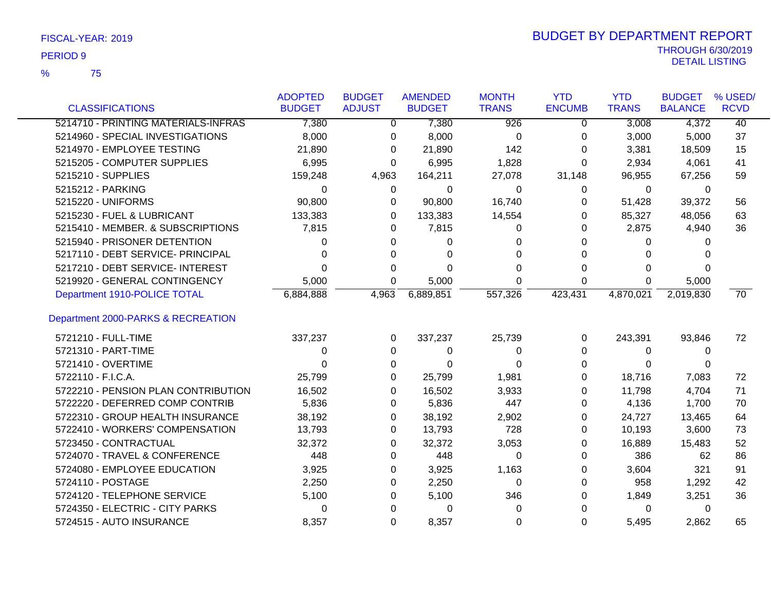75 %

| <b>CLASSIFICATIONS</b>              | <b>ADOPTED</b><br><b>BUDGET</b> | <b>BUDGET</b><br><b>ADJUST</b> | <b>AMENDED</b><br><b>BUDGET</b> | <b>MONTH</b><br><b>TRANS</b> | <b>YTD</b><br><b>ENCUMB</b> | <b>YTD</b><br><b>TRANS</b> | <b>BUDGET</b><br><b>BALANCE</b> | % USED/<br><b>RCVD</b> |
|-------------------------------------|---------------------------------|--------------------------------|---------------------------------|------------------------------|-----------------------------|----------------------------|---------------------------------|------------------------|
| 5214710 - PRINTING MATERIALS-INFRAS | 7,380                           | $\Omega$                       | 7,380                           | $\overline{926}$             | $\Omega$                    | 3,008                      | 4,372                           | $\overline{40}$        |
| 5214960 - SPECIAL INVESTIGATIONS    | 8,000                           |                                | 8,000                           |                              |                             | 3,000                      |                                 | 37                     |
| 5214970 - EMPLOYEE TESTING          |                                 | 0                              |                                 | $\mathbf 0$                  | 0                           |                            | 5,000                           |                        |
|                                     | 21,890                          | 0                              | 21,890                          | 142                          | 0                           | 3,381                      | 18,509                          | 15                     |
| 5215205 - COMPUTER SUPPLIES         | 6,995                           | 0                              | 6,995                           | 1,828                        | 0                           | 2,934                      | 4,061                           | 41                     |
| 5215210 - SUPPLIES                  | 159,248                         | 4,963                          | 164,211                         | 27,078                       | 31,148                      | 96,955                     | 67,256                          | 59                     |
| 5215212 - PARKING                   | $\Omega$                        | 0                              | 0                               | 0                            | 0                           | 0                          | 0                               |                        |
| 5215220 - UNIFORMS                  | 90,800                          | 0                              | 90,800                          | 16,740                       | 0                           | 51,428                     | 39,372                          | 56                     |
| 5215230 - FUEL & LUBRICANT          | 133,383                         | 0                              | 133,383                         | 14,554                       | 0                           | 85,327                     | 48,056                          | 63                     |
| 5215410 - MEMBER. & SUBSCRIPTIONS   | 7,815                           | 0                              | 7,815                           | 0                            | 0                           | 2,875                      | 4,940                           | 36                     |
| 5215940 - PRISONER DETENTION        | 0                               | 0                              | 0                               | 0                            | 0                           | $\Omega$                   | 0                               |                        |
| 5217110 - DEBT SERVICE- PRINCIPAL   | 0                               | 0                              | 0                               | 0                            | 0                           | 0                          |                                 |                        |
| 5217210 - DEBT SERVICE- INTEREST    | $\Omega$                        | 0                              | $\Omega$                        | 0                            | 0                           | $\Omega$                   | 0                               |                        |
| 5219920 - GENERAL CONTINGENCY       | 5,000                           | 0                              | 5,000                           | 0                            | 0                           | $\Omega$                   | 5,000                           |                        |
| Department 1910-POLICE TOTAL        | 6,884,888                       | 4,963                          | 6,889,851                       | 557,326                      | 423, 431                    | 4,870,021                  | 2,019,830                       | $\overline{70}$        |
| Department 2000-PARKS & RECREATION  |                                 |                                |                                 |                              |                             |                            |                                 |                        |
| 5721210 - FULL-TIME                 | 337,237                         | 0                              | 337,237                         | 25,739                       | 0                           | 243,391                    | 93,846                          | 72                     |
| 5721310 - PART-TIME                 | 0                               | 0                              | 0                               | 0                            | 0                           | 0                          | 0                               |                        |
| 5721410 - OVERTIME                  | 0                               | 0                              | 0                               | 0                            | 0                           | 0                          | 0                               |                        |
| 5722110 - F.I.C.A.                  | 25,799                          | 0                              | 25,799                          | 1,981                        | 0                           | 18,716                     | 7,083                           | 72                     |
| 5722210 - PENSION PLAN CONTRIBUTION | 16,502                          | 0                              | 16,502                          | 3,933                        | 0                           | 11,798                     | 4,704                           | 71                     |
| 5722220 - DEFERRED COMP CONTRIB     | 5,836                           | 0                              | 5,836                           | 447                          | 0                           | 4,136                      | 1,700                           | 70                     |
| 5722310 - GROUP HEALTH INSURANCE    | 38,192                          | 0                              | 38,192                          | 2,902                        | 0                           | 24,727                     | 13,465                          | 64                     |
| 5722410 - WORKERS' COMPENSATION     | 13,793                          | 0                              | 13,793                          | 728                          | 0                           | 10,193                     | 3,600                           | 73                     |
| 5723450 - CONTRACTUAL               | 32,372                          | 0                              | 32,372                          | 3,053                        | 0                           | 16,889                     | 15,483                          | 52                     |
| 5724070 - TRAVEL & CONFERENCE       | 448                             | 0                              | 448                             | 0                            | 0                           | 386                        | 62                              | 86                     |
| 5724080 - EMPLOYEE EDUCATION        | 3,925                           | 0                              | 3,925                           | 1,163                        | 0                           | 3,604                      | 321                             | 91                     |
| 5724110 - POSTAGE                   | 2,250                           | 0                              | 2,250                           | 0                            | 0                           | 958                        | 1,292                           | 42                     |
| 5724120 - TELEPHONE SERVICE         | 5,100                           | 0                              | 5,100                           | 346                          | 0                           | 1,849                      | 3,251                           | 36                     |
| 5724350 - ELECTRIC - CITY PARKS     | 0                               | 0                              | 0                               | 0                            | 0                           | 0                          | 0                               |                        |
| 5724515 - AUTO INSURANCE            | 8,357                           | 0                              | 8,357                           | 0                            | 0                           | 5,495                      | 2,862                           | 65                     |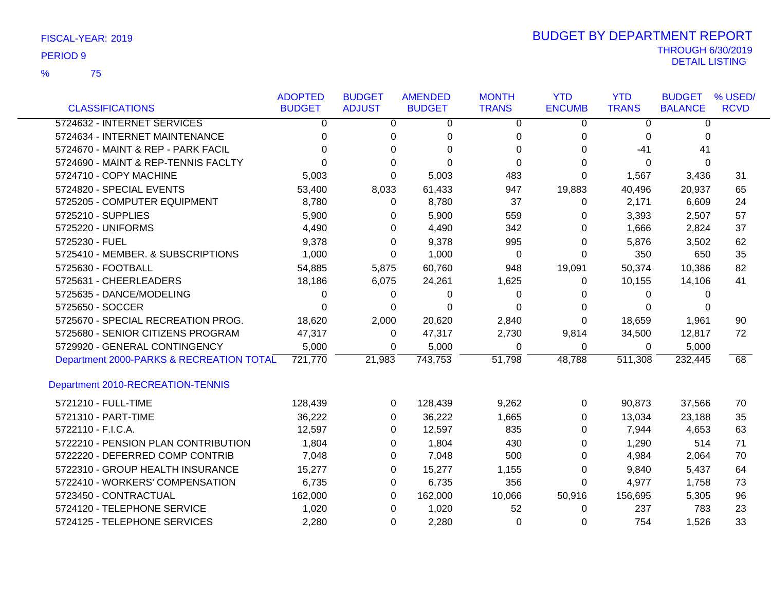75 %

|                                          | <b>ADOPTED</b> | <b>BUDGET</b> | <b>AMENDED</b> | <b>MONTH</b> | <b>YTD</b>    | <b>YTD</b>   | <b>BUDGET</b>  | % USED/     |
|------------------------------------------|----------------|---------------|----------------|--------------|---------------|--------------|----------------|-------------|
| <b>CLASSIFICATIONS</b>                   | <b>BUDGET</b>  | <b>ADJUST</b> | <b>BUDGET</b>  | <b>TRANS</b> | <b>ENCUMB</b> | <b>TRANS</b> | <b>BALANCE</b> | <b>RCVD</b> |
| 5724632 - INTERNET SERVICES              | 0              | 0             | 0              | 0            | 0             | 0            | 0              |             |
| 5724634 - INTERNET MAINTENANCE           | 0              | 0             | 0              | 0            | 0             | 0            | 0              |             |
| 5724670 - MAINT & REP - PARK FACIL       | 0              | $\Omega$      | 0              | $\Omega$     | 0             | -41          | 41             |             |
| 5724690 - MAINT & REP-TENNIS FACLTY      | 0              | 0             | $\Omega$       | $\Omega$     | 0             | 0            | 0              |             |
| 5724710 - COPY MACHINE                   | 5,003          | $\Omega$      | 5,003          | 483          | 0             | 1,567        | 3,436          | 31          |
| 5724820 - SPECIAL EVENTS                 | 53,400         | 8,033         | 61,433         | 947          | 19,883        | 40,496       | 20,937         | 65          |
| 5725205 - COMPUTER EQUIPMENT             | 8,780          | $\Omega$      | 8,780          | 37           | 0             | 2,171        | 6,609          | 24          |
| 5725210 - SUPPLIES                       | 5,900          | 0             | 5,900          | 559          | 0             | 3,393        | 2,507          | 57          |
| 5725220 - UNIFORMS                       | 4,490          | 0             | 4,490          | 342          | 0             | 1,666        | 2,824          | 37          |
| 5725230 - FUEL                           | 9,378          | 0             | 9,378          | 995          | 0             | 5,876        | 3,502          | 62          |
| 5725410 - MEMBER. & SUBSCRIPTIONS        | 1,000          | 0             | 1,000          | 0            | 0             | 350          | 650            | 35          |
| 5725630 - FOOTBALL                       | 54,885         | 5,875         | 60,760         | 948          | 19,091        | 50,374       | 10,386         | 82          |
| 5725631 - CHEERLEADERS                   | 18,186         | 6,075         | 24,261         | 1,625        | 0             | 10,155       | 14,106         | 41          |
| 5725635 - DANCE/MODELING                 | 0              | 0             | 0              | 0            | 0             | 0            | 0              |             |
| 5725650 - SOCCER                         | $\Omega$       | 0             | $\Omega$       | $\Omega$     | 0             | 0            | 0              |             |
| 5725670 - SPECIAL RECREATION PROG.       | 18,620         | 2,000         | 20,620         | 2,840        | 0             | 18,659       | 1,961          | 90          |
| 5725680 - SENIOR CITIZENS PROGRAM        | 47,317         | 0             | 47,317         | 2,730        | 9,814         | 34,500       | 12,817         | 72          |
| 5729920 - GENERAL CONTINGENCY            | 5,000          | 0             | 5,000          | 0            | 0             | 0            | 5,000          |             |
| Department 2000-PARKS & RECREATION TOTAL | 721,770        | 21,983        | 743,753        | 51,798       | 48,788        | 511,308      | 232,445        | 68          |
| Department 2010-RECREATION-TENNIS        |                |               |                |              |               |              |                |             |
| 5721210 - FULL-TIME                      | 128,439        | 0             | 128,439        | 9,262        | 0             | 90,873       | 37,566         | 70          |
| 5721310 - PART-TIME                      | 36,222         | 0             | 36,222         | 1,665        | 0             | 13,034       | 23,188         | 35          |
| 5722110 - F.I.C.A.                       | 12,597         | 0             | 12,597         | 835          | 0             | 7,944        | 4,653          | 63          |
| 5722210 - PENSION PLAN CONTRIBUTION      | 1,804          | $\Omega$      | 1,804          | 430          | 0             | 1,290        | 514            | 71          |
| 5722220 - DEFERRED COMP CONTRIB          | 7,048          | 0             | 7,048          | 500          | 0             | 4,984        | 2,064          | 70          |
| 5722310 - GROUP HEALTH INSURANCE         | 15,277         | 0             | 15,277         | 1,155        | 0             | 9,840        | 5,437          | 64          |
| 5722410 - WORKERS' COMPENSATION          | 6,735          | $\Omega$      | 6,735          | 356          | 0             | 4,977        | 1,758          | 73          |
| 5723450 - CONTRACTUAL                    | 162,000        | 0             | 162,000        | 10,066       | 50,916        | 156,695      | 5,305          | 96          |
| 5724120 - TELEPHONE SERVICE              | 1,020          | $\Omega$      | 1,020          | 52           | 0             | 237          | 783            | 23          |
| 5724125 - TELEPHONE SERVICES             | 2,280          | $\Omega$      | 2,280          | $\Omega$     | 0             | 754          | 1,526          | 33          |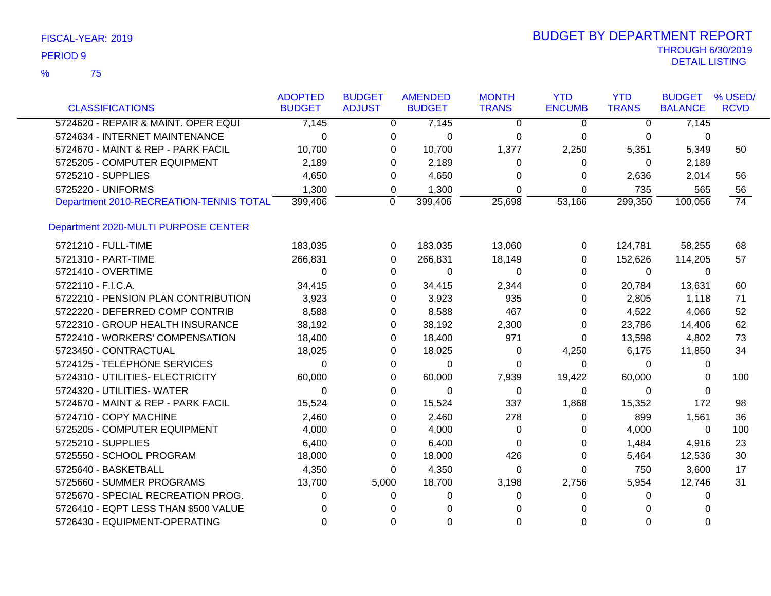| FISCAL-YEAR: 2019 |  |  |
|-------------------|--|--|
|-------------------|--|--|

|                                         | <b>ADOPTED</b> | <b>BUDGET</b> | <b>AMENDED</b> | <b>MONTH</b> | <b>YTD</b>    | <b>YTD</b>   | <b>BUDGET</b>  | % USED/         |
|-----------------------------------------|----------------|---------------|----------------|--------------|---------------|--------------|----------------|-----------------|
| <b>CLASSIFICATIONS</b>                  | <b>BUDGET</b>  | <b>ADJUST</b> | <b>BUDGET</b>  | <b>TRANS</b> | <b>ENCUMB</b> | <b>TRANS</b> | <b>BALANCE</b> | <b>RCVD</b>     |
| 5724620 - REPAIR & MAINT. OPER EQUI     | 7,145          | $\mathbf{0}$  | 7,145          | $\Omega$     | 0             | 0            | 7,145          |                 |
| 5724634 - INTERNET MAINTENANCE          | 0              | 0             | 0              | 0            | 0             | 0            | 0              |                 |
| 5724670 - MAINT & REP - PARK FACIL      | 10,700         | 0             | 10,700         | 1,377        | 2,250         | 5,351        | 5,349          | 50              |
| 5725205 - COMPUTER EQUIPMENT            | 2,189          | 0             | 2,189          | 0            | 0             | 0            | 2,189          |                 |
| 5725210 - SUPPLIES                      | 4,650          | 0             | 4,650          | 0            | 0             | 2,636        | 2,014          | 56              |
| 5725220 - UNIFORMS                      | 1,300          | 0             | 1,300          | 0            | 0             | 735          | 565            | 56              |
| Department 2010-RECREATION-TENNIS TOTAL | 399,406        | 0             | 399,406        | 25,698       | 53,166        | 299,350      | 100,056        | $\overline{74}$ |
| Department 2020-MULTI PURPOSE CENTER    |                |               |                |              |               |              |                |                 |
| 5721210 - FULL-TIME                     | 183,035        | 0             | 183,035        | 13,060       | 0             | 124,781      | 58,255         | 68              |
| 5721310 - PART-TIME                     | 266,831        | 0             | 266,831        | 18,149       | 0             | 152,626      | 114,205        | 57              |
| 5721410 - OVERTIME                      | 0              | 0             | 0              | 0            | 0             | 0            | 0              |                 |
| 5722110 - F.I.C.A.                      | 34,415         | 0             | 34,415         | 2,344        | 0             | 20,784       | 13,631         | 60              |
| 5722210 - PENSION PLAN CONTRIBUTION     | 3,923          | 0             | 3,923          | 935          | 0             | 2,805        | 1,118          | 71              |
| 5722220 - DEFERRED COMP CONTRIB         | 8,588          | 0             | 8,588          | 467          | 0             | 4,522        | 4,066          | 52              |
| 5722310 - GROUP HEALTH INSURANCE        | 38,192         | 0             | 38,192         | 2,300        | 0             | 23,786       | 14,406         | 62              |
| 5722410 - WORKERS' COMPENSATION         | 18,400         | 0             | 18,400         | 971          | 0             | 13,598       | 4,802          | 73              |
| 5723450 - CONTRACTUAL                   | 18,025         | 0             | 18,025         | 0            | 4,250         | 6,175        | 11,850         | 34              |
| 5724125 - TELEPHONE SERVICES            | 0              | 0             | 0              | 0            | 0             | 0            | 0              |                 |
| 5724310 - UTILITIES- ELECTRICITY        | 60,000         | 0             | 60,000         | 7,939        | 19,422        | 60,000       | 0              | 100             |
| 5724320 - UTILITIES- WATER              | $\Omega$       | 0             | 0              | 0            | 0             | 0            | 0              |                 |
| 5724670 - MAINT & REP - PARK FACIL      | 15,524         | 0             | 15,524         | 337          | 1,868         | 15,352       | 172            | 98              |
| 5724710 - COPY MACHINE                  | 2,460          | 0             | 2,460          | 278          | 0             | 899          | 1,561          | 36              |
| 5725205 - COMPUTER EQUIPMENT            | 4,000          | 0             | 4,000          | 0            | 0             | 4,000        | 0              | 100             |
| 5725210 - SUPPLIES                      | 6,400          | 0             | 6,400          | 0            | 0             | 1,484        | 4,916          | 23              |
| 5725550 - SCHOOL PROGRAM                | 18,000         | 0             | 18,000         | 426          | 0             | 5,464        | 12,536         | 30              |
| 5725640 - BASKETBALL                    | 4,350          | 0             | 4,350          | 0            | 0             | 750          | 3,600          | 17              |
| 5725660 - SUMMER PROGRAMS               | 13,700         | 5,000         | 18,700         | 3,198        | 2,756         | 5,954        | 12,746         | 31              |
| 5725670 - SPECIAL RECREATION PROG.      | 0              | 0             | 0              | 0            | 0             | 0            | 0              |                 |
| 5726410 - EQPT LESS THAN \$500 VALUE    | 0              | 0             | 0              | 0            | 0             | O            | 0              |                 |
| 5726430 - EQUIPMENT-OPERATING           | 0              | 0             | 0              | 0            | 0             | 0            | 0              |                 |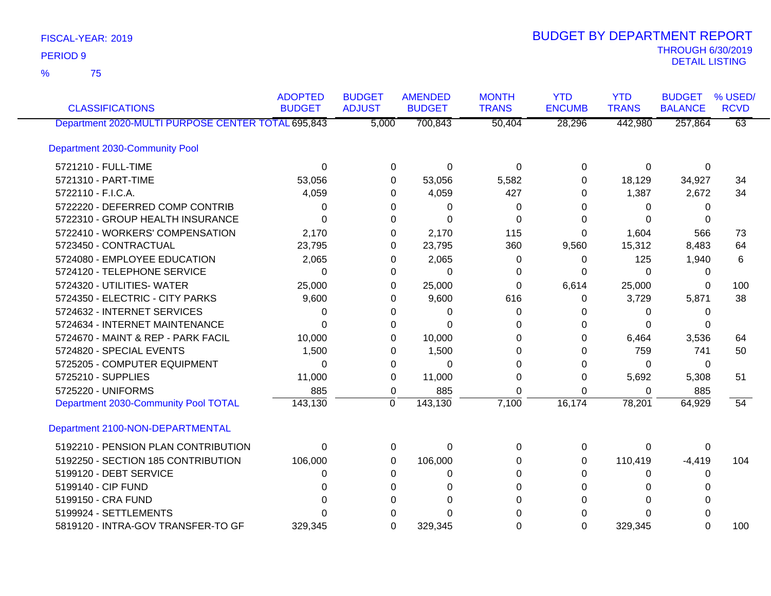75 %

| <b>CLASSIFICATIONS</b>                             | <b>ADOPTED</b><br><b>BUDGET</b> | <b>BUDGET</b><br><b>ADJUST</b> | <b>AMENDED</b><br><b>BUDGET</b> | <b>MONTH</b><br><b>TRANS</b> | <b>YTD</b><br><b>ENCUMB</b> | <b>YTD</b><br><b>TRANS</b> | <b>BUDGET</b><br><b>BALANCE</b> | % USED/<br><b>RCVD</b> |
|----------------------------------------------------|---------------------------------|--------------------------------|---------------------------------|------------------------------|-----------------------------|----------------------------|---------------------------------|------------------------|
| Department 2020-MULTI PURPOSE CENTER TOTAL 695,843 |                                 | 5,000                          | 700,843                         | 50,404                       | 28,296                      | 442,980                    | 257,864                         | $\overline{63}$        |
| Department 2030-Community Pool                     |                                 |                                |                                 |                              |                             |                            |                                 |                        |
| 5721210 - FULL-TIME                                | 0                               | 0                              | 0                               | $\Omega$                     | 0                           | 0                          | 0                               |                        |
| 5721310 - PART-TIME                                | 53,056                          | $\Omega$                       | 53,056                          | 5,582                        | 0                           | 18,129                     | 34,927                          | 34                     |
| 5722110 - F.I.C.A.                                 | 4,059                           | 0                              | 4,059                           | 427                          | 0                           | 1,387                      | 2,672                           | 34                     |
| 5722220 - DEFERRED COMP CONTRIB                    | 0                               | 0                              | 0                               | 0                            | 0                           | 0                          | 0                               |                        |
| 5722310 - GROUP HEALTH INSURANCE                   | $\Omega$                        | 0                              | $\Omega$                        | 0                            | 0                           | 0                          | 0                               |                        |
| 5722410 - WORKERS' COMPENSATION                    | 2,170                           | 0                              | 2,170                           | 115                          | 0                           | 1,604                      | 566                             | 73                     |
| 5723450 - CONTRACTUAL                              | 23,795                          | 0                              | 23,795                          | 360                          | 9,560                       | 15,312                     | 8,483                           | 64                     |
| 5724080 - EMPLOYEE EDUCATION                       | 2,065                           | 0                              | 2,065                           | 0                            | 0                           | 125                        | 1,940                           | 6                      |
| 5724120 - TELEPHONE SERVICE                        | 0                               | 0                              | 0                               | 0                            | 0                           | 0                          | 0                               |                        |
| 5724320 - UTILITIES- WATER                         | 25,000                          | 0                              | 25,000                          | 0                            | 6,614                       | 25,000                     | 0                               | 100                    |
| 5724350 - ELECTRIC - CITY PARKS                    | 9,600                           | 0                              | 9,600                           | 616                          | 0                           | 3,729                      | 5,871                           | 38                     |
| 5724632 - INTERNET SERVICES                        | 0                               | 0                              | 0                               | 0                            | 0                           | 0                          | 0                               |                        |
| 5724634 - INTERNET MAINTENANCE                     | $\Omega$                        | $\Omega$                       | $\Omega$                        | ∩                            | ი                           | $\Omega$                   | 0                               |                        |
| 5724670 - MAINT & REP - PARK FACIL                 | 10,000                          | 0                              | 10,000                          | 0                            |                             | 6,464                      | 3,536                           | 64                     |
| 5724820 - SPECIAL EVENTS                           | 1,500                           | 0                              | 1,500                           | 0                            | O                           | 759                        | 741                             | 50                     |
| 5725205 - COMPUTER EQUIPMENT                       | $\Omega$                        | 0                              | 0                               | 0                            | 0                           | 0                          | 0                               |                        |
| 5725210 - SUPPLIES                                 | 11,000                          | 0                              | 11,000                          | $\Omega$                     | 0                           | 5,692                      | 5,308                           | 51                     |
| 5725220 - UNIFORMS                                 | 885                             | 0                              | 885                             | 0                            | 0                           | 0                          | 885                             |                        |
| Department 2030-Community Pool TOTAL               | 143,130                         | $\Omega$                       | 143,130                         | 7,100                        | 16,174                      | 78,201                     | 64,929                          | 54                     |
| Department 2100-NON-DEPARTMENTAL                   |                                 |                                |                                 |                              |                             |                            |                                 |                        |
| 5192210 - PENSION PLAN CONTRIBUTION                | $\Omega$                        | 0                              | $\Omega$                        | $\Omega$                     | $\Omega$                    | 0                          | 0                               |                        |
| 5192250 - SECTION 185 CONTRIBUTION                 | 106,000                         | 0                              | 106,000                         | 0                            | 0                           | 110,419                    | $-4,419$                        | 104                    |
| 5199120 - DEBT SERVICE                             | 0                               | 0                              | 0                               | 0                            | 0                           | 0                          | 0                               |                        |
| 5199140 - CIP FUND                                 | <sup>0</sup>                    | 0                              | 0                               | 0                            | <sup>0</sup>                | 0                          | 0                               |                        |
| 5199150 - CRA FUND                                 |                                 | 0                              | O                               | 0                            |                             | 0                          |                                 |                        |
| 5199924 - SETTLEMENTS                              |                                 | U                              |                                 |                              |                             | O                          |                                 |                        |
| 5819120 - INTRA-GOV TRANSFER-TO GF                 | 329,345                         | $\Omega$                       | 329,345                         | $\Omega$                     | $\Omega$                    | 329,345                    | 0                               | 100                    |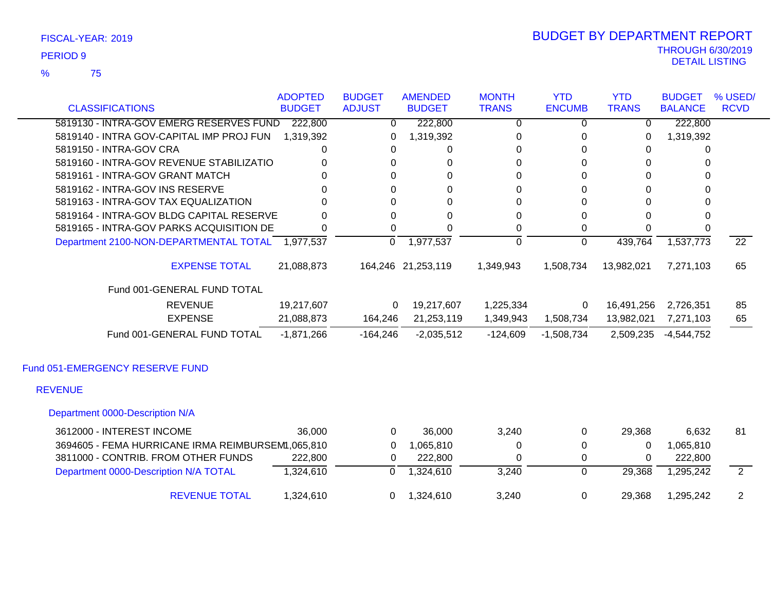75 %

### THROUGH 6/30/2019<br>DETAIL LISTING DETAIL LISTING PERIOD <sup>9</sup> BUDGET BY DEPARTMENT REPORT

|                                                   | <b>ADOPTED</b> | <b>BUDGET</b> | <b>AMENDED</b>     | <b>MONTH</b> | <b>YTD</b>    | <b>YTD</b>   | <b>BUDGET</b>  | % USED/         |
|---------------------------------------------------|----------------|---------------|--------------------|--------------|---------------|--------------|----------------|-----------------|
| <b>CLASSIFICATIONS</b>                            | <b>BUDGET</b>  | <b>ADJUST</b> | <b>BUDGET</b>      | <b>TRANS</b> | <b>ENCUMB</b> | <b>TRANS</b> | <b>BALANCE</b> | <b>RCVD</b>     |
| 5819130 - INTRA-GOV EMERG RESERVES FUND           | 222,800        | $\Omega$      | 222,800            | 0            | 0             | $\Omega$     | 222,800        |                 |
| 5819140 - INTRA GOV-CAPITAL IMP PROJ FUN          | 1,319,392      |               | 1,319,392          | 0            | 0             | 0            | 1,319,392      |                 |
| 5819150 - INTRA-GOV CRA                           | 0              | 0             | 0                  | 0            | 0             | 0            | 0              |                 |
| 5819160 - INTRA-GOV REVENUE STABILIZATIO          | 0              | 0             | 0                  | 0            | 0             | 0            | 0              |                 |
| 5819161 - INTRA-GOV GRANT MATCH                   | U              | $\Omega$      | $\Omega$           | 0            | $\Omega$      | $\Omega$     | 0              |                 |
| 5819162 - INTRA-GOV INS RESERVE                   |                | 0             | 0                  | 0            | $\Omega$      | $\Omega$     | 0              |                 |
| 5819163 - INTRA-GOV TAX EQUALIZATION              |                | $\Omega$      | 0                  | 0            | 0             | $\Omega$     | $\Omega$       |                 |
| 5819164 - INTRA-GOV BLDG CAPITAL RESERVE          | 0              | 0             | 0                  | 0            | 0             | $\Omega$     | 0              |                 |
| 5819165 - INTRA-GOV PARKS ACQUISITION DE          | 0              | 0             | 0                  | 0            | 0             | 0            | <sup>0</sup>   |                 |
| Department 2100-NON-DEPARTMENTAL TOTAL 1,977,537  |                | $\Omega$      | 1,977,537          | $\Omega$     | $\Omega$      | 439,764      | 1,537,773      | $\overline{22}$ |
| <b>EXPENSE TOTAL</b>                              | 21,088,873     |               | 164,246 21,253,119 | 1,349,943    | 1,508,734     | 13,982,021   | 7,271,103      | 65              |
| Fund 001-GENERAL FUND TOTAL                       |                |               |                    |              |               |              |                |                 |
| <b>REVENUE</b>                                    | 19,217,607     | 0             | 19,217,607         | 1,225,334    | 0             | 16,491,256   | 2,726,351      | 85              |
| <b>EXPENSE</b>                                    | 21,088,873     | 164,246       | 21,253,119         | 1,349,943    | 1,508,734     | 13,982,021   | 7,271,103      | 65              |
| Fund 001-GENERAL FUND TOTAL                       | $-1,871,266$   | $-164,246$    | $-2,035,512$       | $-124,609$   | $-1,508,734$  | 2,509,235    | $-4,544,752$   |                 |
| Fund 051-EMERGENCY RESERVE FUND                   |                |               |                    |              |               |              |                |                 |
| <b>REVENUE</b>                                    |                |               |                    |              |               |              |                |                 |
| Department 0000-Description N/A                   |                |               |                    |              |               |              |                |                 |
| 3612000 - INTEREST INCOME                         | 36,000         | $\Omega$      | 36,000             | 3,240        | 0             | 29,368       | 6,632          | 81              |
| 3694605 - FEMA HURRICANE IRMA REIMBURSEM1,065,810 |                | 0             | 1,065,810          | 0            | 0             | 0            | 1,065,810      |                 |
| 3811000 - CONTRIB. FROM OTHER FUNDS               | 222,800        | 0             | 222,800            | 0            | 0             | 0            | 222,800        |                 |
| Department 0000-Description N/A TOTAL             | 1,324,610      | 0             | 1,324,610          | 3,240        | 0             | 29,368       | 1,295,242      | $\overline{2}$  |

REVENUE TOTAL 1,324,610 0 1,324,610 3,240 0 29,368 1,295,242 2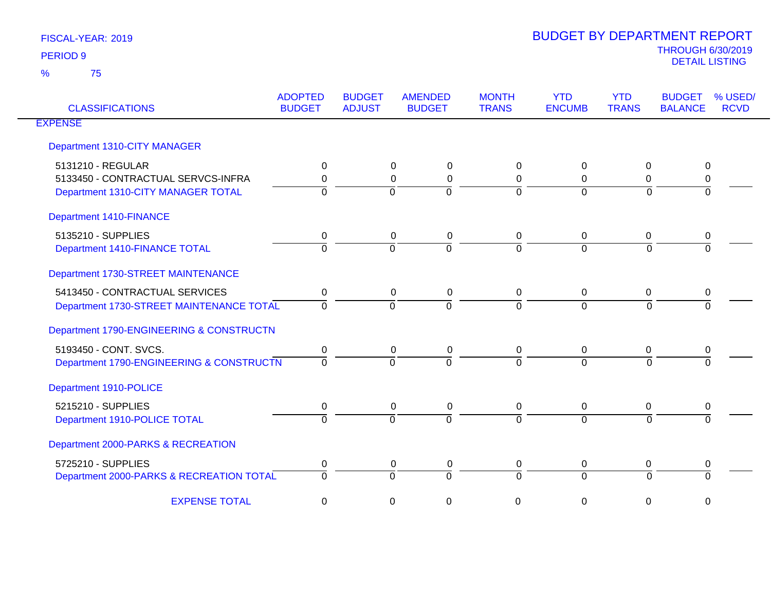| <b>CLASSIFICATIONS</b>                   | <b>ADOPTED</b><br><b>BUDGET</b> | <b>BUDGET</b><br><b>ADJUST</b> | <b>AMENDED</b><br><b>BUDGET</b> | <b>MONTH</b><br><b>TRANS</b> | <b>YTD</b><br><b>ENCUMB</b> | <b>YTD</b><br><b>TRANS</b> | <b>BUDGET</b><br><b>BALANCE</b> | % USED/<br><b>RCVD</b> |
|------------------------------------------|---------------------------------|--------------------------------|---------------------------------|------------------------------|-----------------------------|----------------------------|---------------------------------|------------------------|
| <b>EXPENSE</b>                           |                                 |                                |                                 |                              |                             |                            |                                 |                        |
| Department 1310-CITY MANAGER             |                                 |                                |                                 |                              |                             |                            |                                 |                        |
| 5131210 - REGULAR                        | 0                               |                                | 0<br>$\Omega$                   | 0                            | $\mathbf{0}$                | $\Omega$                   | 0                               |                        |
| 5133450 - CONTRACTUAL SERVCS-INFRA       | 0                               |                                | $\Omega$<br>0                   | 0                            | $\Omega$                    | $\Omega$                   | 0                               |                        |
| Department 1310-CITY MANAGER TOTAL       | $\Omega$                        |                                | $\Omega$<br>0                   | $\overline{0}$               | $\Omega$                    | $\Omega$                   | $\Omega$                        |                        |
| <b>Department 1410-FINANCE</b>           |                                 |                                |                                 |                              |                             |                            |                                 |                        |
| 5135210 - SUPPLIES                       | 0                               |                                | 0<br>0                          | 0                            | 0                           | 0                          | 0                               |                        |
| Department 1410-FINANCE TOTAL            | $\Omega$                        |                                | $\Omega$<br>$\Omega$            | $\overline{0}$               | $\Omega$                    | $\Omega$                   | $\Omega$                        |                        |
| Department 1730-STREET MAINTENANCE       |                                 |                                |                                 |                              |                             |                            |                                 |                        |
| 5413450 - CONTRACTUAL SERVICES           | 0                               |                                | $\mathbf 0$<br>$\mathbf 0$      | 0                            | $\mathbf 0$                 | $\mathbf 0$                | 0                               |                        |
| Department 1730-STREET MAINTENANCE TOTAL | $\Omega$                        |                                | $\Omega$<br>$\Omega$            | $\Omega$                     | $\Omega$                    | $\Omega$                   | 0                               |                        |
| Department 1790-ENGINEERING & CONSTRUCTN |                                 |                                |                                 |                              |                             |                            |                                 |                        |
| 5193450 - CONT. SVCS.                    | 0                               |                                | $\mathbf 0$<br>0                | $\pmb{0}$                    | $\mathbf 0$                 | $\mathbf 0$                | 0                               |                        |
| Department 1790-ENGINEERING & CONSTRUCTN | 0                               |                                | $\Omega$<br>$\Omega$            | $\Omega$                     | $\Omega$                    | $\Omega$                   |                                 |                        |
| Department 1910-POLICE                   |                                 |                                |                                 |                              |                             |                            |                                 |                        |
| 5215210 - SUPPLIES                       | 0                               |                                | $\mathbf 0$<br>$\pmb{0}$        | $\pmb{0}$                    | $\overline{0}$              | 0                          | 0                               |                        |
| Department 1910-POLICE TOTAL             | $\Omega$                        |                                | $\Omega$<br>$\Omega$            | $\Omega$                     | $\Omega$                    | $\Omega$                   | <sup>n</sup>                    |                        |
| Department 2000-PARKS & RECREATION       |                                 |                                |                                 |                              |                             |                            |                                 |                        |
| 5725210 - SUPPLIES                       | 0                               |                                | 0<br>0                          | 0                            | $\mathbf 0$                 | 0                          | 0                               |                        |
| Department 2000-PARKS & RECREATION TOTAL | $\Omega$                        |                                | $\Omega$<br>$\Omega$            | $\overline{0}$               | $\Omega$                    | $\Omega$                   | $\Omega$                        |                        |
| <b>EXPENSE TOTAL</b>                     | 0                               |                                | 0<br>0                          | 0                            | 0                           | 0                          | 0                               |                        |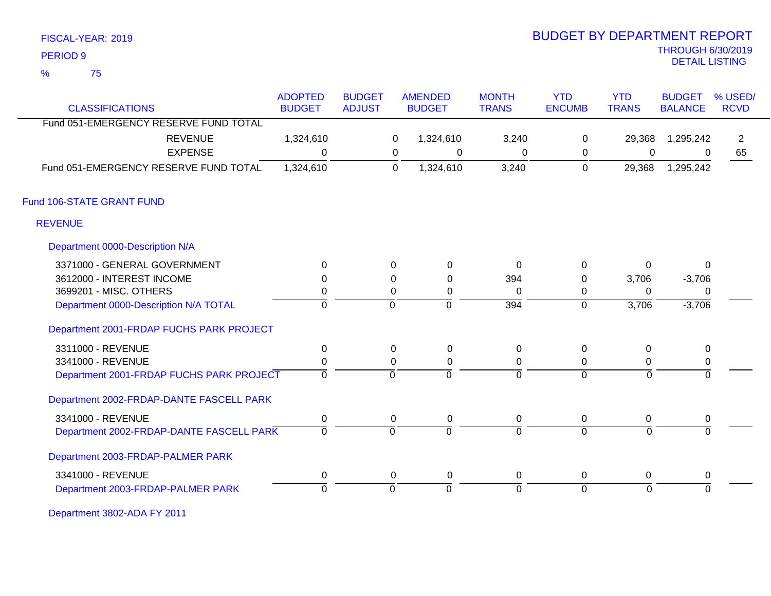| FISCAL-YEAR: 2019 |  |
|-------------------|--|
|                   |  |

75 %

# THROUGH 6/30/2019 DETAIL LISTING PERIOD <sup>9</sup> BUDGET BY DEPARTMENT REPORT

|                                          | <b>ADOPTED</b> | <b>BUDGET</b> |                | <b>AMENDED</b> | <b>MONTH</b>   | <b>YTD</b>     | <b>YTD</b>   | <b>BUDGET</b>  | % USED/        |
|------------------------------------------|----------------|---------------|----------------|----------------|----------------|----------------|--------------|----------------|----------------|
| <b>CLASSIFICATIONS</b>                   | <b>BUDGET</b>  | <b>ADJUST</b> |                | <b>BUDGET</b>  | <b>TRANS</b>   | <b>ENCUMB</b>  | <b>TRANS</b> | <b>BALANCE</b> | <b>RCVD</b>    |
| Fund 051-EMERGENCY RESERVE FUND TOTAL    |                |               |                |                |                |                |              |                |                |
| <b>REVENUE</b>                           | 1,324,610      |               | $\mathbf 0$    | 1,324,610      | 3,240          | 0              | 29,368       | 1,295,242      | $\overline{2}$ |
| <b>EXPENSE</b>                           | $\Omega$       |               | $\Omega$       | $\mathbf 0$    | $\Omega$       | 0              | $\mathbf 0$  | 0              | 65             |
| Fund 051-EMERGENCY RESERVE FUND TOTAL    | 1,324,610      |               | $\mathbf 0$    | 1,324,610      | 3,240          | $\mathbf 0$    | 29,368       | 1,295,242      |                |
| Fund 106-STATE GRANT FUND                |                |               |                |                |                |                |              |                |                |
| <b>REVENUE</b>                           |                |               |                |                |                |                |              |                |                |
| Department 0000-Description N/A          |                |               |                |                |                |                |              |                |                |
| 3371000 - GENERAL GOVERNMENT             | $\Omega$       |               | 0              | $\mathbf 0$    | $\Omega$       | $\pmb{0}$      | 0            | 0              |                |
| 3612000 - INTEREST INCOME                | $\Omega$       |               | 0              | 0              | 394            | 0              | 3,706        | $-3,706$       |                |
| 3699201 - MISC. OTHERS                   | 0              |               | 0              | 0              | 0              | 0              | $\Omega$     | 0              |                |
| Department 0000-Description N/A TOTAL    | $\overline{0}$ |               | $\overline{0}$ | $\overline{0}$ | 394            | $\mathbf 0$    | 3,706        | $-3,706$       |                |
| Department 2001-FRDAP FUCHS PARK PROJECT |                |               |                |                |                |                |              |                |                |
| 3311000 - REVENUE                        | $\pmb{0}$      |               | 0              | $\mathbf 0$    | 0              | $\mathbf 0$    | 0            | 0              |                |
| 3341000 - REVENUE                        | $\pmb{0}$      |               | 0              | 0              | $\Omega$       | 0              | $\Omega$     | 0              |                |
| Department 2001-FRDAP FUCHS PARK PROJECT | $\overline{0}$ |               | $\overline{0}$ | 0              | 0              | $\overline{0}$ | $\mathbf 0$  | $\overline{0}$ |                |
| Department 2002-FRDAP-DANTE FASCELL PARK |                |               |                |                |                |                |              |                |                |
| 3341000 - REVENUE                        | $\pmb{0}$      |               | $\mathbf 0$    | $\mathbf 0$    | 0              | 0              | 0            | 0              |                |
| Department 2002-FRDAP-DANTE FASCELL PARK | $\overline{0}$ |               | $\overline{0}$ | $\overline{0}$ | $\overline{0}$ | $\overline{0}$ | $\mathbf 0$  | $\overline{0}$ |                |
| Department 2003-FRDAP-PALMER PARK        |                |               |                |                |                |                |              |                |                |
| 3341000 - REVENUE                        | $\pmb{0}$      |               | 0              | 0              | 0              | 0              | 0            | 0              |                |
| Department 2003-FRDAP-PALMER PARK        | $\Omega$       |               | $\overline{0}$ | $\overline{0}$ | $\Omega$       | $\overline{0}$ | $\Omega$     | $\Omega$       |                |

Department 3802-ADA FY 2011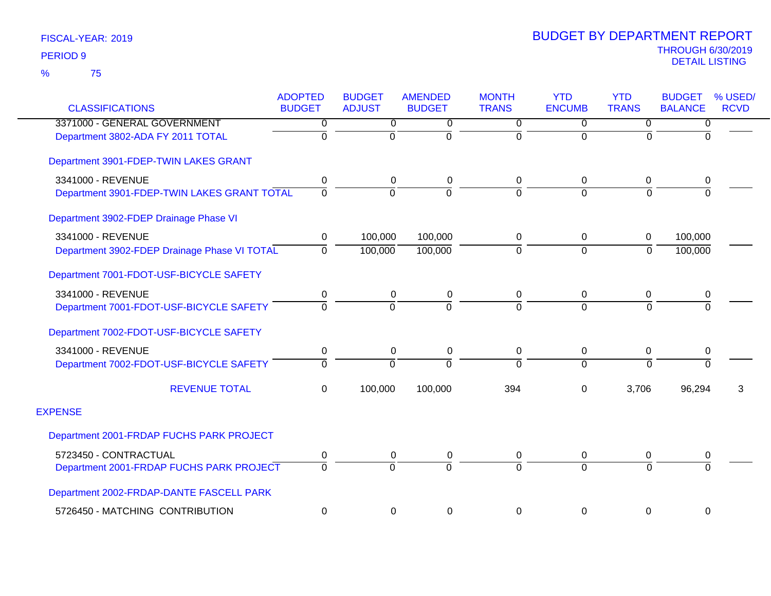| <b>CLASSIFICATIONS</b>                       | <b>ADOPTED</b><br><b>BUDGET</b> | <b>BUDGET</b><br><b>ADJUST</b> | <b>AMENDED</b><br><b>BUDGET</b> | <b>MONTH</b><br><b>TRANS</b> | <b>YTD</b><br><b>ENCUMB</b> | <b>YTD</b><br><b>TRANS</b> | <b>BUDGET</b><br><b>BALANCE</b> | % USED/<br><b>RCVD</b> |
|----------------------------------------------|---------------------------------|--------------------------------|---------------------------------|------------------------------|-----------------------------|----------------------------|---------------------------------|------------------------|
| 3371000 - GENERAL GOVERNMENT                 | 0                               | $\overline{0}$                 | 0                               | $\overline{0}$               | $\overline{0}$              | 0                          | 0                               |                        |
| Department 3802-ADA FY 2011 TOTAL            | $\overline{0}$                  | $\overline{0}$                 | $\Omega$                        | $\overline{0}$               | $\Omega$                    | $\overline{0}$             | $\overline{0}$                  |                        |
| Department 3901-FDEP-TWIN LAKES GRANT        |                                 |                                |                                 |                              |                             |                            |                                 |                        |
| 3341000 - REVENUE                            | 0                               | 0                              | 0                               | 0                            | 0                           | 0                          | 0                               |                        |
| Department 3901-FDEP-TWIN LAKES GRANT TOTAL  | $\Omega$                        | $\Omega$                       | $\Omega$                        | $\overline{0}$               | $\Omega$                    | $\overline{0}$             | $\Omega$                        |                        |
| Department 3902-FDEP Drainage Phase VI       |                                 |                                |                                 |                              |                             |                            |                                 |                        |
| 3341000 - REVENUE                            | 0                               | 100,000                        | 100,000                         | 0                            | 0                           | 0                          | 100,000                         |                        |
| Department 3902-FDEP Drainage Phase VI TOTAL | $\Omega$                        | 100,000                        | 100,000                         | $\overline{0}$               | $\overline{0}$              | $\overline{0}$             | 100,000                         |                        |
| Department 7001-FDOT-USF-BICYCLE SAFETY      |                                 |                                |                                 |                              |                             |                            |                                 |                        |
| 3341000 - REVENUE                            | 0                               | 0                              | 0                               | 0                            | $\mathbf 0$                 | 0                          | 0                               |                        |
| Department 7001-FDOT-USF-BICYCLE SAFETY      | $\Omega$                        | $\Omega$                       | $\Omega$                        | $\Omega$                     | $\Omega$                    | $\overline{0}$             | $\Omega$                        |                        |
| Department 7002-FDOT-USF-BICYCLE SAFETY      |                                 |                                |                                 |                              |                             |                            |                                 |                        |
| 3341000 - REVENUE                            | $\pmb{0}$                       | 0                              | 0                               | 0                            | $\mathbf 0$                 | 0                          | $\pmb{0}$                       |                        |
| Department 7002-FDOT-USF-BICYCLE SAFETY      | $\Omega$                        | $\Omega$                       | $\Omega$                        | $\Omega$                     | $\Omega$                    | $\Omega$                   | $\overline{0}$                  |                        |
| <b>REVENUE TOTAL</b>                         | $\Omega$                        | 100,000                        | 100,000                         | 394                          | $\Omega$                    | 3,706                      | 96,294                          | 3                      |
| <b>EXPENSE</b>                               |                                 |                                |                                 |                              |                             |                            |                                 |                        |
| Department 2001-FRDAP FUCHS PARK PROJECT     |                                 |                                |                                 |                              |                             |                            |                                 |                        |
| 5723450 - CONTRACTUAL                        | 0                               | 0                              | 0                               | 0                            | 0                           | 0                          | 0                               |                        |
| Department 2001-FRDAP FUCHS PARK PROJECT     | $\Omega$                        | $\Omega$                       | $\Omega$                        | $\Omega$                     | $\Omega$                    | $\Omega$                   | $\Omega$                        |                        |
| Department 2002-FRDAP-DANTE FASCELL PARK     |                                 |                                |                                 |                              |                             |                            |                                 |                        |
| 5726450 - MATCHING CONTRIBUTION              | 0                               | 0                              | 0                               | 0                            | $\mathbf 0$                 | 0                          | $\boldsymbol{0}$                |                        |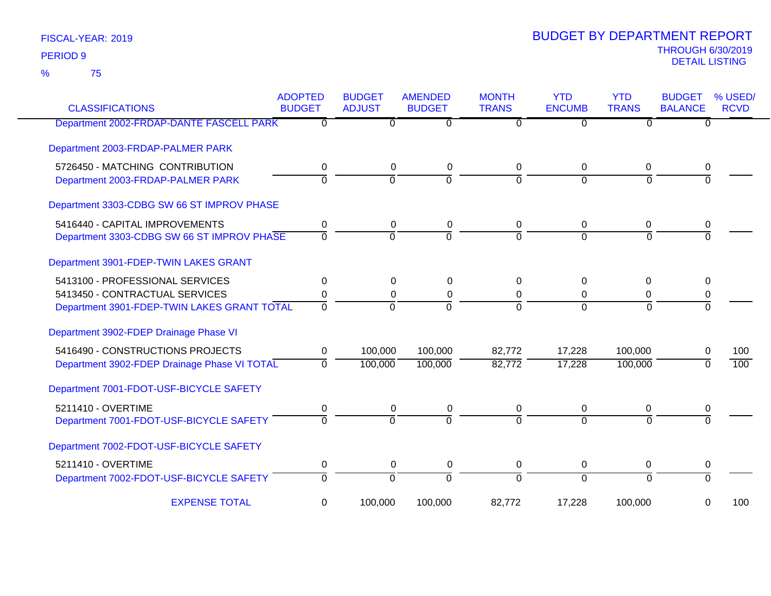75 %

| <b>CLASSIFICATIONS</b>                       | <b>ADOPTED</b><br><b>BUDGET</b> | <b>BUDGET</b><br><b>ADJUST</b> | <b>AMENDED</b><br><b>BUDGET</b> | <b>MONTH</b><br><b>TRANS</b> | <b>YTD</b><br><b>ENCUMB</b> | <b>YTD</b><br><b>TRANS</b> | <b>BUDGET</b><br><b>BALANCE</b> | % USED/<br><b>RCVD</b> |
|----------------------------------------------|---------------------------------|--------------------------------|---------------------------------|------------------------------|-----------------------------|----------------------------|---------------------------------|------------------------|
| Department 2002-FRDAP-DANTE FASCELL PARK     | $\Omega$                        | $\Omega$                       | 0                               | 0                            | 0                           | $\Omega$                   | 0                               |                        |
| Department 2003-FRDAP-PALMER PARK            |                                 |                                |                                 |                              |                             |                            |                                 |                        |
| 5726450 - MATCHING CONTRIBUTION              | $\pmb{0}$                       | $\mathbf 0$                    | $\mathbf 0$                     | 0                            | 0                           | 0                          | 0                               |                        |
| Department 2003-FRDAP-PALMER PARK            | $\mathbf 0$                     | $\overline{0}$                 | $\overline{0}$                  | $\Omega$                     | $\Omega$                    | $\Omega$                   | $\Omega$                        |                        |
| Department 3303-CDBG SW 66 ST IMPROV PHASE   |                                 |                                |                                 |                              |                             |                            |                                 |                        |
| 5416440 - CAPITAL IMPROVEMENTS               | 0                               | 0                              | 0                               | 0                            | 0                           | 0                          | 0                               |                        |
| Department 3303-CDBG SW 66 ST IMPROV PHASE   | $\Omega$                        | $\overline{0}$                 | $\overline{0}$                  | $\Omega$                     | $\Omega$                    | $\Omega$                   | $\Omega$                        |                        |
| Department 3901-FDEP-TWIN LAKES GRANT        |                                 |                                |                                 |                              |                             |                            |                                 |                        |
| 5413100 - PROFESSIONAL SERVICES              | $\Omega$                        | $\Omega$                       | 0                               | $\Omega$                     | 0                           | 0                          | 0                               |                        |
| 5413450 - CONTRACTUAL SERVICES               | 0                               | 0                              | 0                               | 0                            | 0                           | 0                          | 0                               |                        |
| Department 3901-FDEP-TWIN LAKES GRANT TOTAL  | $\Omega$                        | $\Omega$                       | $\Omega$                        | $\Omega$                     | $\Omega$                    | $\Omega$                   | $\Omega$                        |                        |
| Department 3902-FDEP Drainage Phase VI       |                                 |                                |                                 |                              |                             |                            |                                 |                        |
| 5416490 - CONSTRUCTIONS PROJECTS             | 0                               | 100,000                        | 100,000                         | 82,772                       | 17,228                      | 100,000                    | 0                               | 100                    |
| Department 3902-FDEP Drainage Phase VI TOTAL | $\Omega$                        | 100,000                        | 100,000                         | 82,772                       | 17,228                      | 100,000                    | $\Omega$                        | $\overline{100}$       |
| Department 7001-FDOT-USF-BICYCLE SAFETY      |                                 |                                |                                 |                              |                             |                            |                                 |                        |
| 5211410 - OVERTIME                           | $\pmb{0}$                       | $\mathbf 0$                    | 0                               | 0                            | $\mathbf 0$                 | $\mathbf 0$                | 0                               |                        |
| Department 7001-FDOT-USF-BICYCLE SAFETY      | $\Omega$                        | $\Omega$                       | $\Omega$                        | $\Omega$                     | $\Omega$                    | $\Omega$                   | $\Omega$                        |                        |
| Department 7002-FDOT-USF-BICYCLE SAFETY      |                                 |                                |                                 |                              |                             |                            |                                 |                        |
| 5211410 - OVERTIME                           | 0                               | $\mathbf 0$                    | 0                               | 0                            | $\mathbf 0$                 | 0                          | 0                               |                        |
| Department 7002-FDOT-USF-BICYCLE SAFETY      | $\Omega$                        | $\overline{0}$                 | $\overline{0}$                  | $\Omega$                     | $\overline{0}$              | $\Omega$                   | $\Omega$                        |                        |
| <b>EXPENSE TOTAL</b>                         | 0                               | 100,000                        | 100,000                         | 82,772                       | 17,228                      | 100,000                    | 0                               | 100                    |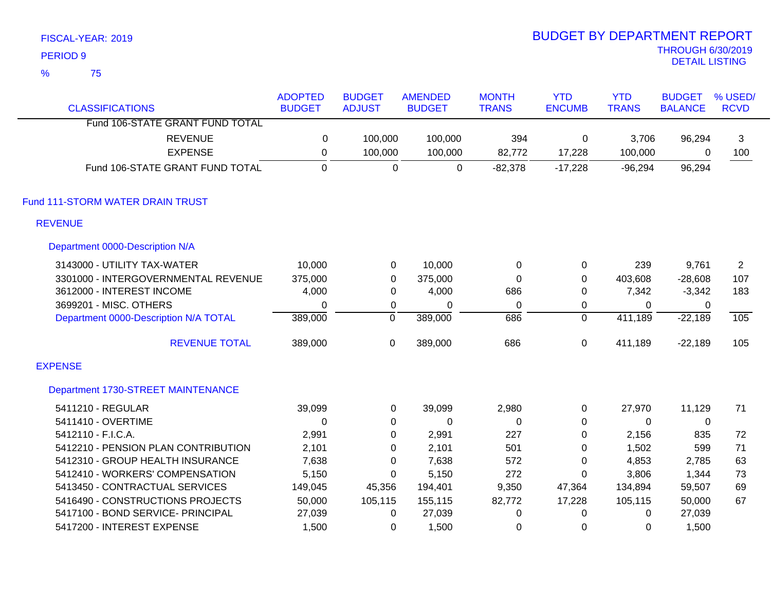|                | FISCAL-YEAR: 2019                     |                |                  |                |                  | <b>BUDGET BY DEPARTMENT REPORT</b> |              |                          |                |
|----------------|---------------------------------------|----------------|------------------|----------------|------------------|------------------------------------|--------------|--------------------------|----------------|
|                | <b>PERIOD 9</b>                       |                |                  |                |                  |                                    |              | <b>THROUGH 6/30/2019</b> |                |
| $\frac{9}{6}$  | 75                                    |                |                  |                |                  |                                    |              | <b>DETAIL LISTING</b>    |                |
|                |                                       | <b>ADOPTED</b> | <b>BUDGET</b>    | <b>AMENDED</b> | <b>MONTH</b>     | <b>YTD</b>                         | <b>YTD</b>   | <b>BUDGET</b>            | % USED/        |
|                | <b>CLASSIFICATIONS</b>                | <b>BUDGET</b>  | <b>ADJUST</b>    | <b>BUDGET</b>  | <b>TRANS</b>     | <b>ENCUMB</b>                      | <b>TRANS</b> | <b>BALANCE</b>           | <b>RCVD</b>    |
|                | Fund 106-STATE GRANT FUND TOTAL       |                |                  |                |                  |                                    |              |                          |                |
|                | <b>REVENUE</b>                        | 0              | 100,000          | 100,000        | 394              | 0                                  | 3,706        | 96,294                   | 3              |
|                | <b>EXPENSE</b>                        | $\pmb{0}$      | 100,000          | 100,000        | 82,772           | 17,228                             | 100,000      | 0                        | 100            |
|                | Fund 106-STATE GRANT FUND TOTAL       | $\overline{0}$ | $\Omega$         | $\overline{0}$ | $-82,378$        | $-17,228$                          | $-96,294$    | 96,294                   |                |
|                | Fund 111-STORM WATER DRAIN TRUST      |                |                  |                |                  |                                    |              |                          |                |
|                | <b>REVENUE</b>                        |                |                  |                |                  |                                    |              |                          |                |
|                | Department 0000-Description N/A       |                |                  |                |                  |                                    |              |                          |                |
|                | 3143000 - UTILITY TAX-WATER           | 10,000         | $\pmb{0}$        | 10,000         | $\pmb{0}$        | 0                                  | 239          | 9,761                    | $\overline{2}$ |
|                | 3301000 - INTERGOVERNMENTAL REVENUE   | 375,000        | $\boldsymbol{0}$ | 375,000        | $\boldsymbol{0}$ | 0                                  | 403,608      | $-28,608$                | 107            |
|                | 3612000 - INTEREST INCOME             | 4,000          | $\boldsymbol{0}$ | 4,000          | 686              | 0                                  | 7,342        | $-3,342$                 | 183            |
|                | 3699201 - MISC. OTHERS                | $\mathbf 0$    | $\pmb{0}$        | 0              | $\pmb{0}$        | 0                                  | 0            | 0                        |                |
|                | Department 0000-Description N/A TOTAL | 389,000        | $\overline{0}$   | 389,000        | 686              | $\overline{0}$                     | 411,189      | $-22,189$                | 105            |
|                | <b>REVENUE TOTAL</b>                  | 389,000        | $\mathbf 0$      | 389,000        | 686              | 0                                  | 411,189      | $-22,189$                | 105            |
| <b>EXPENSE</b> |                                       |                |                  |                |                  |                                    |              |                          |                |
|                | Department 1730-STREET MAINTENANCE    |                |                  |                |                  |                                    |              |                          |                |
|                | 5411210 - REGULAR                     | 39,099         | 0                | 39,099         | 2,980            | 0                                  | 27,970       | 11,129                   | 71             |
|                | 5411410 - OVERTIME                    | $\mathbf 0$    | $\boldsymbol{0}$ | 0              | $\pmb{0}$        | 0                                  | 0            | $\pmb{0}$                |                |
|                | 5412110 - F.I.C.A.                    | 2,991          | $\boldsymbol{0}$ | 2,991          | 227              | $\mathbf 0$                        | 2,156        | 835                      | 72             |
|                | 5412210 - PENSION PLAN CONTRIBUTION   | 2,101          | $\pmb{0}$        | 2,101          | 501              | 0                                  | 1,502        | 599                      | 71             |
|                | 5412310 - GROUP HEALTH INSURANCE      | 7,638          | $\mathbf 0$      | 7,638          | 572              | 0                                  | 4,853        | 2,785                    | 63             |
|                | 5412410 - WORKERS' COMPENSATION       | 5,150          | 0                | 5,150          | 272              | 0                                  | 3,806        | 1,344                    | 73             |
|                | 5413450 - CONTRACTUAL SERVICES        | 149,045        | 45,356           | 194,401        | 9,350            | 47,364                             | 134,894      | 59,507                   | 69             |
|                | 5416490 - CONSTRUCTIONS PROJECTS      | 50,000         | 105,115          | 155,115        | 82,772           | 17,228                             | 105,115      | 50,000                   | 67             |
|                | 5417100 - BOND SERVICE- PRINCIPAL     | 27,039         | 0                | 27,039         | 0                | $\Omega$                           | 0            | 27,039                   |                |

5417200 - INTEREST EXPENSE 1,500 0 1,500 0 0 0 1,500

BUDGET BY DEPARTMENT REPORT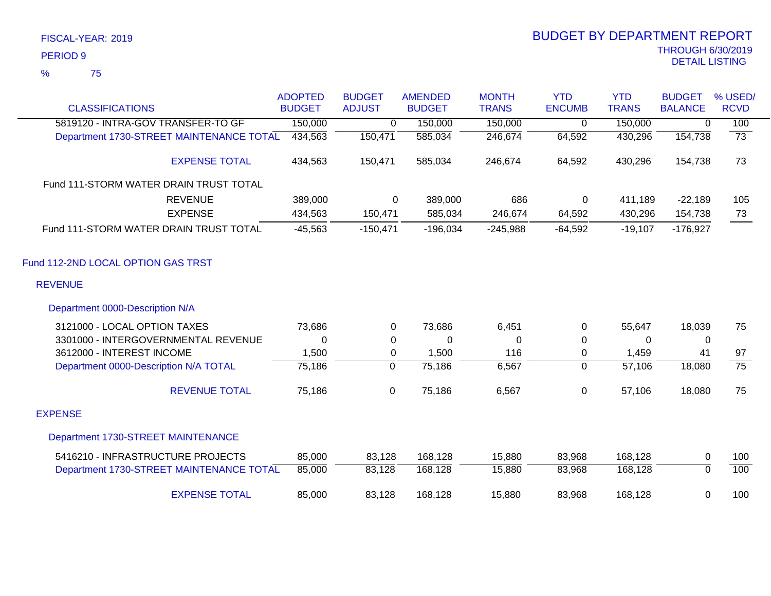|                                          | <b>ADOPTED</b> | <b>BUDGET</b>  | <b>AMENDED</b> | <b>MONTH</b> | <b>YTD</b>     | <b>YTD</b>   | <b>BUDGET</b>  | % USED/         |
|------------------------------------------|----------------|----------------|----------------|--------------|----------------|--------------|----------------|-----------------|
| <b>CLASSIFICATIONS</b>                   | <b>BUDGET</b>  | <b>ADJUST</b>  | <b>BUDGET</b>  | <b>TRANS</b> | <b>ENCUMB</b>  | <b>TRANS</b> | <b>BALANCE</b> | <b>RCVD</b>     |
| 5819120 - INTRA-GOV TRANSFER-TO GF       | 150,000        | $\overline{0}$ | 150,000        | 150,000      | $\overline{0}$ | 150,000      | 0              | 100             |
| Department 1730-STREET MAINTENANCE TOTAL | 434,563        | 150,471        | 585,034        | 246,674      | 64,592         | 430,296      | 154,738        | $\overline{73}$ |
| <b>EXPENSE TOTAL</b>                     | 434,563        | 150,471        | 585,034        | 246,674      | 64,592         | 430,296      | 154,738        | 73              |
| Fund 111-STORM WATER DRAIN TRUST TOTAL   |                |                |                |              |                |              |                |                 |
| <b>REVENUE</b>                           | 389,000        | 0              | 389,000        | 686          | $\mathbf 0$    | 411,189      | $-22,189$      | 105             |
| <b>EXPENSE</b>                           | 434,563        | 150,471        | 585,034        | 246,674      | 64,592         | 430,296      | 154,738        | 73              |
| Fund 111-STORM WATER DRAIN TRUST TOTAL   | $-45,563$      | $-150,471$     | $-196,034$     | $-245,988$   | $-64,592$      | $-19,107$    | $-176,927$     |                 |
| Fund 112-2ND LOCAL OPTION GAS TRST       |                |                |                |              |                |              |                |                 |
| <b>REVENUE</b>                           |                |                |                |              |                |              |                |                 |
| Department 0000-Description N/A          |                |                |                |              |                |              |                |                 |
| 3121000 - LOCAL OPTION TAXES             | 73,686         | $\Omega$       | 73,686         | 6,451        | 0              | 55,647       | 18,039         | 75              |
| 3301000 - INTERGOVERNMENTAL REVENUE      | $\Omega$       | 0              | 0              | 0            | $\pmb{0}$      | $\Omega$     | 0              |                 |
| 3612000 - INTEREST INCOME                | 1,500          | 0              | 1,500          | 116          | 0              | 1,459        | 41             | 97              |
| Department 0000-Description N/A TOTAL    | 75,186         | $\overline{0}$ | 75,186         | 6,567        | $\mathbf 0$    | 57,106       | 18,080         | $\overline{75}$ |
| <b>REVENUE TOTAL</b>                     | 75,186         | 0              | 75,186         | 6,567        | $\pmb{0}$      | 57,106       | 18,080         | 75              |
| <b>EXPENSE</b>                           |                |                |                |              |                |              |                |                 |
| Department 1730-STREET MAINTENANCE       |                |                |                |              |                |              |                |                 |
| 5416210 - INFRASTRUCTURE PROJECTS        | 85,000         | 83,128         | 168,128        | 15,880       | 83,968         | 168,128      | $\mathbf 0$    | 100             |
| Department 1730-STREET MAINTENANCE TOTAL | 85,000         | 83,128         | 168,128        | 15,880       | 83,968         | 168,128      | $\overline{0}$ | 100             |
| <b>EXPENSE TOTAL</b>                     | 85,000         | 83,128         | 168,128        | 15,880       | 83,968         | 168,128      | 0              | 100             |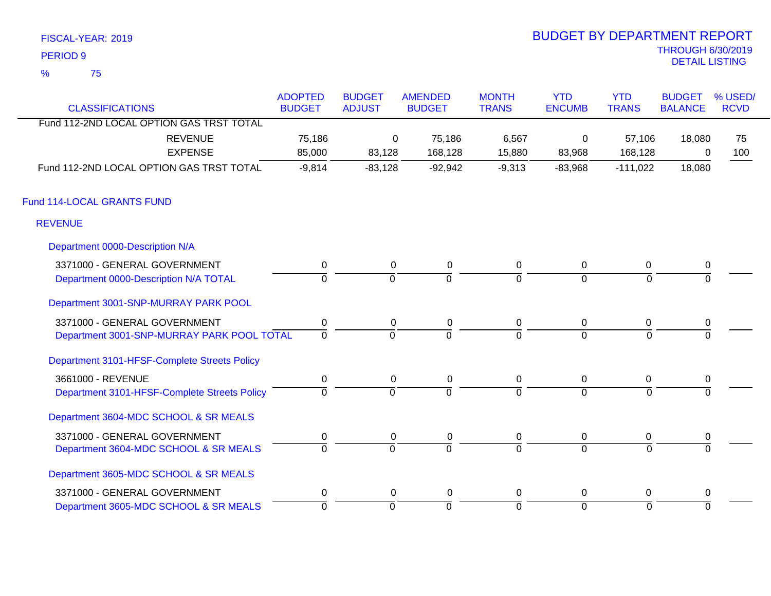| <b>BUDGET BY DEPARTMENT REPORT</b>         |
|--------------------------------------------|
| <b>THROUGH 6/30/2019</b><br>DETAIL LISTING |
|                                            |
|                                            |

# BUDGET BY DEPARTMENT REPORT

| <b>CLASSIFICATIONS</b>                       | <b>ADOPTED</b><br><b>BUDGET</b> | <b>BUDGET</b><br><b>ADJUST</b> | <b>AMENDED</b><br><b>BUDGET</b> | <b>MONTH</b><br><b>TRANS</b> | <b>YTD</b><br><b>ENCUMB</b> | <b>YTD</b><br><b>TRANS</b> | <b>BUDGET</b><br><b>BALANCE</b> | % USED/<br><b>RCVD</b> |
|----------------------------------------------|---------------------------------|--------------------------------|---------------------------------|------------------------------|-----------------------------|----------------------------|---------------------------------|------------------------|
| Fund 112-2ND LOCAL OPTION GAS TRST TOTAL     |                                 |                                |                                 |                              |                             |                            |                                 |                        |
| <b>REVENUE</b>                               | 75,186                          | 0                              | 75,186                          | 6,567                        | 0                           | 57,106                     | 18,080                          | 75                     |
| <b>EXPENSE</b>                               | 85,000                          | 83,128                         | 168,128                         | 15,880                       | 83,968                      | 168,128                    | 0                               | 100                    |
| Fund 112-2ND LOCAL OPTION GAS TRST TOTAL     | $-9,814$                        | $-83,128$                      | $-92,942$                       | $-9,313$                     | $-83,968$                   | $-111,022$                 | 18,080                          |                        |
| Fund 114-LOCAL GRANTS FUND                   |                                 |                                |                                 |                              |                             |                            |                                 |                        |
| <b>REVENUE</b>                               |                                 |                                |                                 |                              |                             |                            |                                 |                        |
| Department 0000-Description N/A              |                                 |                                |                                 |                              |                             |                            |                                 |                        |
| 3371000 - GENERAL GOVERNMENT                 | $\mathbf 0$                     | $\mathbf 0$                    | $\mathbf 0$                     | 0                            | $\overline{0}$              | 0                          | $\pmb{0}$                       |                        |
| Department 0000-Description N/A TOTAL        | $\Omega$                        | $\Omega$                       | $\overline{0}$                  | $\Omega$                     | $\mathbf 0$                 | $\Omega$                   | $\Omega$                        |                        |
| Department 3001-SNP-MURRAY PARK POOL         |                                 |                                |                                 |                              |                             |                            |                                 |                        |
| 3371000 - GENERAL GOVERNMENT                 | $\mathbf 0$                     | 0                              | 0                               | 0                            | $\mathbf 0$                 | 0                          | 0                               |                        |
| Department 3001-SNP-MURRAY PARK POOL TOTAL   | $\mathbf 0$                     | $\Omega$                       | $\Omega$                        | $\Omega$                     | $\Omega$                    | $\Omega$                   | $\Omega$                        |                        |
| Department 3101-HFSF-Complete Streets Policy |                                 |                                |                                 |                              |                             |                            |                                 |                        |
| 3661000 - REVENUE                            | $\mathbf 0$                     | $\mathbf 0$                    | $\mathbf 0$                     | $\mathbf 0$                  | $\overline{0}$              | 0                          | $\mathbf 0$                     |                        |
| Department 3101-HFSF-Complete Streets Policy | $\mathbf{0}$                    | $\Omega$                       | $\overline{0}$                  | $\Omega$                     | $\overline{0}$              | $\Omega$                   | $\Omega$                        |                        |
| Department 3604-MDC SCHOOL & SR MEALS        |                                 |                                |                                 |                              |                             |                            |                                 |                        |
| 3371000 - GENERAL GOVERNMENT                 | $\mathbf 0$                     | 0                              | 0                               | 0                            | $\mathbf 0$                 | 0                          | 0                               |                        |
| Department 3604-MDC SCHOOL & SR MEALS        | $\mathbf 0$                     | $\overline{0}$                 | $\overline{0}$                  | $\overline{0}$               | $\overline{0}$              | $\Omega$                   | $\Omega$                        |                        |
| Department 3605-MDC SCHOOL & SR MEALS        |                                 |                                |                                 |                              |                             |                            |                                 |                        |
| 3371000 - GENERAL GOVERNMENT                 | 0                               | 0                              | 0                               | 0                            | 0                           | 0                          | 0                               |                        |
| Department 3605-MDC SCHOOL & SR MEALS        | $\overline{0}$                  | $\overline{0}$                 | ō                               | ō                            | $\overline{0}$              | 0                          | $\overline{0}$                  |                        |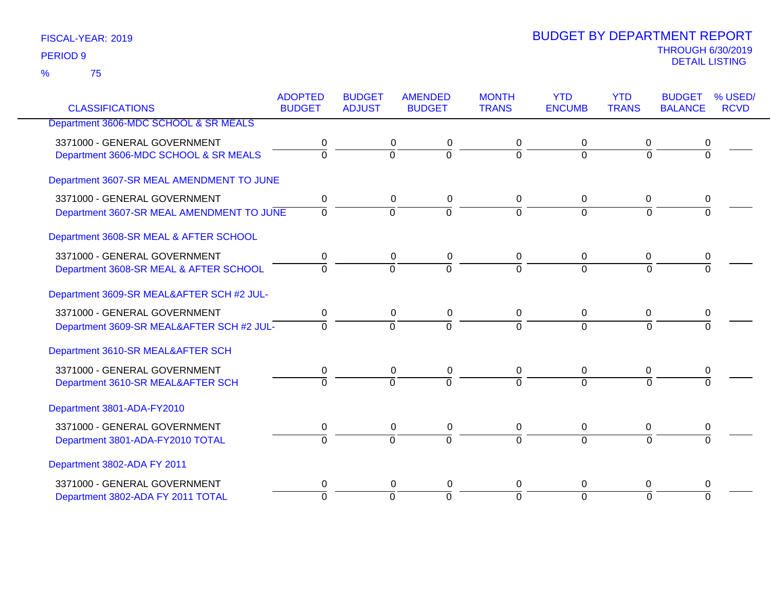|                                           | <b>ADOPTED</b> | <b>BUDGET</b>  | <b>AMENDED</b> | <b>MONTH</b>   | <b>YTD</b>     | <b>YTD</b>     | <b>BUDGET</b>  | % USED/     |
|-------------------------------------------|----------------|----------------|----------------|----------------|----------------|----------------|----------------|-------------|
| <b>CLASSIFICATIONS</b>                    | <b>BUDGET</b>  | <b>ADJUST</b>  | <b>BUDGET</b>  | <b>TRANS</b>   | <b>ENCUMB</b>  | <b>TRANS</b>   | <b>BALANCE</b> | <b>RCVD</b> |
| Department 3606-MDC SCHOOL & SR MEALS     |                |                |                |                |                |                |                |             |
| 3371000 - GENERAL GOVERNMENT              | 0              | 0              | 0              | 0              | 0              | 0              |                |             |
| Department 3606-MDC SCHOOL & SR MEALS     | $\overline{0}$ | $\overline{0}$ | $\overline{0}$ | $\Omega$       | $\mathbf 0$    | $\Omega$       | $\Omega$       |             |
| Department 3607-SR MEAL AMENDMENT TO JUNE |                |                |                |                |                |                |                |             |
| 3371000 - GENERAL GOVERNMENT              | $\mathbf 0$    | $\mathbf 0$    | $\pmb{0}$      | $\mathbf 0$    | $\mathbf 0$    | 0              | 0              |             |
| Department 3607-SR MEAL AMENDMENT TO JUNE | $\mathbf 0$    | $\overline{0}$ | $\overline{0}$ | $\Omega$       | $\Omega$       | $\Omega$       | $\Omega$       |             |
| Department 3608-SR MEAL & AFTER SCHOOL    |                |                |                |                |                |                |                |             |
| 3371000 - GENERAL GOVERNMENT              | 0              | 0              | 0              | 0              | 0              | 0              | 0              |             |
| Department 3608-SR MEAL & AFTER SCHOOL    | $\overline{0}$ | $\overline{0}$ | $\overline{0}$ | $\overline{0}$ | $\overline{0}$ | $\overline{0}$ | $\overline{0}$ |             |
| Department 3609-SR MEAL&AFTER SCH #2 JUL- |                |                |                |                |                |                |                |             |
| 3371000 - GENERAL GOVERNMENT              | $\mathbf 0$    | 0              | 0              | $\mathbf 0$    | $\mathbf 0$    | $\mathbf 0$    | 0              |             |
| Department 3609-SR MEAL&AFTER SCH #2 JUL- | $\Omega$       | $\Omega$       | $\overline{0}$ | $\Omega$       | $\Omega$       | $\Omega$       | 0              |             |
| Department 3610-SR MEAL&AFTER SCH         |                |                |                |                |                |                |                |             |
| 3371000 - GENERAL GOVERNMENT              | 0              | $\mathbf 0$    | $\pmb{0}$      | 0              | $\mathbf 0$    | $\mathbf 0$    | 0              |             |
| Department 3610-SR MEAL&AFTER SCH         | $\Omega$       | $\Omega$       | $\Omega$       | $\Omega$       | $\overline{0}$ | $\Omega$       | $\Omega$       |             |
| Department 3801-ADA-FY2010                |                |                |                |                |                |                |                |             |
| 3371000 - GENERAL GOVERNMENT              | 0              | $\mathbf 0$    | $\pmb{0}$      | $\mathbf 0$    | $\mathbf 0$    | $\mathbf 0$    | 0              |             |
| Department 3801-ADA-FY2010 TOTAL          | $\Omega$       | $\Omega$       | $\Omega$       | $\Omega$       | $\Omega$       | $\Omega$       | 0              |             |
| Department 3802-ADA FY 2011               |                |                |                |                |                |                |                |             |
| 3371000 - GENERAL GOVERNMENT              | 0              | 0              | 0              | 0              | 0              | 0              | 0              |             |
| Department 3802-ADA FY 2011 TOTAL         | $\Omega$       | $\Omega$       | $\Omega$       | $\Omega$       | $\overline{0}$ | $\Omega$       | $\Omega$       |             |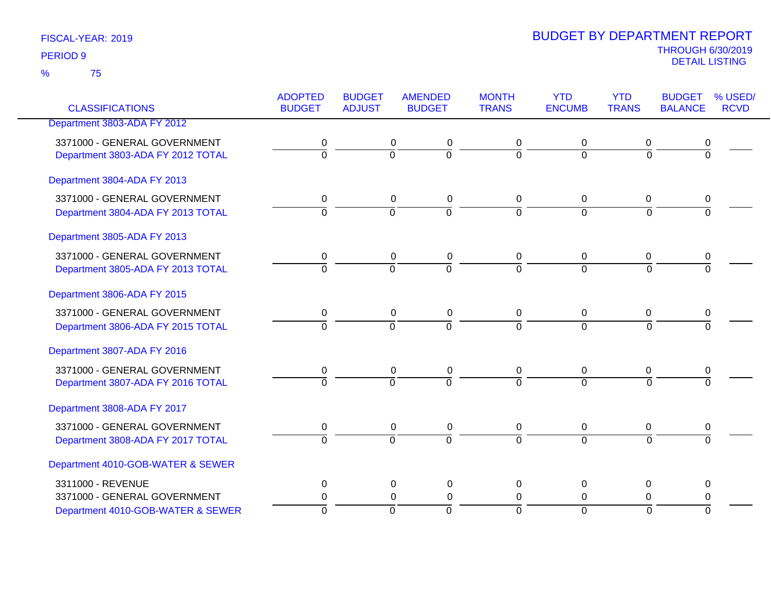75 %

|                                   | <b>ADOPTED</b> | <b>BUDGET</b>  | <b>AMENDED</b>   | <b>MONTH</b>   | <b>YTD</b>     | <b>YTD</b>     | <b>BUDGET</b>  | % USED/     |
|-----------------------------------|----------------|----------------|------------------|----------------|----------------|----------------|----------------|-------------|
| <b>CLASSIFICATIONS</b>            | <b>BUDGET</b>  | <b>ADJUST</b>  | <b>BUDGET</b>    | <b>TRANS</b>   | <b>ENCUMB</b>  | <b>TRANS</b>   | <b>BALANCE</b> | <b>RCVD</b> |
| Department 3803-ADA FY 2012       |                |                |                  |                |                |                |                |             |
| 3371000 - GENERAL GOVERNMENT      | 0              |                | 0<br>0           | 0              | 0              | 0              | 0              |             |
| Department 3803-ADA FY 2012 TOTAL | $\overline{0}$ | $\overline{0}$ | $\overline{0}$   | ō              | $\overline{0}$ | $\overline{0}$ | $\overline{0}$ |             |
| Department 3804-ADA FY 2013       |                |                |                  |                |                |                |                |             |
| 3371000 - GENERAL GOVERNMENT      | 0              |                | $\mathbf 0$<br>0 | 0              | 0              | 0              | 0              |             |
| Department 3804-ADA FY 2013 TOTAL | $\overline{0}$ | $\overline{0}$ | $\overline{0}$   | $\overline{0}$ | $\overline{0}$ | $\overline{0}$ | $\overline{0}$ |             |
| Department 3805-ADA FY 2013       |                |                |                  |                |                |                |                |             |
| 3371000 - GENERAL GOVERNMENT      | 0              |                | $\mathbf 0$<br>0 | 0              | 0              | 0              | 0              |             |
| Department 3805-ADA FY 2013 TOTAL | $\overline{0}$ | $\overline{0}$ | $\overline{0}$   | $\overline{0}$ | $\Omega$       | $\Omega$       | $\overline{0}$ |             |
| Department 3806-ADA FY 2015       |                |                |                  |                |                |                |                |             |
| 3371000 - GENERAL GOVERNMENT      | 0              |                | 0<br>0           | 0              | 0              | 0              | 0              |             |
| Department 3806-ADA FY 2015 TOTAL | $\overline{0}$ | $\overline{0}$ | $\overline{0}$   | $\Omega$       | $\Omega$       | $\Omega$       | $\Omega$       |             |
| Department 3807-ADA FY 2016       |                |                |                  |                |                |                |                |             |
| 3371000 - GENERAL GOVERNMENT      | 0              |                | 0<br>0           | 0              | 0              | 0              | 0              |             |
| Department 3807-ADA FY 2016 TOTAL | $\overline{0}$ | $\overline{0}$ | $\overline{0}$   | $\Omega$       | $\Omega$       | $\Omega$       | $\overline{0}$ |             |
| Department 3808-ADA FY 2017       |                |                |                  |                |                |                |                |             |
| 3371000 - GENERAL GOVERNMENT      | $\pmb{0}$      |                | $\pmb{0}$<br>0   | $\mathbf 0$    | 0              | $\mathbf 0$    | 0              |             |
| Department 3808-ADA FY 2017 TOTAL | $\overline{0}$ | $\overline{0}$ | $\overline{0}$   | $\overline{0}$ | $\overline{0}$ | $\Omega$       | $\overline{0}$ |             |
| Department 4010-GOB-WATER & SEWER |                |                |                  |                |                |                |                |             |
| 3311000 - REVENUE                 | 0              |                | 0<br>0           | $\mathbf 0$    | 0              | 0              | 0              |             |
| 3371000 - GENERAL GOVERNMENT      | 0              |                | 0<br>$\mathbf 0$ | 0              | 0              | 0              | 0              |             |
| Department 4010-GOB-WATER & SEWER | $\overline{0}$ | $\overline{0}$ | $\overline{0}$   | $\Omega$       | $\overline{0}$ | $\overline{0}$ | $\overline{0}$ |             |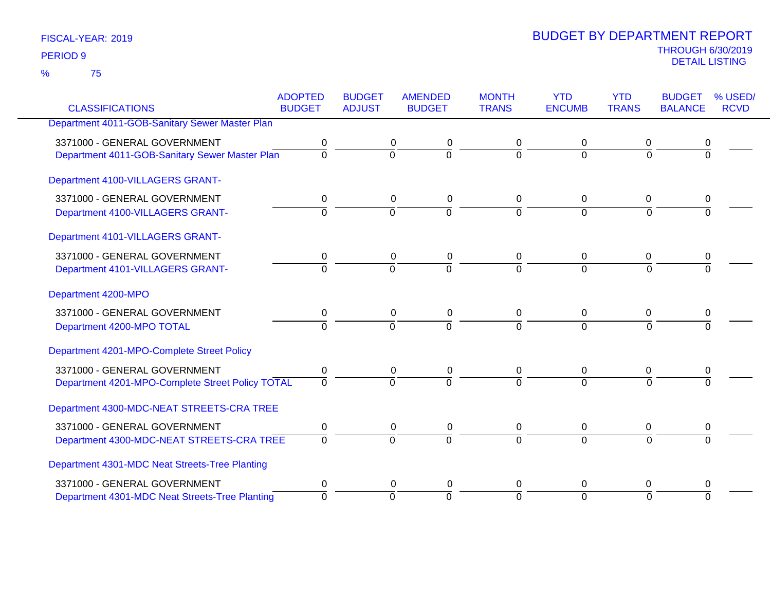75 %

|                                                  | <b>ADOPTED</b> | <b>BUDGET</b>  | <b>AMENDED</b> | <b>MONTH</b>   | <b>YTD</b>     | <b>YTD</b>     | <b>BUDGET</b>  | % USED/     |
|--------------------------------------------------|----------------|----------------|----------------|----------------|----------------|----------------|----------------|-------------|
| <b>CLASSIFICATIONS</b>                           | <b>BUDGET</b>  | <b>ADJUST</b>  | <b>BUDGET</b>  | <b>TRANS</b>   | <b>ENCUMB</b>  | <b>TRANS</b>   | <b>BALANCE</b> | <b>RCVD</b> |
| Department 4011-GOB-Sanitary Sewer Master Plan   |                |                |                |                |                |                |                |             |
| 3371000 - GENERAL GOVERNMENT                     | 0              | 0              | 0              | 0              | 0              | 0              | 0              |             |
| Department 4011-GOB-Sanitary Sewer Master Plan   | $\overline{0}$ | $\overline{0}$ | ō              | $\Omega$       | $\mathbf 0$    | $\overline{0}$ | 0              |             |
| Department 4100-VILLAGERS GRANT-                 |                |                |                |                |                |                |                |             |
| 3371000 - GENERAL GOVERNMENT                     | 0              | 0              | 0              | 0              | 0              | 0              | 0              |             |
| Department 4100-VILLAGERS GRANT-                 | $\Omega$       | $\overline{0}$ | $\overline{0}$ | $\Omega$       | $\overline{0}$ | $\Omega$       | $\Omega$       |             |
| Department 4101-VILLAGERS GRANT-                 |                |                |                |                |                |                |                |             |
| 3371000 - GENERAL GOVERNMENT                     | 0              | 0              | 0              | 0              | 0              | 0              |                |             |
| Department 4101-VILLAGERS GRANT-                 | $\Omega$       | $\Omega$       | $\overline{0}$ | $\Omega$       | $\Omega$       | $\Omega$       | $\Omega$       |             |
| Department 4200-MPO                              |                |                |                |                |                |                |                |             |
| 3371000 - GENERAL GOVERNMENT                     | 0              | 0              | 0              | 0              | 0              | 0              | 0              |             |
| Department 4200-MPO TOTAL                        | $\overline{0}$ | $\overline{0}$ | $\overline{0}$ | $\overline{0}$ | $\Omega$       | $\overline{0}$ | $\overline{0}$ |             |
| Department 4201-MPO-Complete Street Policy       |                |                |                |                |                |                |                |             |
| 3371000 - GENERAL GOVERNMENT                     | 0              | $\mathbf 0$    | $\pmb{0}$      | $\mathbf 0$    | 0              | 0              | 0              |             |
| Department 4201-MPO-Complete Street Policy TOTAL | $\Omega$       | $\Omega$       | $\overline{0}$ | $\Omega$       | $\Omega$       | $\Omega$       | $\Omega$       |             |
| Department 4300-MDC-NEAT STREETS-CRA TREE        |                |                |                |                |                |                |                |             |
| 3371000 - GENERAL GOVERNMENT                     | 0              | $\pmb{0}$      | $\pmb{0}$      | 0              | $\mathbf 0$    | $\pmb{0}$      | 0              |             |
| Department 4300-MDC-NEAT STREETS-CRA TREE        | $\mathbf 0$    | $\overline{0}$ | $\Omega$       | $\Omega$       | $\overline{0}$ | $\Omega$       | $\Omega$       |             |
| Department 4301-MDC Neat Streets-Tree Planting   |                |                |                |                |                |                |                |             |
| 3371000 - GENERAL GOVERNMENT                     | 0              | 0              | 0              | 0              | 0              | 0              | 0              |             |
| Department 4301-MDC Neat Streets-Tree Planting   | $\Omega$       | $\Omega$       | $\Omega$       | $\Omega$       | $\overline{0}$ | $\Omega$       | $\Omega$       |             |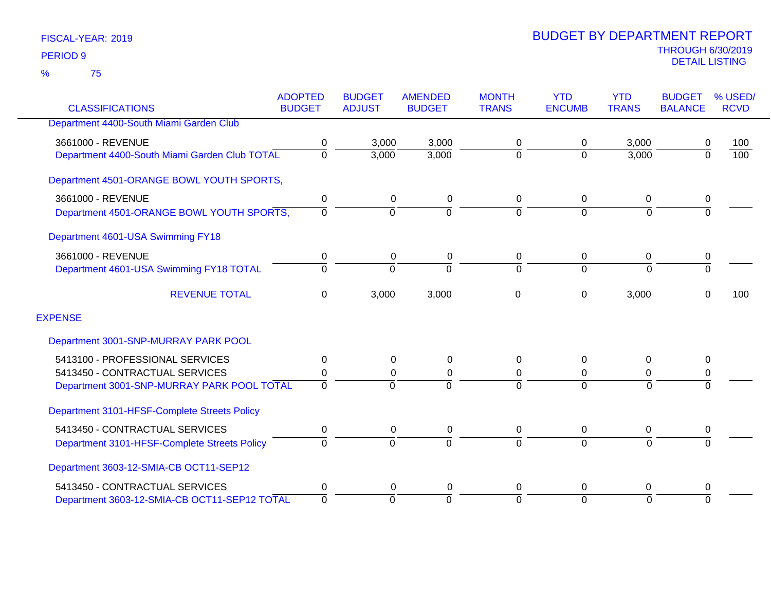|                                               | <b>ADOPTED</b> | <b>BUDGET</b>  | <b>AMENDED</b> | <b>MONTH</b>   | <b>YTD</b>    | <b>YTD</b>     | <b>BUDGET</b>  | % USED/          |
|-----------------------------------------------|----------------|----------------|----------------|----------------|---------------|----------------|----------------|------------------|
| <b>CLASSIFICATIONS</b>                        | <b>BUDGET</b>  | <b>ADJUST</b>  | <b>BUDGET</b>  | <b>TRANS</b>   | <b>ENCUMB</b> | <b>TRANS</b>   | <b>BALANCE</b> | <b>RCVD</b>      |
| Department 4400-South Miami Garden Club       |                |                |                |                |               |                |                |                  |
| 3661000 - REVENUE                             | 0              | 3,000          | 3,000          | 0              | 0             | 3,000          | 0              | 100              |
| Department 4400-South Miami Garden Club TOTAL | 0              | 3,000          | 3,000          | $\mathbf 0$    | $\Omega$      | 3,000          | $\overline{0}$ | $\overline{100}$ |
| Department 4501-ORANGE BOWL YOUTH SPORTS,     |                |                |                |                |               |                |                |                  |
| 3661000 - REVENUE                             | 0              | 0              | 0              | 0              | 0             | 0              | 0              |                  |
| Department 4501-ORANGE BOWL YOUTH SPORTS,     | $\Omega$       | $\overline{0}$ | $\Omega$       | $\overline{0}$ | $\Omega$      | $\mathbf 0$    | $\overline{0}$ |                  |
| Department 4601-USA Swimming FY18             |                |                |                |                |               |                |                |                  |
| 3661000 - REVENUE                             | 0              | 0              | 0              | 0              | 0             | 0              | 0              |                  |
| Department 4601-USA Swimming FY18 TOTAL       | $\Omega$       | $\Omega$       | $\Omega$       | $\Omega$       | $\Omega$      | $\Omega$       | $\overline{0}$ |                  |
| <b>REVENUE TOTAL</b>                          | 0              | 3,000          | 3,000          | 0              | 0             | 3,000          | $\Omega$       | 100              |
| <b>EXPENSE</b>                                |                |                |                |                |               |                |                |                  |
| Department 3001-SNP-MURRAY PARK POOL          |                |                |                |                |               |                |                |                  |
| 5413100 - PROFESSIONAL SERVICES               | 0              | 0              | 0              | 0              | $\Omega$      | $\Omega$       | 0              |                  |
| 5413450 - CONTRACTUAL SERVICES                | 0              | 0              | 0              | 0              | 0             | 0              | 0              |                  |
| Department 3001-SNP-MURRAY PARK POOL TOTAL    | $\Omega$       | $\Omega$       |                | $\Omega$       | $\Omega$      | $\Omega$       | $\Omega$       |                  |
| Department 3101-HFSF-Complete Streets Policy  |                |                |                |                |               |                |                |                  |
| 5413450 - CONTRACTUAL SERVICES                | 0              | 0              | 0              | 0              | 0             | 0              | 0              |                  |
| Department 3101-HFSF-Complete Streets Policy  | $\Omega$       | $\overline{0}$ | $\Omega$       | 0              | $\Omega$      | $\overline{0}$ | $\Omega$       |                  |
| Department 3603-12-SMIA-CB OCT11-SEP12        |                |                |                |                |               |                |                |                  |
| 5413450 - CONTRACTUAL SERVICES                | 0              | 0              | 0              | 0              | $\Omega$      | 0              | 0              |                  |
| Department 3603-12-SMIA-CB OCT11-SEP12 TOTAL  | $\overline{0}$ | $\Omega$       | $\Omega$       | $\overline{0}$ | $\Omega$      | $\Omega$       | $\Omega$       |                  |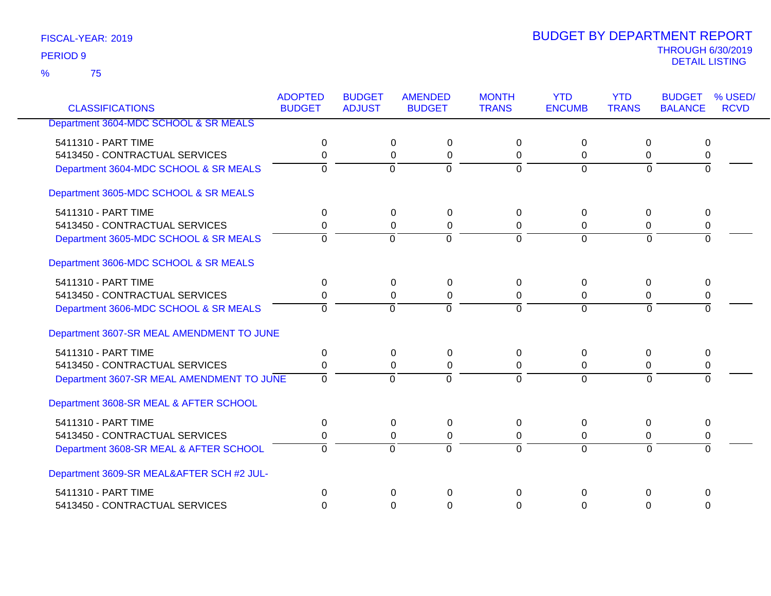75 %

| <b>CLASSIFICATIONS</b>                    | <b>ADOPTED</b><br><b>BUDGET</b> | <b>BUDGET</b><br><b>ADJUST</b> | <b>AMENDED</b><br><b>BUDGET</b> | <b>MONTH</b><br><b>TRANS</b> | <b>YTD</b><br><b>ENCUMB</b> | <b>YTD</b><br><b>TRANS</b> | <b>BUDGET</b><br><b>BALANCE</b> | % USED/<br><b>RCVD</b> |
|-------------------------------------------|---------------------------------|--------------------------------|---------------------------------|------------------------------|-----------------------------|----------------------------|---------------------------------|------------------------|
|                                           |                                 |                                |                                 |                              |                             |                            |                                 |                        |
| Department 3604-MDC SCHOOL & SR MEALS     |                                 |                                |                                 |                              |                             |                            |                                 |                        |
| 5411310 - PART TIME                       | 0                               | 0                              | 0                               | $\Omega$                     | 0                           | 0                          | 0                               |                        |
| 5413450 - CONTRACTUAL SERVICES            | 0                               | 0                              | $\pmb{0}$                       | $\mathbf 0$                  | 0                           | 0                          | 0                               |                        |
| Department 3604-MDC SCHOOL & SR MEALS     | 0                               | $\mathbf 0$                    | $\mathbf 0$                     | $\mathbf 0$                  | $\Omega$                    | $\Omega$                   | $\Omega$                        |                        |
| Department 3605-MDC SCHOOL & SR MEALS     |                                 |                                |                                 |                              |                             |                            |                                 |                        |
| 5411310 - PART TIME                       | $\pmb{0}$                       | 0                              | 0                               | 0                            | $\Omega$                    | 0                          | 0                               |                        |
| 5413450 - CONTRACTUAL SERVICES            | 0                               | 0                              | $\pmb{0}$                       | 0                            | $\Omega$                    | 0                          | 0                               |                        |
| Department 3605-MDC SCHOOL & SR MEALS     | $\Omega$                        | $\overline{0}$                 | $\overline{0}$                  | $\overline{0}$               | $\overline{0}$              | $\overline{0}$             | $\Omega$                        |                        |
| Department 3606-MDC SCHOOL & SR MEALS     |                                 |                                |                                 |                              |                             |                            |                                 |                        |
| 5411310 - PART TIME                       | $\Omega$                        | 0                              | $\Omega$                        | $\Omega$                     | $\Omega$                    | $\Omega$                   | 0                               |                        |
| 5413450 - CONTRACTUAL SERVICES            | 0                               | $\Omega$                       | 0                               | $\mathbf 0$                  | $\Omega$                    | 0                          | 0                               |                        |
| Department 3606-MDC SCHOOL & SR MEALS     | $\overline{0}$                  | $\Omega$                       | $\overline{0}$                  | $\Omega$                     | $\Omega$                    | $\Omega$                   | $\overline{0}$                  |                        |
| Department 3607-SR MEAL AMENDMENT TO JUNE |                                 |                                |                                 |                              |                             |                            |                                 |                        |
| 5411310 - PART TIME                       | $\Omega$                        | $\Omega$                       | $\Omega$                        | $\Omega$                     | 0                           | $\Omega$                   | $\Omega$                        |                        |
| 5413450 - CONTRACTUAL SERVICES            | 0                               | 0                              | $\Omega$                        | $\Omega$                     | $\Omega$                    | 0                          | 0                               |                        |
| Department 3607-SR MEAL AMENDMENT TO JUNE | $\Omega$                        | $\Omega$                       | $\overline{0}$                  | $\Omega$                     | $\overline{0}$              | $\Omega$                   | $\Omega$                        |                        |
| Department 3608-SR MEAL & AFTER SCHOOL    |                                 |                                |                                 |                              |                             |                            |                                 |                        |
| 5411310 - PART TIME                       | $\Omega$                        | 0                              | 0                               | $\overline{0}$               | 0                           | 0                          | 0                               |                        |
| 5413450 - CONTRACTUAL SERVICES            | 0                               | 0                              | 0                               | 0                            | 0                           | 0                          | 0                               |                        |
| Department 3608-SR MEAL & AFTER SCHOOL    | $\Omega$                        | $\mathbf 0$                    | $\Omega$                        | $\Omega$                     | $\overline{0}$              | $\Omega$                   | $\Omega$                        |                        |
| Department 3609-SR MEAL&AFTER SCH #2 JUL- |                                 |                                |                                 |                              |                             |                            |                                 |                        |
| 5411310 - PART TIME                       | $\Omega$                        | $\Omega$                       | $\Omega$                        | $\Omega$                     | $\Omega$                    | $\Omega$                   | 0                               |                        |
| 5413450 - CONTRACTUAL SERVICES            | $\Omega$                        | $\Omega$                       | $\Omega$                        | $\Omega$                     | $\Omega$                    | $\Omega$                   | $\Omega$                        |                        |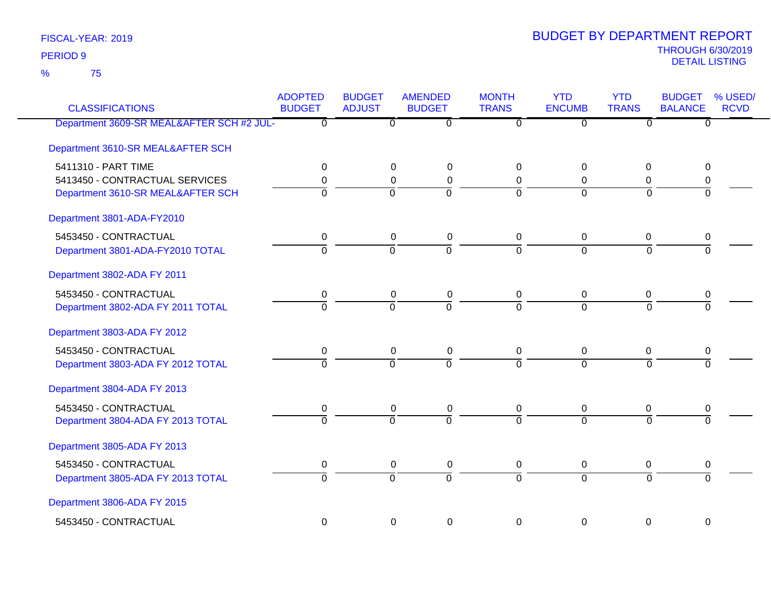75 %

| <b>CLASSIFICATIONS</b>                    | <b>ADOPTED</b><br><b>BUDGET</b> | <b>BUDGET</b><br><b>ADJUST</b> | <b>AMENDED</b><br><b>BUDGET</b> | <b>MONTH</b><br><b>TRANS</b> | <b>YTD</b><br><b>ENCUMB</b> | <b>YTD</b><br><b>TRANS</b> | <b>BUDGET</b><br><b>BALANCE</b> | % USED/<br><b>RCVD</b> |
|-------------------------------------------|---------------------------------|--------------------------------|---------------------------------|------------------------------|-----------------------------|----------------------------|---------------------------------|------------------------|
| Department 3609-SR MEAL&AFTER SCH #2 JUL- | $\overline{0}$                  | $\overline{0}$                 | ত                               | $\overline{0}$               | $\overline{0}$              | ত                          | $\overline{0}$                  |                        |
| Department 3610-SR MEAL&AFTER SCH         |                                 |                                |                                 |                              |                             |                            |                                 |                        |
| 5411310 - PART TIME                       | 0                               | 0                              | $\mathbf 0$                     | 0                            | $\Omega$                    | 0                          | 0                               |                        |
| 5413450 - CONTRACTUAL SERVICES            | 0                               | 0                              | 0                               | 0                            | 0                           | 0                          | 0                               |                        |
| Department 3610-SR MEAL&AFTER SCH         | $\Omega$                        | $\Omega$                       | $\overline{0}$                  | $\Omega$                     | $\Omega$                    | $\Omega$                   | $\Omega$                        |                        |
| Department 3801-ADA-FY2010                |                                 |                                |                                 |                              |                             |                            |                                 |                        |
| 5453450 - CONTRACTUAL                     | 0                               | 0                              | 0                               | $\mathbf 0$                  | 0                           | 0                          | 0                               |                        |
| Department 3801-ADA-FY2010 TOTAL          | $\overline{0}$                  | $\overline{0}$                 | $\overline{0}$                  | $\overline{0}$               | $\Omega$                    | $\Omega$                   | $\Omega$                        |                        |
| Department 3802-ADA FY 2011               |                                 |                                |                                 |                              |                             |                            |                                 |                        |
| 5453450 - CONTRACTUAL                     | 0                               | 0                              | $\pmb{0}$                       | 0                            | 0                           | 0                          | 0                               |                        |
| Department 3802-ADA FY 2011 TOTAL         | $\overline{0}$                  | $\overline{0}$                 | $\overline{0}$                  | $\overline{0}$               | $\Omega$                    | $\Omega$                   | $\Omega$                        |                        |
| Department 3803-ADA FY 2012               |                                 |                                |                                 |                              |                             |                            |                                 |                        |
| 5453450 - CONTRACTUAL                     | 0                               | 0                              | $\boldsymbol{0}$                | 0                            | 0                           | 0                          | 0                               |                        |
| Department 3803-ADA FY 2012 TOTAL         | $\overline{0}$                  | $\overline{0}$                 | $\overline{0}$                  | $\overline{0}$               | $\overline{0}$              | $\Omega$                   | $\overline{0}$                  |                        |
| Department 3804-ADA FY 2013               |                                 |                                |                                 |                              |                             |                            |                                 |                        |
| 5453450 - CONTRACTUAL                     | 0                               | 0                              | $\boldsymbol{0}$                | 0                            | 0                           | 0                          | 0                               |                        |
| Department 3804-ADA FY 2013 TOTAL         | $\overline{0}$                  | $\overline{0}$                 | $\overline{0}$                  | $\Omega$                     | $\Omega$                    | $\overline{0}$             | $\overline{0}$                  |                        |
| Department 3805-ADA FY 2013               |                                 |                                |                                 |                              |                             |                            |                                 |                        |
| 5453450 - CONTRACTUAL                     | 0                               | 0                              | $\mathbf 0$                     | 0                            | 0                           | $\pmb{0}$                  | 0                               |                        |
| Department 3805-ADA FY 2013 TOTAL         | $\overline{0}$                  | $\overline{0}$                 | $\overline{0}$                  | $\overline{0}$               | $\overline{0}$              | $\overline{0}$             | $\Omega$                        |                        |
| Department 3806-ADA FY 2015               |                                 |                                |                                 |                              |                             |                            |                                 |                        |
| 5453450 - CONTRACTUAL                     | 0                               | $\mathbf 0$                    | $\mathbf 0$                     | $\mathbf 0$                  | $\mathbf 0$                 | $\mathbf 0$                | 0                               |                        |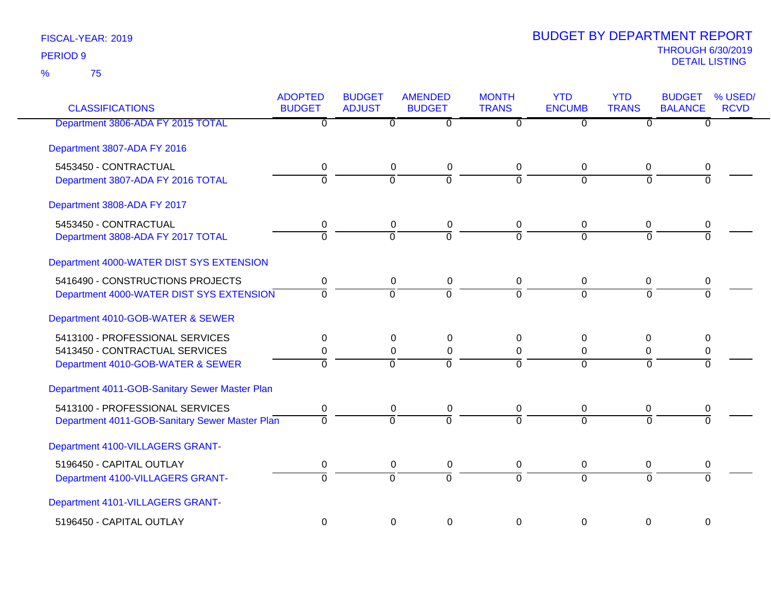| <b>CLASSIFICATIONS</b>                         | <b>ADOPTED</b><br><b>BUDGET</b> | <b>BUDGET</b><br><b>ADJUST</b> | <b>AMENDED</b><br><b>BUDGET</b> | <b>MONTH</b><br><b>TRANS</b> | <b>YTD</b><br><b>ENCUMB</b> | <b>YTD</b><br><b>TRANS</b> | <b>BUDGET</b><br><b>BALANCE</b> | % USED/<br><b>RCVD</b> |
|------------------------------------------------|---------------------------------|--------------------------------|---------------------------------|------------------------------|-----------------------------|----------------------------|---------------------------------|------------------------|
| Department 3806-ADA FY 2015 TOTAL              | $\overline{0}$                  | $\overline{0}$                 | $\overline{0}$                  | $\overline{0}$               | $\overline{0}$              | $\overline{0}$             | $\overline{0}$                  |                        |
| Department 3807-ADA FY 2016                    |                                 |                                |                                 |                              |                             |                            |                                 |                        |
| 5453450 - CONTRACTUAL                          | $\pmb{0}$                       | $\mathbf 0$                    | $\pmb{0}$                       | $\mathsf 0$                  | $\pmb{0}$                   | $\mathbf 0$                | $\pmb{0}$                       |                        |
| Department 3807-ADA FY 2016 TOTAL              | $\overline{0}$                  | $\overline{0}$                 | ō                               | $\overline{0}$               | $\Omega$                    | $\overline{0}$             | $\Omega$                        |                        |
| Department 3808-ADA FY 2017                    |                                 |                                |                                 |                              |                             |                            |                                 |                        |
| 5453450 - CONTRACTUAL                          | 0                               | 0                              | $\pmb{0}$                       | 0                            | 0                           | 0                          | 0                               |                        |
| Department 3808-ADA FY 2017 TOTAL              | ō                               | $\overline{0}$                 | $\overline{0}$                  | $\overline{0}$               | $\overline{0}$              | $\overline{0}$             | $\overline{0}$                  |                        |
| Department 4000-WATER DIST SYS EXTENSION       |                                 |                                |                                 |                              |                             |                            |                                 |                        |
| 5416490 - CONSTRUCTIONS PROJECTS               | $\mathbf 0$                     | $\pmb{0}$                      | $\pmb{0}$                       | $\pmb{0}$                    | $\mathbf 0$                 | $\mathbf 0$                | $\pmb{0}$                       |                        |
| Department 4000-WATER DIST SYS EXTENSION       | $\Omega$                        | $\overline{0}$                 | $\Omega$                        | $\Omega$                     | $\Omega$                    | $\Omega$                   | $\Omega$                        |                        |
| Department 4010-GOB-WATER & SEWER              |                                 |                                |                                 |                              |                             |                            |                                 |                        |
| 5413100 - PROFESSIONAL SERVICES                | $\pmb{0}$                       | 0                              | 0                               | 0                            | 0                           | 0                          | 0                               |                        |
| 5413450 - CONTRACTUAL SERVICES                 | 0                               | $\mathbf 0$                    | $\pmb{0}$                       | $\mathbf 0$                  | $\mathbf 0$                 | $\mathbf 0$                | $\pmb{0}$                       |                        |
| Department 4010-GOB-WATER & SEWER              | $\Omega$                        | $\overline{0}$                 | $\Omega$                        | $\overline{0}$               | $\overline{0}$              | $\Omega$                   | $\Omega$                        |                        |
| Department 4011-GOB-Sanitary Sewer Master Plan |                                 |                                |                                 |                              |                             |                            |                                 |                        |
| 5413100 - PROFESSIONAL SERVICES                | 0                               | $\mathbf 0$                    | $\pmb{0}$                       | $\mathbf 0$                  | $\mathbf 0$                 | 0                          | 0                               |                        |
| Department 4011-GOB-Sanitary Sewer Master Plan | $\Omega$                        | $\Omega$                       | $\overline{0}$                  | $\Omega$                     | $\Omega$                    | $\Omega$                   | $\Omega$                        |                        |
| Department 4100-VILLAGERS GRANT-               |                                 |                                |                                 |                              |                             |                            |                                 |                        |
| 5196450 - CAPITAL OUTLAY                       | $\pmb{0}$                       | 0                              | $\pmb{0}$                       | $\mathbf 0$                  | 0                           | 0                          | 0                               |                        |
| Department 4100-VILLAGERS GRANT-               | $\Omega$                        | $\overline{0}$                 | $\overline{0}$                  | $\Omega$                     | $\Omega$                    | $\Omega$                   | $\Omega$                        |                        |
| Department 4101-VILLAGERS GRANT-               |                                 |                                |                                 |                              |                             |                            |                                 |                        |
| 5196450 - CAPITAL OUTLAY                       | $\mathbf 0$                     | $\mathbf 0$                    | $\mathbf 0$                     | $\mathbf 0$                  | $\overline{0}$              | $\mathbf 0$                | $\mathbf 0$                     |                        |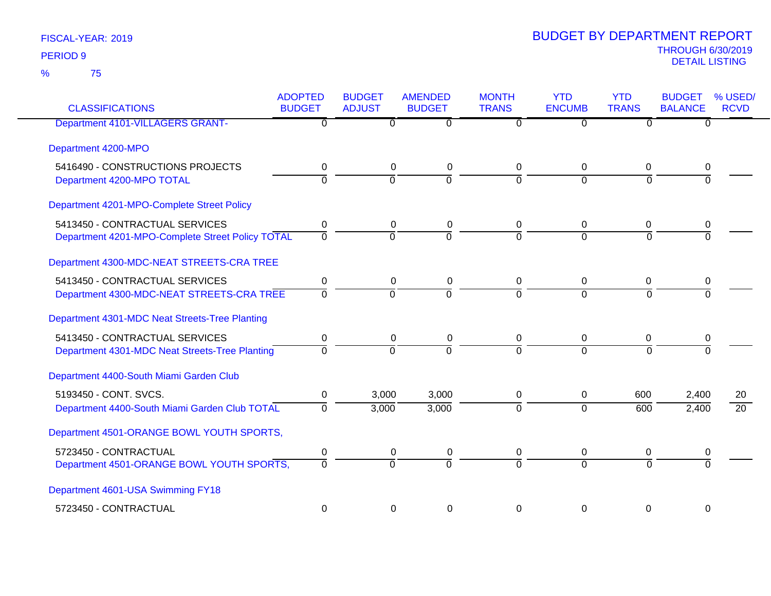| <b>CLASSIFICATIONS</b>                                                             | <b>ADOPTED</b><br><b>BUDGET</b> | <b>BUDGET</b><br><b>ADJUST</b> | <b>AMENDED</b><br><b>BUDGET</b> | <b>MONTH</b><br><b>TRANS</b> | <b>YTD</b><br><b>ENCUMB</b> | <b>YTD</b><br><b>TRANS</b> | <b>BUDGET</b><br><b>BALANCE</b> | % USED/<br><b>RCVD</b> |
|------------------------------------------------------------------------------------|---------------------------------|--------------------------------|---------------------------------|------------------------------|-----------------------------|----------------------------|---------------------------------|------------------------|
| <b>Department 4101-VILLAGERS GRANT-</b>                                            | $\overline{0}$                  | $\overline{0}$                 | $\overline{0}$                  | $\Omega$                     | $\overline{0}$              | $\Omega$                   | $\Omega$                        |                        |
| Department 4200-MPO                                                                |                                 |                                |                                 |                              |                             |                            |                                 |                        |
| 5416490 - CONSTRUCTIONS PROJECTS<br>Department 4200-MPO TOTAL                      | $\mathbf 0$<br>$\overline{0}$   | $\pmb{0}$<br>$\overline{0}$    | $\pmb{0}$<br>$\overline{0}$     | $\mathbf 0$<br>$\Omega$      | 0<br>$\Omega$               | 0<br>$\Omega$              | 0<br>$\Omega$                   |                        |
| Department 4201-MPO-Complete Street Policy                                         |                                 |                                |                                 |                              |                             |                            |                                 |                        |
| 5413450 - CONTRACTUAL SERVICES<br>Department 4201-MPO-Complete Street Policy TOTAL | 0<br>$\Omega$                   | 0<br>$\Omega$                  | 0<br>$\overline{0}$             | 0<br>$\Omega$                | 0<br>$\Omega$               | 0<br>$\Omega$              | 0<br>$\Omega$                   |                        |
| Department 4300-MDC-NEAT STREETS-CRA TREE                                          |                                 |                                |                                 |                              |                             |                            |                                 |                        |
| 5413450 - CONTRACTUAL SERVICES<br>Department 4300-MDC-NEAT STREETS-CRA TREE        | 0<br>$\mathbf 0$                | 0<br>$\overline{0}$            | 0<br>$\overline{0}$             | $\mathbf 0$<br>$\Omega$      | 0<br>$\overline{0}$         | 0<br>$\Omega$              | 0<br>$\Omega$                   |                        |
| Department 4301-MDC Neat Streets-Tree Planting                                     |                                 |                                |                                 |                              |                             |                            |                                 |                        |
| 5413450 - CONTRACTUAL SERVICES<br>Department 4301-MDC Neat Streets-Tree Planting   | 0<br>$\Omega$                   | 0<br>$\Omega$                  | 0<br>$\overline{0}$             | 0<br>$\Omega$                | 0<br>$\Omega$               | 0<br>$\Omega$              | 0<br>$\Omega$                   |                        |
| Department 4400-South Miami Garden Club                                            |                                 |                                |                                 |                              |                             |                            |                                 |                        |
| 5193450 - CONT. SVCS.<br>Department 4400-South Miami Garden Club TOTAL             | 0<br>$\Omega$                   | 3,000<br>3,000                 | 3,000<br>3,000                  | 0<br>$\Omega$                | 0<br>$\Omega$               | 600<br>600                 | 2,400<br>2,400                  | 20<br>$\overline{20}$  |
| Department 4501-ORANGE BOWL YOUTH SPORTS,                                          |                                 |                                |                                 |                              |                             |                            |                                 |                        |
| 5723450 - CONTRACTUAL<br>Department 4501-ORANGE BOWL YOUTH SPORTS,                 | 0<br>$\Omega$                   | $\pmb{0}$<br>$\Omega$          | $\pmb{0}$<br>$\Omega$           | $\mathbf 0$<br>$\Omega$      | 0<br>$\Omega$               | 0<br>$\Omega$              | 0<br>$\Omega$                   |                        |
| Department 4601-USA Swimming FY18                                                  |                                 |                                |                                 |                              |                             |                            |                                 |                        |
| 5723450 - CONTRACTUAL                                                              | 0                               | 0                              | $\mathbf 0$                     | 0                            | 0                           | 0                          | 0                               |                        |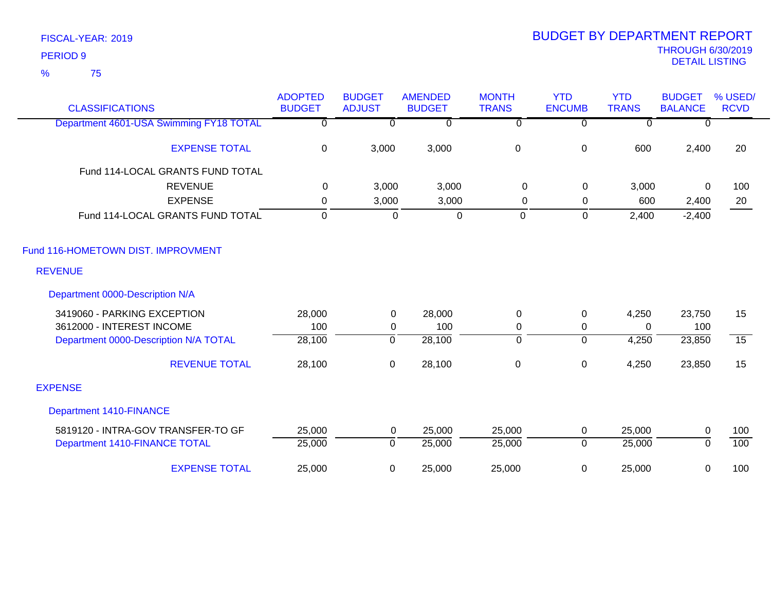| <b>CLASSIFICATIONS</b>                  | <b>ADOPTED</b><br><b>BUDGET</b> | <b>BUDGET</b><br><b>ADJUST</b> | <b>AMENDED</b><br><b>BUDGET</b> | <b>MONTH</b><br><b>TRANS</b> | <b>YTD</b><br><b>ENCUMB</b> | <b>YTD</b><br><b>TRANS</b> | <b>BUDGET</b><br><b>BALANCE</b> | % USED/<br><b>RCVD</b> |
|-----------------------------------------|---------------------------------|--------------------------------|---------------------------------|------------------------------|-----------------------------|----------------------------|---------------------------------|------------------------|
| Department 4601-USA Swimming FY18 TOTAL | $\overline{\mathfrak{o}}$       | $\overline{\mathfrak{o}}$      | $\overline{0}$                  | $\overline{\mathfrak{o}}$    | $\overline{0}$              | $\overline{\mathfrak{o}}$  | 0                               |                        |
| <b>EXPENSE TOTAL</b>                    | $\mathbf 0$                     | 3,000                          | 3,000                           | $\pmb{0}$                    | $\pmb{0}$                   | 600                        | 2,400                           | 20                     |
| Fund 114-LOCAL GRANTS FUND TOTAL        |                                 |                                |                                 |                              |                             |                            |                                 |                        |
| <b>REVENUE</b>                          | $\Omega$                        | 3,000                          | 3,000                           | 0                            | 0                           | 3,000                      | $\Omega$                        | 100                    |
| <b>EXPENSE</b>                          | 0                               | 3,000                          | 3,000                           | 0                            | 0                           | 600                        | 2,400                           | 20                     |
| Fund 114-LOCAL GRANTS FUND TOTAL        | $\mathbf 0$                     | $\mathbf 0$                    | $\overline{0}$                  | $\mathbf 0$                  | 0                           | 2,400                      | $-2,400$                        |                        |
| Fund 116-HOMETOWN DIST. IMPROVMENT      |                                 |                                |                                 |                              |                             |                            |                                 |                        |
| <b>REVENUE</b>                          |                                 |                                |                                 |                              |                             |                            |                                 |                        |
| Department 0000-Description N/A         |                                 |                                |                                 |                              |                             |                            |                                 |                        |
| 3419060 - PARKING EXCEPTION             | 28,000                          | $\overline{0}$                 | 28,000                          | $\mathbf 0$                  | $\mathbf 0$                 | 4,250                      | 23,750                          | 15                     |
| 3612000 - INTEREST INCOME               | 100                             | 0                              | 100                             | 0                            | $\mathbf 0$                 | $\Omega$                   | 100                             |                        |
| Department 0000-Description N/A TOTAL   | 28,100                          | 0                              | 28,100                          | $\overline{0}$               | $\overline{0}$              | 4,250                      | 23,850                          | $\overline{15}$        |
| <b>REVENUE TOTAL</b>                    | 28,100                          | $\mathbf 0$                    | 28,100                          | 0                            | $\pmb{0}$                   | 4,250                      | 23,850                          | 15                     |
| <b>EXPENSE</b>                          |                                 |                                |                                 |                              |                             |                            |                                 |                        |
| <b>Department 1410-FINANCE</b>          |                                 |                                |                                 |                              |                             |                            |                                 |                        |
| 5819120 - INTRA-GOV TRANSFER-TO GF      | 25,000                          | $\mathbf 0$                    | 25,000                          | 25,000                       | $\mathbf 0$                 | 25,000                     | $\pmb{0}$                       | 100                    |
| Department 1410-FINANCE TOTAL           | 25,000                          | $\mathbf 0$                    | 25,000                          | 25,000                       | $\overline{0}$              | 25,000                     | $\Omega$                        | 100                    |
| <b>EXPENSE TOTAL</b>                    | 25,000                          | 0                              | 25,000                          | 25,000                       | 0                           | 25,000                     | 0                               | 100                    |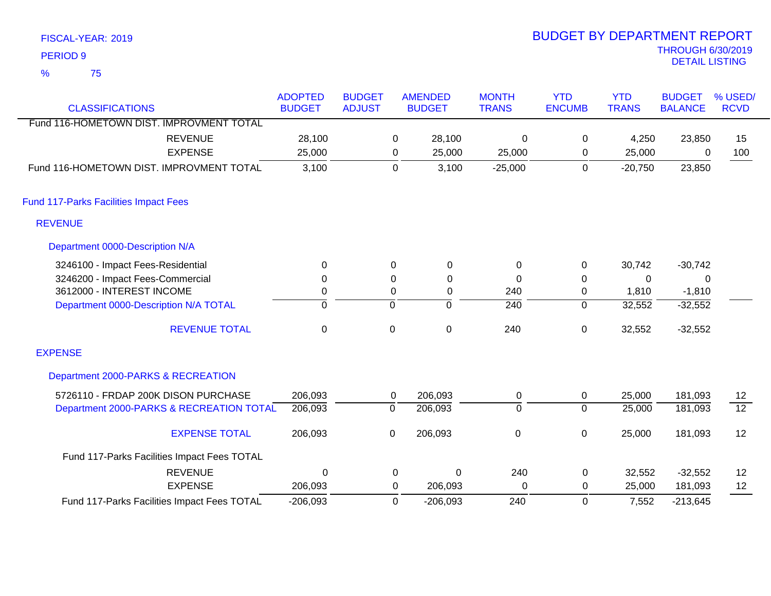| <b>PERIOD 9</b>                              |                |                  |                        |                  |               |              | <b>THROUGH 6/30/2019</b><br><b>DETAIL LISTING</b> |                 |
|----------------------------------------------|----------------|------------------|------------------------|------------------|---------------|--------------|---------------------------------------------------|-----------------|
| $\frac{9}{6}$<br>75                          |                |                  |                        |                  |               |              |                                                   |                 |
|                                              | <b>ADOPTED</b> | <b>BUDGET</b>    | <b>AMENDED</b>         | <b>MONTH</b>     | <b>YTD</b>    | <b>YTD</b>   | <b>BUDGET</b>                                     | % USED/         |
| <b>CLASSIFICATIONS</b>                       | <b>BUDGET</b>  | <b>ADJUST</b>    | <b>BUDGET</b>          | <b>TRANS</b>     | <b>ENCUMB</b> | <b>TRANS</b> | <b>BALANCE</b>                                    | <b>RCVD</b>     |
| Fund 116-HOMETOWN DIST. IMPROVMENT TOTAL     |                |                  |                        |                  |               |              |                                                   |                 |
| <b>REVENUE</b>                               | 28,100         |                  | 28,100<br>$\mathbf{0}$ | $\mathbf 0$      | 0             | 4,250        | 23,850                                            | 15              |
| <b>EXPENSE</b>                               | 25,000         |                  | 25,000<br>0            | 25,000           | 0             | 25,000       | $\Omega$                                          | 100             |
| Fund 116-HOMETOWN DIST. IMPROVMENT TOTAL     | 3,100          |                  | $\mathbf 0$<br>3,100   | $-25,000$        | $\mathbf 0$   | $-20,750$    | 23,850                                            |                 |
| <b>Fund 117-Parks Facilities Impact Fees</b> |                |                  |                        |                  |               |              |                                                   |                 |
| <b>REVENUE</b>                               |                |                  |                        |                  |               |              |                                                   |                 |
| Department 0000-Description N/A              |                |                  |                        |                  |               |              |                                                   |                 |
| 3246100 - Impact Fees-Residential            | 0              | 0                | $\pmb{0}$              | $\pmb{0}$        | 0             | 30,742       | $-30,742$                                         |                 |
| 3246200 - Impact Fees-Commercial             | 0              | $\boldsymbol{0}$ | $\pmb{0}$              | $\mathbf 0$      | 0             | $\pmb{0}$    | $\pmb{0}$                                         |                 |
| 3612000 - INTEREST INCOME                    | 0              | 0                | $\boldsymbol{0}$       | 240              | 0             | 1,810        | $-1,810$                                          |                 |
| Department 0000-Description N/A TOTAL        | $\overline{0}$ | $\overline{0}$   | $\overline{0}$         | $\overline{240}$ | 0             | 32,552       | $-32,552$                                         |                 |
| <b>REVENUE TOTAL</b>                         | $\pmb{0}$      | $\pmb{0}$        | $\pmb{0}$              | 240              | 0             | 32,552       | $-32,552$                                         |                 |
| <b>EXPENSE</b>                               |                |                  |                        |                  |               |              |                                                   |                 |
| Department 2000-PARKS & RECREATION           |                |                  |                        |                  |               |              |                                                   |                 |
| 5726110 - FRDAP 200K DISON PURCHASE          | 206,093        | $\mathbf 0$      | 206,093                | 0                | 0             | 25,000       | 181,093                                           | 12              |
| Department 2000-PARKS & RECREATION TOTAL     | 206,093        | $\mathbf 0$      | 206,093                | $\mathbf 0$      | $\mathbf 0$   | 25,000       | 181,093                                           | $\overline{12}$ |
| <b>EXPENSE TOTAL</b>                         | 206,093        | $\pmb{0}$        | 206,093                | $\mathbf 0$      | 0             | 25,000       | 181,093                                           | 12              |
| Fund 117-Parks Facilities Impact Fees TOTAL  |                |                  |                        |                  |               |              |                                                   |                 |
| <b>REVENUE</b>                               | $\Omega$       |                  | 0<br>0                 | 240              | 0             | 32,552       | $-32,552$                                         | 12              |
| <b>EXPENSE</b>                               | 206,093        |                  | 0<br>206,093           | $\overline{0}$   | 0             | 25,000       | 181,093                                           | 12              |
| Fund 117-Parks Facilities Impact Fees TOTAL  | $-206,093$     |                  | $\Omega$<br>$-206,093$ | 240              | $\mathbf 0$   | 7,552        | $-213,645$                                        |                 |

BUDGET BY DEPARTMENT REPORT

-206,093 0 -206,093 240 7,552 0 Fund 117-Parks Facilities Impact Fees TOTAL

FISCAL-YEAR: 2019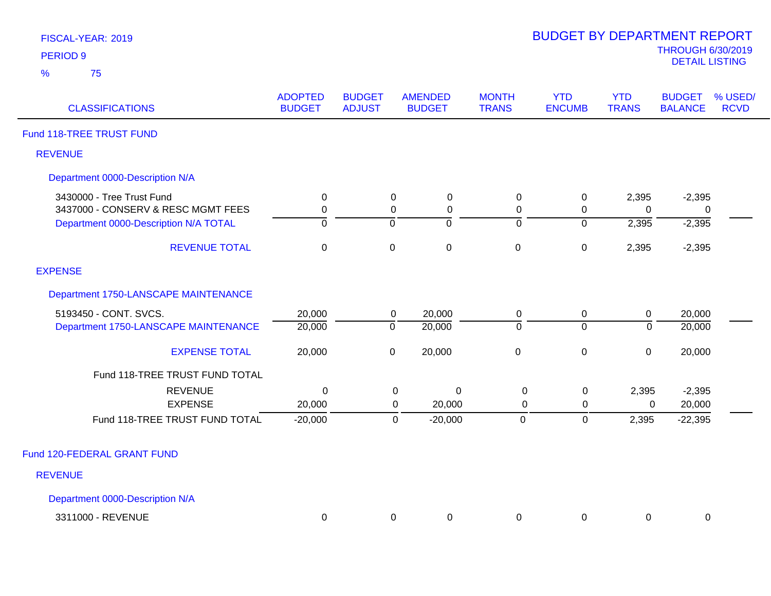| FISCAL-YEAR: 2019   |  |
|---------------------|--|
| PERIOD <sub>9</sub> |  |

| <b>CLASSIFICATIONS</b>                | <b>ADOPTED</b><br><b>BUDGET</b> | <b>BUDGET</b><br><b>ADJUST</b> | <b>AMENDED</b><br><b>BUDGET</b> | <b>MONTH</b><br><b>TRANS</b> | <b>YTD</b><br><b>ENCUMB</b> | <b>YTD</b><br><b>TRANS</b> | <b>BUDGET</b><br><b>BALANCE</b> | % USED/<br><b>RCVD</b> |
|---------------------------------------|---------------------------------|--------------------------------|---------------------------------|------------------------------|-----------------------------|----------------------------|---------------------------------|------------------------|
| Fund 118-TREE TRUST FUND              |                                 |                                |                                 |                              |                             |                            |                                 |                        |
| <b>REVENUE</b>                        |                                 |                                |                                 |                              |                             |                            |                                 |                        |
| Department 0000-Description N/A       |                                 |                                |                                 |                              |                             |                            |                                 |                        |
| 3430000 - Tree Trust Fund             | $\mathbf 0$                     |                                | $\mathbf 0$<br>$\mathbf 0$      | $\pmb{0}$                    | $\pmb{0}$                   | 2,395                      | $-2,395$                        |                        |
| 3437000 - CONSERV & RESC MGMT FEES    | 0                               |                                | 0<br>0                          | 0                            | 0                           | $\Omega$                   | 0                               |                        |
| Department 0000-Description N/A TOTAL | $\mathbf 0$                     | $\mathbf 0$                    | ō                               | $\overline{0}$               | $\mathbf 0$                 | 2,395                      | $-2,395$                        |                        |
| <b>REVENUE TOTAL</b>                  | $\mathbf 0$                     | $\boldsymbol{0}$               | $\pmb{0}$                       | $\pmb{0}$                    | $\pmb{0}$                   | 2,395                      | $-2,395$                        |                        |
| <b>EXPENSE</b>                        |                                 |                                |                                 |                              |                             |                            |                                 |                        |
| Department 1750-LANSCAPE MAINTENANCE  |                                 |                                |                                 |                              |                             |                            |                                 |                        |
| 5193450 - CONT. SVCS.                 | 20,000                          |                                | 20,000<br>$\overline{0}$        | $\mathbf 0$                  | $\mathbf 0$                 | $\pmb{0}$                  | 20,000                          |                        |
| Department 1750-LANSCAPE MAINTENANCE  | 20,000                          | $\overline{0}$                 | 20,000                          | $\overline{0}$               | $\overline{0}$              | $\Omega$                   | 20,000                          |                        |
| <b>EXPENSE TOTAL</b>                  | 20,000                          | $\pmb{0}$                      | 20,000                          | $\mathbf 0$                  | $\pmb{0}$                   | $\mathbf 0$                | 20,000                          |                        |
| Fund 118-TREE TRUST FUND TOTAL        |                                 |                                |                                 |                              |                             |                            |                                 |                        |
| <b>REVENUE</b>                        | 0                               |                                | 0<br>0                          | $\mathbf 0$                  | $\mathbf 0$                 | 2,395                      | $-2,395$                        |                        |
| <b>EXPENSE</b>                        | 20,000                          |                                | 20,000<br>0                     | $\mathbf 0$                  | 0                           | 0                          | 20,000                          |                        |
| Fund 118-TREE TRUST FUND TOTAL        | $-20,000$                       |                                | $-20,000$<br>$\mathbf 0$        | $\mathbf 0$                  | $\pmb{0}$                   | 2,395                      | $-22,395$                       |                        |
| Fund 120-FEDERAL GRANT FUND           |                                 |                                |                                 |                              |                             |                            |                                 |                        |
| <b>REVENUE</b>                        |                                 |                                |                                 |                              |                             |                            |                                 |                        |
| Department 0000-Description N/A       |                                 |                                |                                 |                              |                             |                            |                                 |                        |
| 3311000 - REVENUE                     |                                 |                                | 0                               |                              |                             |                            |                                 |                        |
|                                       | 0                               |                                | 0                               | 0                            | 0                           | 0                          | 0                               |                        |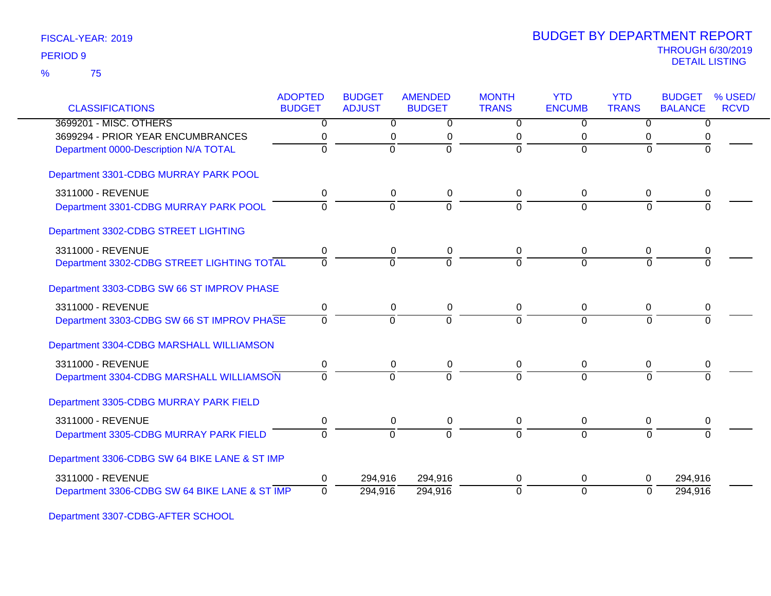75 %

|                                               | <b>ADOPTED</b> | <b>BUDGET</b>  | <b>AMENDED</b> | <b>MONTH</b>   | <b>YTD</b>     | <b>YTD</b>     | <b>BUDGET</b>  | % USED/     |
|-----------------------------------------------|----------------|----------------|----------------|----------------|----------------|----------------|----------------|-------------|
| <b>CLASSIFICATIONS</b>                        | <b>BUDGET</b>  | <b>ADJUST</b>  | <b>BUDGET</b>  | <b>TRANS</b>   | <b>ENCUMB</b>  | <b>TRANS</b>   | <b>BALANCE</b> | <b>RCVD</b> |
| 3699201 - MISC. OTHERS                        | $\overline{0}$ | $\overline{0}$ | $\overline{0}$ | $\overline{0}$ | $\overline{0}$ | $\overline{0}$ | $\overline{0}$ |             |
| 3699294 - PRIOR YEAR ENCUMBRANCES             | 0              | 0              | 0              | 0              | 0              | 0              | 0              |             |
| Department 0000-Description N/A TOTAL         | $\overline{0}$ | $\overline{0}$ | ō              | $\overline{0}$ | $\Omega$       | $\overline{0}$ | $\overline{0}$ |             |
| Department 3301-CDBG MURRAY PARK POOL         |                |                |                |                |                |                |                |             |
| 3311000 - REVENUE                             | 0              | 0              | 0              | 0              | 0              | 0              | 0              |             |
| Department 3301-CDBG MURRAY PARK POOL         | 0              | $\Omega$       | $\overline{0}$ | $\Omega$       | $\overline{0}$ | $\Omega$       | $\Omega$       |             |
| Department 3302-CDBG STREET LIGHTING          |                |                |                |                |                |                |                |             |
| 3311000 - REVENUE                             | 0              | $\mathbf 0$    | $\mathbf 0$    | 0              | 0              | $\mathbf 0$    | 0              |             |
| Department 3302-CDBG STREET LIGHTING TOTAL    | $\Omega$       | $\Omega$       | $\overline{0}$ | $\Omega$       | $\Omega$       | $\Omega$       |                |             |
| Department 3303-CDBG SW 66 ST IMPROV PHASE    |                |                |                |                |                |                |                |             |
| 3311000 - REVENUE                             | 0              | $\pmb{0}$      | 0              | 0              | $\pmb{0}$      | $\mathbf 0$    | 0              |             |
| Department 3303-CDBG SW 66 ST IMPROV PHASE    | $\Omega$       | 0              | $\Omega$       | $\Omega$       | $\Omega$       | $\Omega$       | U              |             |
| Department 3304-CDBG MARSHALL WILLIAMSON      |                |                |                |                |                |                |                |             |
| 3311000 - REVENUE                             | 0              | 0              | 0              | 0              | 0              | 0              |                |             |
| Department 3304-CDBG MARSHALL WILLIAMSON      | $\overline{0}$ | $\overline{0}$ | $\Omega$       | $\Omega$       | $\Omega$       | $\Omega$       |                |             |
| Department 3305-CDBG MURRAY PARK FIELD        |                |                |                |                |                |                |                |             |
| 3311000 - REVENUE                             | 0              | 0              | 0              | 0              | 0              | 0              | 0              |             |
| Department 3305-CDBG MURRAY PARK FIELD        | $\Omega$       | $\overline{0}$ | $\overline{0}$ | $\Omega$       | $\Omega$       | $\Omega$       | $\Omega$       |             |
| Department 3306-CDBG SW 64 BIKE LANE & ST IMP |                |                |                |                |                |                |                |             |
| 3311000 - REVENUE                             | 0              | 294,916        | 294,916        | 0              | 0              | 0              | 294,916        |             |
| Department 3306-CDBG SW 64 BIKE LANE & ST IMP | $\Omega$       | 294,916        | 294,916        | $\overline{0}$ | $\overline{0}$ | $\Omega$       | 294,916        |             |

Department 3307-CDBG-AFTER SCHOOL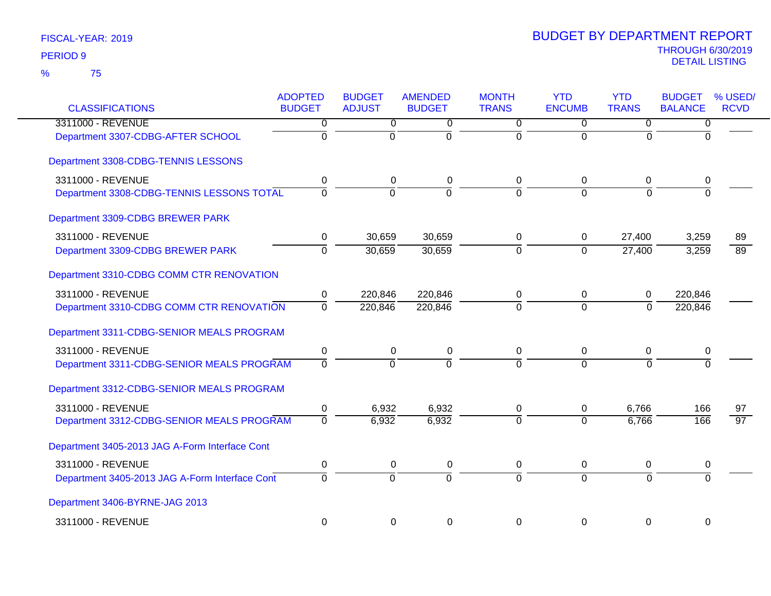| <b>CLASSIFICATIONS</b>                         | <b>ADOPTED</b><br><b>BUDGET</b> | <b>BUDGET</b><br><b>ADJUST</b> | <b>AMENDED</b><br><b>BUDGET</b> | <b>MONTH</b><br><b>TRANS</b> | <b>YTD</b><br><b>ENCUMB</b> | <b>YTD</b><br><b>TRANS</b> | <b>BUDGET</b><br><b>BALANCE</b> | % USED/<br><b>RCVD</b> |
|------------------------------------------------|---------------------------------|--------------------------------|---------------------------------|------------------------------|-----------------------------|----------------------------|---------------------------------|------------------------|
| 3311000 - REVENUE                              | 0                               | $\overline{0}$                 | $\overline{0}$                  | $\overline{0}$               | $\overline{0}$              | $\overline{0}$             | $\overline{0}$                  |                        |
| Department 3307-CDBG-AFTER SCHOOL              | $\overline{0}$                  | $\overline{0}$                 | $\overline{0}$                  | $\mathbf 0$                  | $\overline{0}$              | $\Omega$                   | $\Omega$                        |                        |
| Department 3308-CDBG-TENNIS LESSONS            |                                 |                                |                                 |                              |                             |                            |                                 |                        |
| 3311000 - REVENUE                              | 0                               | 0                              | 0                               | 0                            | $\pmb{0}$                   | 0                          | 0                               |                        |
| Department 3308-CDBG-TENNIS LESSONS TOTAL      | $\overline{0}$                  | $\overline{0}$                 | $\overline{0}$                  | $\overline{0}$               | $\Omega$                    | $\Omega$                   | $\Omega$                        |                        |
| Department 3309-CDBG BREWER PARK               |                                 |                                |                                 |                              |                             |                            |                                 |                        |
| 3311000 - REVENUE                              | 0                               | 30,659                         | 30,659                          | 0                            | 0                           | 27,400                     | 3,259                           | 89                     |
| Department 3309-CDBG BREWER PARK               | $\overline{0}$                  | 30,659                         | 30,659                          | $\overline{0}$               | $\overline{0}$              | 27,400                     | 3,259                           | $\overline{89}$        |
| Department 3310-CDBG COMM CTR RENOVATION       |                                 |                                |                                 |                              |                             |                            |                                 |                        |
| 3311000 - REVENUE                              | 0                               | 220,846                        | 220,846                         | 0                            | 0                           | 0                          | 220,846                         |                        |
| Department 3310-CDBG COMM CTR RENOVATION       | $\overline{0}$                  | 220,846                        | 220,846                         | $\overline{0}$               | $\overline{0}$              | 0                          | 220,846                         |                        |
| Department 3311-CDBG-SENIOR MEALS PROGRAM      |                                 |                                |                                 |                              |                             |                            |                                 |                        |
| 3311000 - REVENUE                              | $\pmb{0}$                       | $\pmb{0}$                      | 0                               | $\mathbf 0$                  | $\mathbf 0$                 | $\pmb{0}$                  | $\pmb{0}$                       |                        |
| Department 3311-CDBG-SENIOR MEALS PROGRAM      | $\overline{0}$                  | $\overline{0}$                 | $\Omega$                        | $\Omega$                     | $\overline{0}$              | $\Omega$                   | $\Omega$                        |                        |
| Department 3312-CDBG-SENIOR MEALS PROGRAM      |                                 |                                |                                 |                              |                             |                            |                                 |                        |
| 3311000 - REVENUE                              | $\pmb{0}$                       | 6,932                          | 6,932                           | 0                            | 0                           | 6,766                      | 166                             | 97                     |
| Department 3312-CDBG-SENIOR MEALS PROGRAM      | $\Omega$                        | 6,932                          | 6,932                           | $\Omega$                     | $\Omega$                    | 6,766                      | 166                             | $\overline{97}$        |
| Department 3405-2013 JAG A-Form Interface Cont |                                 |                                |                                 |                              |                             |                            |                                 |                        |
| 3311000 - REVENUE                              | $\pmb{0}$                       | 0                              | 0                               | 0                            | 0                           | 0                          | 0                               |                        |
| Department 3405-2013 JAG A-Form Interface Cont | $\overline{0}$                  | $\overline{0}$                 | $\overline{0}$                  | $\overline{0}$               | $\overline{0}$              | $\overline{0}$             | $\overline{0}$                  |                        |
| Department 3406-BYRNE-JAG 2013                 |                                 |                                |                                 |                              |                             |                            |                                 |                        |
| 3311000 - REVENUE                              | $\mathbf 0$                     | $\mathbf 0$                    | $\mathbf 0$                     | $\mathbf 0$                  | $\mathbf 0$                 | $\mathbf 0$                | 0                               |                        |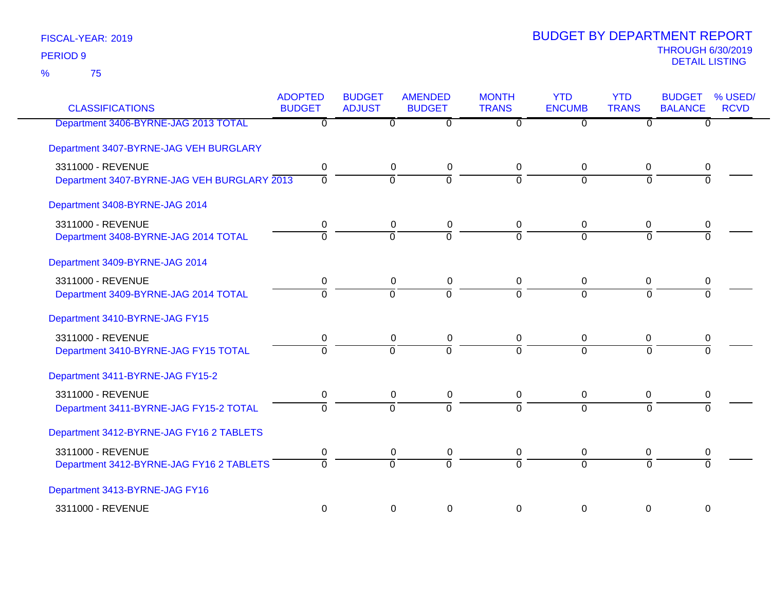| <b>CLASSIFICATIONS</b>                      | <b>ADOPTED</b><br><b>BUDGET</b> | <b>BUDGET</b><br><b>ADJUST</b> | <b>AMENDED</b><br><b>BUDGET</b> | <b>MONTH</b><br><b>TRANS</b> | <b>YTD</b><br><b>ENCUMB</b> | <b>YTD</b><br><b>TRANS</b> | <b>BUDGET</b><br><b>BALANCE</b> | % USED/<br><b>RCVD</b> |
|---------------------------------------------|---------------------------------|--------------------------------|---------------------------------|------------------------------|-----------------------------|----------------------------|---------------------------------|------------------------|
| Department 3406-BYRNE-JAG 2013 TOTAL        | $\overline{0}$                  | $\overline{0}$                 | $\overline{0}$                  | $\overline{0}$               | $\overline{0}$              | $\overline{0}$             | $\overline{0}$                  |                        |
| Department 3407-BYRNE-JAG VEH BURGLARY      |                                 |                                |                                 |                              |                             |                            |                                 |                        |
| 3311000 - REVENUE                           | $\mathbf 0$                     | $\mathbf 0$                    | $\pmb{0}$                       | 0                            | $\mathbf 0$                 | 0                          | 0                               |                        |
| Department 3407-BYRNE-JAG VEH BURGLARY 2013 | $\overline{0}$                  | $\overline{0}$                 | $\overline{0}$                  | $\overline{0}$               | $\overline{0}$              | $\Omega$                   | $\overline{0}$                  |                        |
| Department 3408-BYRNE-JAG 2014              |                                 |                                |                                 |                              |                             |                            |                                 |                        |
| 3311000 - REVENUE                           | 0                               | $\pmb{0}$                      | $\pmb{0}$                       | $\mathbf 0$                  | $\mathbf 0$                 | 0                          | 0                               |                        |
| Department 3408-BYRNE-JAG 2014 TOTAL        | $\Omega$                        | $\overline{0}$                 | $\Omega$                        | $\Omega$                     | $\Omega$                    | $\Omega$                   | $\Omega$                        |                        |
| Department 3409-BYRNE-JAG 2014              |                                 |                                |                                 |                              |                             |                            |                                 |                        |
| 3311000 - REVENUE                           | 0                               | $\mathbf 0$                    | 0                               | $\mathbf 0$                  | $\mathbf 0$                 | $\mathbf 0$                | 0                               |                        |
| Department 3409-BYRNE-JAG 2014 TOTAL        | $\overline{0}$                  | $\overline{0}$                 | $\overline{0}$                  | $\overline{0}$               | $\overline{0}$              | $\Omega$                   | $\Omega$                        |                        |
| Department 3410-BYRNE-JAG FY15              |                                 |                                |                                 |                              |                             |                            |                                 |                        |
| 3311000 - REVENUE                           | 0                               | $\mathsf 0$                    | $\pmb{0}$                       | $\mathbf 0$                  | $\mathbf 0$                 | $\mathbf 0$                | 0                               |                        |
| Department 3410-BYRNE-JAG FY15 TOTAL        | $\Omega$                        | $\Omega$                       | $\Omega$                        | $\Omega$                     | $\Omega$                    | $\Omega$                   | $\Omega$                        |                        |
| Department 3411-BYRNE-JAG FY15-2            |                                 |                                |                                 |                              |                             |                            |                                 |                        |
| 3311000 - REVENUE                           | 0                               | 0                              | $\pmb{0}$                       | 0                            | $\pmb{0}$                   | 0                          | 0                               |                        |
| Department 3411-BYRNE-JAG FY15-2 TOTAL      | $\overline{0}$                  | $\overline{0}$                 | $\overline{0}$                  | $\overline{0}$               | $\overline{0}$              | $\overline{0}$             | $\Omega$                        |                        |
| Department 3412-BYRNE-JAG FY16 2 TABLETS    |                                 |                                |                                 |                              |                             |                            |                                 |                        |
| 3311000 - REVENUE                           | 0                               | 0                              | $\pmb{0}$                       | 0                            | $\pmb{0}$                   | 0                          | 0                               |                        |
| Department 3412-BYRNE-JAG FY16 2 TABLETS    | $\Omega$                        | $\Omega$                       | $\Omega$                        | $\Omega$                     | $\Omega$                    | $\Omega$                   | $\Omega$                        |                        |
| Department 3413-BYRNE-JAG FY16              |                                 |                                |                                 |                              |                             |                            |                                 |                        |
| 3311000 - REVENUE                           | $\boldsymbol{0}$                | $\boldsymbol{0}$               | $\pmb{0}$                       | $\boldsymbol{0}$             | $\mathbf 0$                 | $\boldsymbol{0}$           | $\mathbf 0$                     |                        |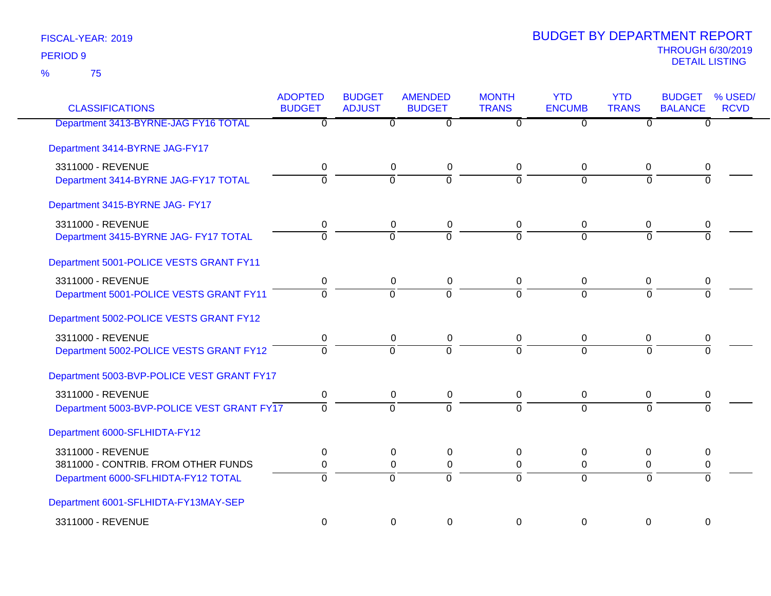75 %

| <b>CLASSIFICATIONS</b>                     | <b>ADOPTED</b><br><b>BUDGET</b> | <b>BUDGET</b><br><b>ADJUST</b> | <b>AMENDED</b><br><b>BUDGET</b> | <b>MONTH</b><br><b>TRANS</b> | <b>YTD</b><br><b>ENCUMB</b> | <b>YTD</b><br><b>TRANS</b> | <b>BUDGET</b><br><b>BALANCE</b> | % USED/<br><b>RCVD</b> |
|--------------------------------------------|---------------------------------|--------------------------------|---------------------------------|------------------------------|-----------------------------|----------------------------|---------------------------------|------------------------|
| Department 3413-BYRNE-JAG FY16 TOTAL       | 0                               | 0                              | 0                               | 0                            | 0                           | $\Omega$                   | 0                               |                        |
| Department 3414-BYRNE JAG-FY17             |                                 |                                |                                 |                              |                             |                            |                                 |                        |
| 3311000 - REVENUE                          | 0                               | 0                              | $\pmb{0}$                       | 0                            | $\mathbf 0$                 | $\mathbf 0$                | 0                               |                        |
| Department 3414-BYRNE JAG-FY17 TOTAL       | $\overline{0}$                  | $\overline{0}$                 | $\overline{0}$                  | $\overline{0}$               | $\Omega$                    | $\overline{0}$             | $\overline{0}$                  |                        |
| Department 3415-BYRNE JAG- FY17            |                                 |                                |                                 |                              |                             |                            |                                 |                        |
| 3311000 - REVENUE                          | 0                               | 0                              | 0                               | 0                            | 0                           | 0                          | 0                               |                        |
| Department 3415-BYRNE JAG- FY17 TOTAL      | $\Omega$                        | $\Omega$                       | $\overline{0}$                  | $\Omega$                     | $\overline{0}$              | $\Omega$                   | $\Omega$                        |                        |
| Department 5001-POLICE VESTS GRANT FY11    |                                 |                                |                                 |                              |                             |                            |                                 |                        |
| 3311000 - REVENUE                          | 0                               | $\mathbf 0$                    | $\pmb{0}$                       | $\mathbf 0$                  | $\mathbf 0$                 | $\mathbf 0$                | 0                               |                        |
| Department 5001-POLICE VESTS GRANT FY11    | $\Omega$                        | $\Omega$                       | $\Omega$                        | $\Omega$                     | $\Omega$                    | $\Omega$                   | $\Omega$                        |                        |
| Department 5002-POLICE VESTS GRANT FY12    |                                 |                                |                                 |                              |                             |                            |                                 |                        |
| 3311000 - REVENUE                          | 0                               | 0                              | 0                               | 0                            | 0                           | 0                          | 0                               |                        |
| Department 5002-POLICE VESTS GRANT FY12    | $\overline{0}$                  | $\overline{0}$                 | $\overline{0}$                  | $\overline{0}$               | $\overline{0}$              | $\overline{0}$             | $\overline{0}$                  |                        |
| Department 5003-BVP-POLICE VEST GRANT FY17 |                                 |                                |                                 |                              |                             |                            |                                 |                        |
| 3311000 - REVENUE                          | 0                               | 0                              | 0                               | 0                            | $\mathbf 0$                 | 0                          | 0                               |                        |
| Department 5003-BVP-POLICE VEST GRANT FY17 | $\Omega$                        | $\overline{0}$                 | $\overline{0}$                  | $\Omega$                     | $\overline{0}$              | $\Omega$                   | 0                               |                        |
| Department 6000-SFLHIDTA-FY12              |                                 |                                |                                 |                              |                             |                            |                                 |                        |
| 3311000 - REVENUE                          | 0                               | 0                              | $\pmb{0}$                       | 0                            | 0                           | 0                          | 0                               |                        |
| 3811000 - CONTRIB. FROM OTHER FUNDS        | 0                               | $\mathsf 0$                    | $\pmb{0}$                       | $\pmb{0}$                    | $\pmb{0}$                   | $\pmb{0}$                  | 0                               |                        |
| Department 6000-SFLHIDTA-FY12 TOTAL        | $\Omega$                        | $\Omega$                       | $\Omega$                        | $\Omega$                     | $\Omega$                    | $\Omega$                   | $\Omega$                        |                        |
| Department 6001-SFLHIDTA-FY13MAY-SEP       |                                 |                                |                                 |                              |                             |                            |                                 |                        |
| 3311000 - REVENUE                          | $\Omega$                        | $\Omega$                       | 0                               | $\Omega$                     | 0                           | $\Omega$                   | $\Omega$                        |                        |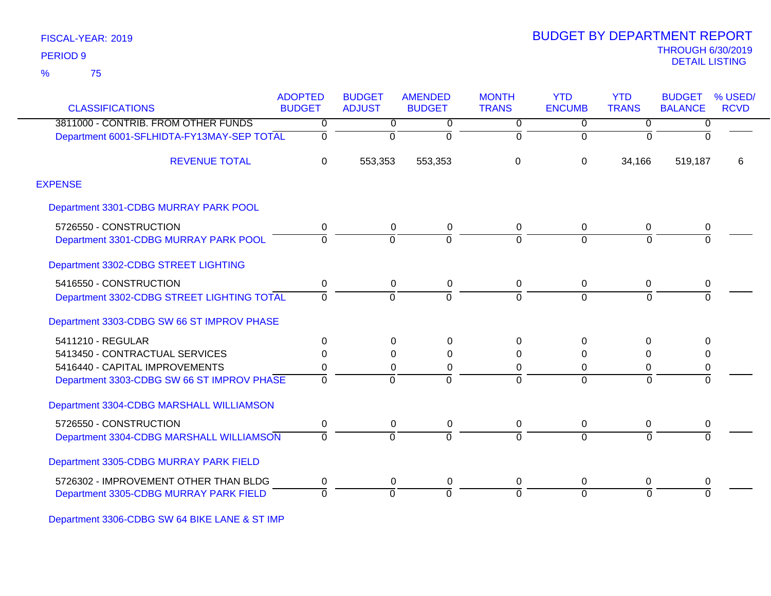75 %

|                                            | <b>ADOPTED</b> | <b>BUDGET</b>  | <b>AMENDED</b> | <b>MONTH</b>   | <b>YTD</b>    | <b>YTD</b>     | <b>BUDGET</b>  | % USED/     |
|--------------------------------------------|----------------|----------------|----------------|----------------|---------------|----------------|----------------|-------------|
| <b>CLASSIFICATIONS</b>                     | <b>BUDGET</b>  | <b>ADJUST</b>  | <b>BUDGET</b>  | <b>TRANS</b>   | <b>ENCUMB</b> | <b>TRANS</b>   | <b>BALANCE</b> | <b>RCVD</b> |
| 3811000 - CONTRIB. FROM OTHER FUNDS        | 0              | $\overline{0}$ | 0              | $\overline{0}$ | $\mathbf 0$   | $\overline{0}$ | $\overline{0}$ |             |
| Department 6001-SFLHIDTA-FY13MAY-SEP TOTAL | 0              | $\Omega$       | $\Omega$       | $\mathbf 0$    | $\Omega$      | $\Omega$       | $\Omega$       |             |
| <b>REVENUE TOTAL</b>                       | $\Omega$       | 553,353        | 553,353        | 0              | $\Omega$      | 34,166         | 519,187        | 6           |
| <b>EXPENSE</b>                             |                |                |                |                |               |                |                |             |
| Department 3301-CDBG MURRAY PARK POOL      |                |                |                |                |               |                |                |             |
| 5726550 - CONSTRUCTION                     | 0              | 0              | 0              | 0              | 0             | 0              | 0              |             |
| Department 3301-CDBG MURRAY PARK POOL      | 0              | $\Omega$       | $\Omega$       | $\overline{0}$ | $\Omega$      | $\overline{0}$ | $\overline{0}$ |             |
| Department 3302-CDBG STREET LIGHTING       |                |                |                |                |               |                |                |             |
| 5416550 - CONSTRUCTION                     | 0              | 0              | 0              | 0              | $\mathbf 0$   | $\mathbf 0$    | 0              |             |
| Department 3302-CDBG STREET LIGHTING TOTAL | $\Omega$       | 0              | $\Omega$       | $\Omega$       | $\Omega$      | $\Omega$       | $\Omega$       |             |
| Department 3303-CDBG SW 66 ST IMPROV PHASE |                |                |                |                |               |                |                |             |
| 5411210 - REGULAR                          | 0              | 0              | $\Omega$       | 0              | $\Omega$      | $\mathbf{0}$   | $\Omega$       |             |
| 5413450 - CONTRACTUAL SERVICES             | $\Omega$       | 0              | $\Omega$       | 0              | $\Omega$      | $\Omega$       | 0              |             |
| 5416440 - CAPITAL IMPROVEMENTS             | 0              | 0              | $\Omega$       | 0              | $\Omega$      | 0              | 0              |             |
| Department 3303-CDBG SW 66 ST IMPROV PHASE | $\mathbf 0$    | $\Omega$       | $\Omega$       | $\Omega$       | $\Omega$      | $\Omega$       | 0              |             |
| Department 3304-CDBG MARSHALL WILLIAMSON   |                |                |                |                |               |                |                |             |
| 5726550 - CONSTRUCTION                     | 0              | 0              | $\mathbf 0$    | 0              | $\mathbf 0$   | $\mathbf 0$    | 0              |             |
| Department 3304-CDBG MARSHALL WILLIAMSON   | $\Omega$       | $\Omega$       | $\Omega$       | $\overline{0}$ | $\Omega$      | $\overline{0}$ | $\Omega$       |             |
| Department 3305-CDBG MURRAY PARK FIELD     |                |                |                |                |               |                |                |             |
| 5726302 - IMPROVEMENT OTHER THAN BLDG      | 0              | 0              | 0              | 0              | 0             | 0              | 0              |             |
| Department 3305-CDBG MURRAY PARK FIELD     | $\Omega$       | $\Omega$       | $\Omega$       | $\overline{0}$ | $\Omega$      | $\Omega$       | $\overline{0}$ |             |

Department 3306-CDBG SW 64 BIKE LANE & ST IMP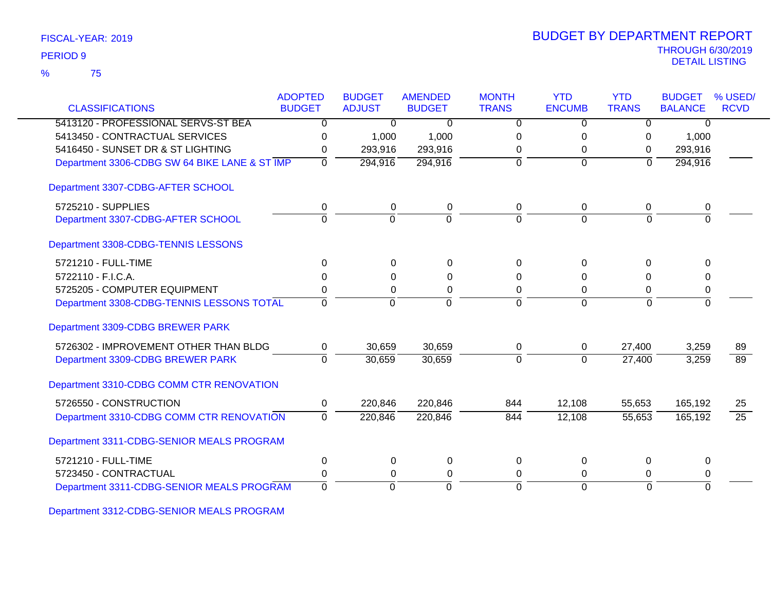75 %

| <b>CLASSIFICATIONS</b>                        | <b>ADOPTED</b><br><b>BUDGET</b> | <b>BUDGET</b><br><b>ADJUST</b> | <b>AMENDED</b><br><b>BUDGET</b> | <b>MONTH</b><br><b>TRANS</b> | <b>YTD</b><br><b>ENCUMB</b> | <b>YTD</b><br><b>TRANS</b> | <b>BUDGET</b><br><b>BALANCE</b> | % USED/<br><b>RCVD</b> |
|-----------------------------------------------|---------------------------------|--------------------------------|---------------------------------|------------------------------|-----------------------------|----------------------------|---------------------------------|------------------------|
| 5413120 - PROFESSIONAL SERVS-ST BEA           | $\overline{0}$                  | $\overline{0}$                 | $\overline{0}$                  | $\overline{0}$               | $\overline{0}$              | $\overline{0}$             | $\overline{0}$                  |                        |
| 5413450 - CONTRACTUAL SERVICES                | $\Omega$                        | 1,000                          | 1,000                           | $\Omega$                     | 0                           | 0                          | 1,000                           |                        |
| 5416450 - SUNSET DR & ST LIGHTING             | 0                               | 293,916                        | 293,916                         | 0                            | $\Omega$                    | $\Omega$                   | 293,916                         |                        |
| Department 3306-CDBG SW 64 BIKE LANE & ST IMP | $\mathbf{0}$                    | 294,916                        | 294,916                         | $\Omega$                     | $\mathbf{0}$                | $\Omega$                   | 294,916                         |                        |
| Department 3307-CDBG-AFTER SCHOOL             |                                 |                                |                                 |                              |                             |                            |                                 |                        |
| 5725210 - SUPPLIES                            | 0                               | 0                              | 0                               | 0                            | $\mathbf 0$                 | 0                          | 0                               |                        |
| Department 3307-CDBG-AFTER SCHOOL             | $\overline{0}$                  | $\overline{0}$                 | $\Omega$                        | $\Omega$                     | $\overline{0}$              | $\Omega$                   | $\overline{0}$                  |                        |
| Department 3308-CDBG-TENNIS LESSONS           |                                 |                                |                                 |                              |                             |                            |                                 |                        |
| 5721210 - FULL-TIME                           | $\Omega$                        | $\Omega$                       | $\Omega$                        | $\Omega$                     | $\Omega$                    | $\Omega$                   | $\Omega$                        |                        |
| 5722110 - F.I.C.A.                            | $\Omega$                        | 0                              | 0                               | $\Omega$                     | O                           | $\Omega$                   | 0                               |                        |
| 5725205 - COMPUTER EQUIPMENT                  | 0                               | 0                              | $\pmb{0}$                       | 0                            | 0                           | 0                          | 0                               |                        |
| Department 3308-CDBG-TENNIS LESSONS TOTAL     | $\Omega$                        | $\mathbf 0$                    | $\Omega$                        | $\Omega$                     | $\Omega$                    | $\Omega$                   | $\Omega$                        |                        |
| Department 3309-CDBG BREWER PARK              |                                 |                                |                                 |                              |                             |                            |                                 |                        |
| 5726302 - IMPROVEMENT OTHER THAN BLDG         | 0                               | 30,659                         | 30,659                          | 0                            | 0                           | 27,400                     | 3,259                           | 89                     |
| Department 3309-CDBG BREWER PARK              | $\overline{\mathfrak{o}}$       | 30,659                         | 30,659                          | ō                            | $\overline{0}$              | 27,400                     | 3,259                           | $\overline{89}$        |
| Department 3310-CDBG COMM CTR RENOVATION      |                                 |                                |                                 |                              |                             |                            |                                 |                        |
| 5726550 - CONSTRUCTION                        | 0                               | 220,846                        | 220,846                         | 844                          | 12,108                      | 55,653                     | 165,192                         | 25                     |
| Department 3310-CDBG COMM CTR RENOVATION      | $\overline{0}$                  | 220,846                        | 220,846                         | 844                          | 12,108                      | 55,653                     | 165,192                         | $\overline{25}$        |
| Department 3311-CDBG-SENIOR MEALS PROGRAM     |                                 |                                |                                 |                              |                             |                            |                                 |                        |
| 5721210 - FULL-TIME                           | 0                               | 0                              | 0                               | $\Omega$                     | $\Omega$                    | 0                          | 0                               |                        |
| 5723450 - CONTRACTUAL                         | 0                               | 0                              | $\pmb{0}$                       | 0                            | $\Omega$                    | 0                          | 0                               |                        |
| Department 3311-CDBG-SENIOR MEALS PROGRAM     | $\overline{0}$                  | $\Omega$                       | $\mathbf 0$                     | $\Omega$                     | $\mathbf 0$                 | $\Omega$                   | $\Omega$                        |                        |

Department 3312-CDBG-SENIOR MEALS PROGRAM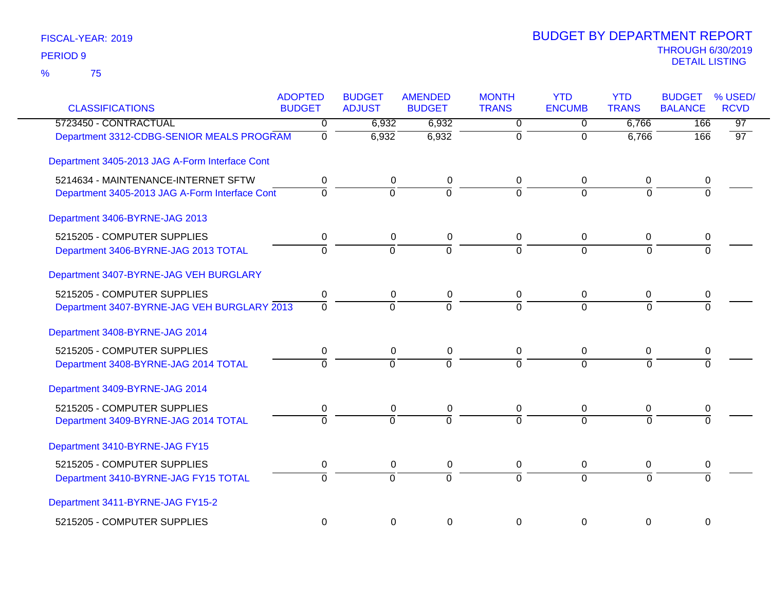| <b>CLASSIFICATIONS</b>                         | <b>ADOPTED</b><br><b>BUDGET</b> | <b>BUDGET</b><br><b>ADJUST</b> | <b>AMENDED</b><br><b>BUDGET</b> | <b>MONTH</b><br><b>TRANS</b> | <b>YTD</b><br><b>ENCUMB</b> | <b>YTD</b><br><b>TRANS</b> | <b>BUDGET</b><br><b>BALANCE</b> | % USED/<br><b>RCVD</b> |
|------------------------------------------------|---------------------------------|--------------------------------|---------------------------------|------------------------------|-----------------------------|----------------------------|---------------------------------|------------------------|
| 5723450 - CONTRACTUAL                          | $\Omega$                        | 6,932                          | 6,932                           | 0                            | 0                           | 6,766                      | 166                             | $\overline{97}$        |
| Department 3312-CDBG-SENIOR MEALS PROGRAM      | $\overline{0}$                  | 6,932                          | 6,932                           | $\overline{0}$               | $\mathbf 0$                 | 6,766                      | 166                             | 97                     |
| Department 3405-2013 JAG A-Form Interface Cont |                                 |                                |                                 |                              |                             |                            |                                 |                        |
| 5214634 - MAINTENANCE-INTERNET SFTW            | 0                               | 0                              | 0                               | 0                            | 0                           | 0                          | 0                               |                        |
| Department 3405-2013 JAG A-Form Interface Cont | $\overline{0}$                  | $\overline{0}$                 | $\overline{0}$                  | 7                            | $\Omega$                    | $\Omega$                   | $\overline{0}$                  |                        |
| Department 3406-BYRNE-JAG 2013                 |                                 |                                |                                 |                              |                             |                            |                                 |                        |
| 5215205 - COMPUTER SUPPLIES                    | 0                               | 0                              | 0                               | 0                            | 0                           | 0                          | 0                               |                        |
| Department 3406-BYRNE-JAG 2013 TOTAL           | $\Omega$                        | $\mathbf 0$                    | $\Omega$                        | $\Omega$                     | $\Omega$                    | $\Omega$                   | $\Omega$                        |                        |
| Department 3407-BYRNE-JAG VEH BURGLARY         |                                 |                                |                                 |                              |                             |                            |                                 |                        |
| 5215205 - COMPUTER SUPPLIES                    | 0                               | $\pmb{0}$                      | $\pmb{0}$                       | 0                            | $\mathbf 0$                 | 0                          | 0                               |                        |
| Department 3407-BYRNE-JAG VEH BURGLARY 2013    | $\mathbf 0$                     | $\mathbf 0$                    | $\Omega$                        | $\Omega$                     | $\Omega$                    | $\Omega$                   | $\Omega$                        |                        |
| Department 3408-BYRNE-JAG 2014                 |                                 |                                |                                 |                              |                             |                            |                                 |                        |
| 5215205 - COMPUTER SUPPLIES                    | 0                               | 0                              | 0                               | 0                            | 0                           | 0                          | 0                               |                        |
| Department 3408-BYRNE-JAG 2014 TOTAL           | $\Omega$                        | $\Omega$                       | $\Omega$                        | $\Omega$                     | $\Omega$                    | $\Omega$                   |                                 |                        |
| Department 3409-BYRNE-JAG 2014                 |                                 |                                |                                 |                              |                             |                            |                                 |                        |
| 5215205 - COMPUTER SUPPLIES                    | 0                               | 0                              | 0                               | 0                            | 0                           | 0                          | 0                               |                        |
| Department 3409-BYRNE-JAG 2014 TOTAL           | $\overline{0}$                  | $\overline{0}$                 | $\overline{0}$                  | $\overline{0}$               | $\overline{0}$              | $\overline{0}$             | $\overline{0}$                  |                        |
| Department 3410-BYRNE-JAG FY15                 |                                 |                                |                                 |                              |                             |                            |                                 |                        |
| 5215205 - COMPUTER SUPPLIES                    | 0                               | 0                              | 0                               | 0                            | 0                           | 0                          | 0                               |                        |
| Department 3410-BYRNE-JAG FY15 TOTAL           | $\Omega$                        | $\mathbf 0$                    | $\overline{0}$                  | $\overline{0}$               | $\Omega$                    | $\Omega$                   | 0                               |                        |
| Department 3411-BYRNE-JAG FY15-2               |                                 |                                |                                 |                              |                             |                            |                                 |                        |
| 5215205 - COMPUTER SUPPLIES                    | $\mathbf 0$                     | $\mathbf 0$                    | 0                               | 0                            | 0                           | 0                          | 0                               |                        |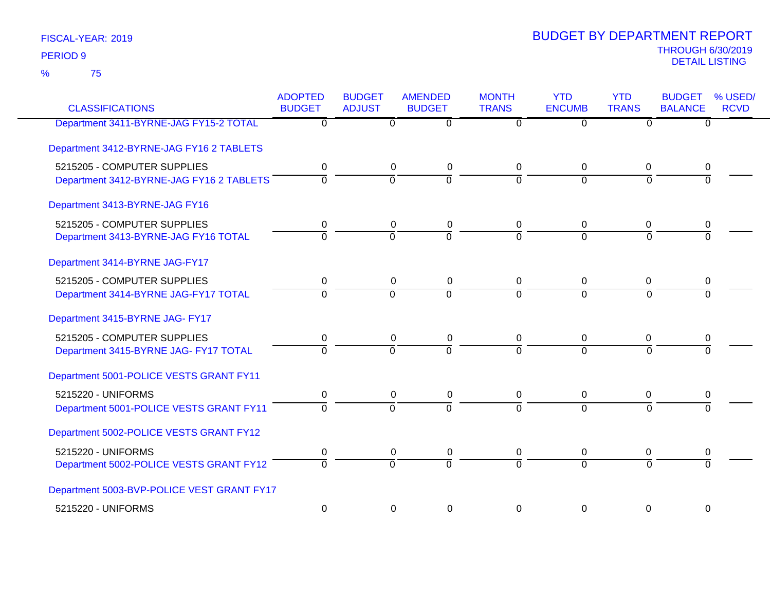75 %

| <b>CLASSIFICATIONS</b>                     | <b>ADOPTED</b><br><b>BUDGET</b> | <b>BUDGET</b><br><b>ADJUST</b> | <b>AMENDED</b><br><b>BUDGET</b> | <b>MONTH</b><br><b>TRANS</b> | <b>YTD</b><br><b>ENCUMB</b> | <b>YTD</b><br><b>TRANS</b> | <b>BUDGET</b><br><b>BALANCE</b> | % USED/<br><b>RCVD</b> |
|--------------------------------------------|---------------------------------|--------------------------------|---------------------------------|------------------------------|-----------------------------|----------------------------|---------------------------------|------------------------|
| Department 3411-BYRNE-JAG FY15-2 TOTAL     | $\overline{0}$                  | $\overline{0}$                 | $\overline{0}$                  | $\Omega$                     | $\overline{0}$              | $\overline{0}$             | 0                               |                        |
| Department 3412-BYRNE-JAG FY16 2 TABLETS   |                                 |                                |                                 |                              |                             |                            |                                 |                        |
| 5215205 - COMPUTER SUPPLIES                | 0                               | 0                              | 0                               | 0                            | 0                           | 0                          | 0                               |                        |
| Department 3412-BYRNE-JAG FY16 2 TABLETS   | $\Omega$                        | $\overline{0}$                 | ō                               | $\overline{0}$               | $\overline{0}$              | $\overline{0}$             | $\Omega$                        |                        |
| Department 3413-BYRNE-JAG FY16             |                                 |                                |                                 |                              |                             |                            |                                 |                        |
| 5215205 - COMPUTER SUPPLIES                | 0                               | 0                              | $\mathbf 0$                     | 0                            | 0                           | 0                          | 0                               |                        |
| Department 3413-BYRNE-JAG FY16 TOTAL       | $\Omega$                        | $\Omega$                       | 0                               | $\Omega$                     | $\Omega$                    | $\Omega$                   | $\Omega$                        |                        |
| Department 3414-BYRNE JAG-FY17             |                                 |                                |                                 |                              |                             |                            |                                 |                        |
| 5215205 - COMPUTER SUPPLIES                | 0                               | 0                              | 0                               | 0                            | 0                           | 0                          | 0                               |                        |
| Department 3414-BYRNE JAG-FY17 TOTAL       | $\overline{0}$                  | $\overline{0}$                 | ō                               | $\mathbf 0$                  | $\overline{0}$              | $\mathbf 0$                | $\overline{0}$                  |                        |
| Department 3415-BYRNE JAG- FY17            |                                 |                                |                                 |                              |                             |                            |                                 |                        |
| 5215205 - COMPUTER SUPPLIES                | 0                               | 0                              | 0                               | 0                            | 0                           | 0                          | 0                               |                        |
| Department 3415-BYRNE JAG- FY17 TOTAL      | $\overline{0}$                  | $\overline{0}$                 | $\overline{0}$                  | $\overline{0}$               | $\overline{0}$              | $\overline{0}$             | $\Omega$                        |                        |
| Department 5001-POLICE VESTS GRANT FY11    |                                 |                                |                                 |                              |                             |                            |                                 |                        |
| 5215220 - UNIFORMS                         | 0                               | 0                              | 0                               | 0                            | $\mathbf 0$                 | 0                          | 0                               |                        |
| Department 5001-POLICE VESTS GRANT FY11    | $\overline{0}$                  | $\overline{0}$                 | $\overline{0}$                  | $\Omega$                     | $\Omega$                    | $\overline{0}$             | $\Omega$                        |                        |
| Department 5002-POLICE VESTS GRANT FY12    |                                 |                                |                                 |                              |                             |                            |                                 |                        |
| 5215220 - UNIFORMS                         | 0                               | 0                              | 0                               | 0                            | 0                           | 0                          | 0                               |                        |
| Department 5002-POLICE VESTS GRANT FY12    | $\overline{0}$                  | $\overline{0}$                 | ក                               | $\overline{0}$               | $\Omega$                    | $\overline{0}$             | $\overline{0}$                  |                        |
| Department 5003-BVP-POLICE VEST GRANT FY17 |                                 |                                |                                 |                              |                             |                            |                                 |                        |
| 5215220 - UNIFORMS                         | 0                               | $\Omega$                       | $\mathbf 0$                     | $\Omega$                     | $\Omega$                    | 0                          | 0                               |                        |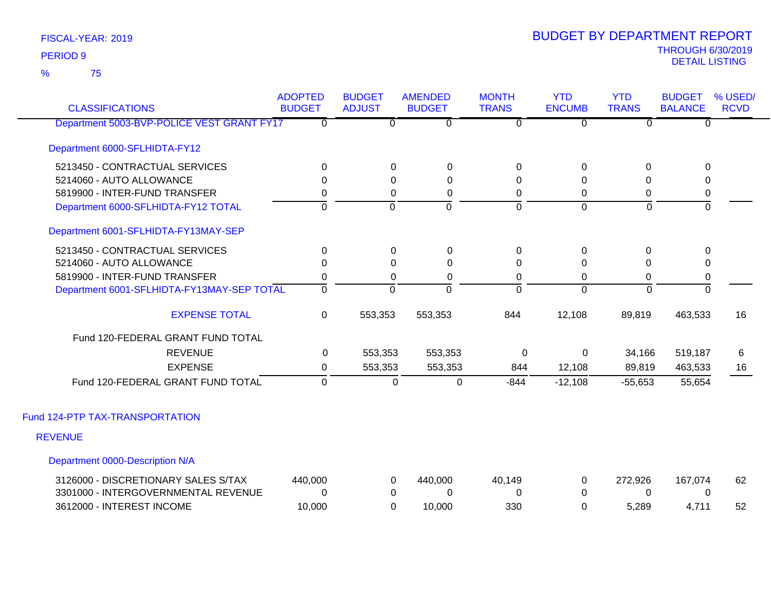75 %

| <b>CLASSIFICATIONS</b>                     | <b>ADOPTED</b><br><b>BUDGET</b> | <b>BUDGET</b><br><b>ADJUST</b> | <b>AMENDED</b><br><b>BUDGET</b> | <b>MONTH</b><br><b>TRANS</b> | <b>YTD</b><br><b>ENCUMB</b> | <b>YTD</b><br><b>TRANS</b> | <b>BUDGET</b><br><b>BALANCE</b> | % USED/<br><b>RCVD</b> |
|--------------------------------------------|---------------------------------|--------------------------------|---------------------------------|------------------------------|-----------------------------|----------------------------|---------------------------------|------------------------|
| Department 5003-BVP-POLICE VEST GRANT FY17 | $\overline{0}$                  | $\Omega$                       | $\overline{0}$                  | $\overline{0}$               | $\overline{0}$              | $\overline{0}$             | $\Omega$                        |                        |
| Department 6000-SFLHIDTA-FY12              |                                 |                                |                                 |                              |                             |                            |                                 |                        |
| 5213450 - CONTRACTUAL SERVICES             | $\Omega$                        | 0                              | 0                               | 0                            | 0                           | $\Omega$                   | 0                               |                        |
| 5214060 - AUTO ALLOWANCE                   | $\Omega$                        | $\Omega$                       | $\Omega$                        | $\Omega$                     | $\Omega$                    | $\Omega$                   | 0                               |                        |
| 5819900 - INTER-FUND TRANSFER              | 0                               | 0                              | 0                               | 0                            | 0                           | 0                          | 0                               |                        |
| Department 6000-SFLHIDTA-FY12 TOTAL        | $\Omega$                        | $\Omega$                       | $\overline{0}$                  | $\overline{0}$               | $\overline{0}$              | $\Omega$                   | $\overline{0}$                  |                        |
| Department 6001-SFLHIDTA-FY13MAY-SEP       |                                 |                                |                                 |                              |                             |                            |                                 |                        |
| 5213450 - CONTRACTUAL SERVICES             | $\mathbf 0$                     | $\Omega$                       | 0                               | 0                            | $\boldsymbol{0}$            | $\mathbf 0$                | $\mathbf 0$                     |                        |
| 5214060 - AUTO ALLOWANCE                   | 0                               | $\Omega$                       | 0                               | $\Omega$                     | 0                           | $\Omega$                   | 0                               |                        |
| 5819900 - INTER-FUND TRANSFER              | 0                               | $\Omega$                       | 0                               | 0                            | $\Omega$                    | 0                          | $\pmb{0}$                       |                        |
| Department 6001-SFLHIDTA-FY13MAY-SEP TOTAL | 0                               | $\Omega$                       | $\overline{0}$                  | $\Omega$                     | $\Omega$                    | 0                          | $\mathbf 0$                     |                        |
| <b>EXPENSE TOTAL</b>                       | 0                               | 553,353                        | 553,353                         | 844                          | 12,108                      | 89,819                     | 463,533                         | 16                     |
| Fund 120-FEDERAL GRANT FUND TOTAL          |                                 |                                |                                 |                              |                             |                            |                                 |                        |
| <b>REVENUE</b>                             | $\mathbf{0}$                    | 553,353                        | 553,353                         | 0                            | 0                           | 34,166                     | 519,187                         | 6                      |
| <b>EXPENSE</b>                             | 0                               | 553,353                        | 553,353                         | 844                          | 12,108                      | 89,819                     | 463,533                         | 16                     |
| Fund 120-FEDERAL GRANT FUND TOTAL          | $\Omega$                        | 0                              | 0                               | $-844$                       | $-12,108$                   | $-55,653$                  | 55,654                          |                        |
| Fund 124-PTP TAX-TRANSPORTATION            |                                 |                                |                                 |                              |                             |                            |                                 |                        |
| <b>REVENUE</b>                             |                                 |                                |                                 |                              |                             |                            |                                 |                        |
| Department 0000-Description N/A            |                                 |                                |                                 |                              |                             |                            |                                 |                        |
| 3126000 - DISCRETIONARY SALES S/TAX        | 440,000                         | 0                              | 440,000                         | 40,149                       | 0                           | 272,926                    | 167,074                         | 62                     |
| 3301000 - INTERGOVERNMENTAL REVENUE        | 0                               | 0                              | $\Omega$                        | 0                            | $\Omega$                    | $\Omega$                   | 0                               |                        |
| 3612000 - INTEREST INCOME                  | 10,000                          | $\Omega$                       | 10,000                          | 330                          | $\mathbf 0$                 | 5,289                      | 4,711                           | 52                     |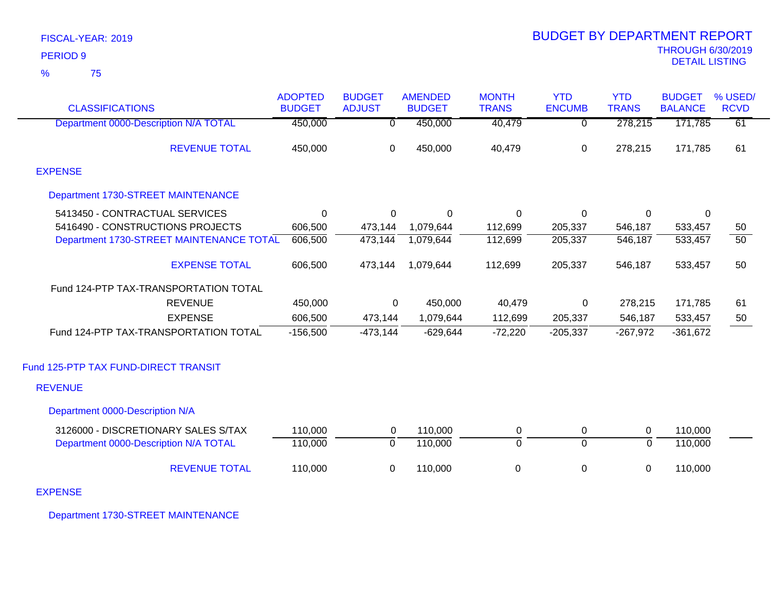|                 | FISCAL-YEAR: 2019 |
|-----------------|-------------------|
| <b>PERIOD 9</b> |                   |
| %               | 75                |

| <b>CLASSIFICATIONS</b>                    | <b>ADOPTED</b><br><b>BUDGET</b> | <b>BUDGET</b><br><b>ADJUST</b> | <b>AMENDED</b><br><b>BUDGET</b> | <b>MONTH</b><br><b>TRANS</b> | <b>YTD</b><br><b>ENCUMB</b> | <b>YTD</b><br><b>TRANS</b> | <b>BUDGET</b><br><b>BALANCE</b> | % USED/<br><b>RCVD</b> |
|-------------------------------------------|---------------------------------|--------------------------------|---------------------------------|------------------------------|-----------------------------|----------------------------|---------------------------------|------------------------|
| Department 0000-Description N/A TOTAL     | 450,000                         | $\overline{0}$                 | 450,000                         | 40,479                       | $\overline{0}$              | 278,215                    | 171,785                         | 61                     |
| <b>REVENUE TOTAL</b>                      | 450,000                         | 0                              | 450,000                         | 40,479                       | 0                           | 278,215                    | 171,785                         | 61                     |
| <b>EXPENSE</b>                            |                                 |                                |                                 |                              |                             |                            |                                 |                        |
| <b>Department 1730-STREET MAINTENANCE</b> |                                 |                                |                                 |                              |                             |                            |                                 |                        |
| 5413450 - CONTRACTUAL SERVICES            | $\mathbf 0$                     | 0                              | $\Omega$                        | 0                            | 0                           | 0                          | 0                               |                        |
| 5416490 - CONSTRUCTIONS PROJECTS          | 606,500                         | 473,144                        | 1,079,644                       | 112,699                      | 205,337                     | 546,187                    | 533,457                         | 50                     |
| Department 1730-STREET MAINTENANCE TOTAL  | 606,500                         | 473,144                        | 1,079,644                       | 112,699                      | 205,337                     | 546,187                    | 533,457                         | $\overline{50}$        |
| <b>EXPENSE TOTAL</b>                      | 606,500                         | 473,144                        | 1,079,644                       | 112,699                      | 205,337                     | 546,187                    | 533,457                         | 50                     |
| Fund 124-PTP TAX-TRANSPORTATION TOTAL     |                                 |                                |                                 |                              |                             |                            |                                 |                        |
| <b>REVENUE</b>                            | 450,000                         | $\mathbf 0$                    | 450,000                         | 40,479                       | $\Omega$                    | 278,215                    | 171,785                         | 61                     |
| <b>EXPENSE</b>                            | 606,500                         | 473,144                        | 1,079,644                       | 112,699                      | 205,337                     | 546,187                    | 533,457                         | 50                     |
| Fund 124-PTP TAX-TRANSPORTATION TOTAL     | $-156,500$                      | $-473,144$                     | $-629,644$                      | $-72,220$                    | $-205,337$                  | $-267,972$                 | $-361,672$                      |                        |
| Fund 125-PTP TAX FUND-DIRECT TRANSIT      |                                 |                                |                                 |                              |                             |                            |                                 |                        |
| <b>REVENUE</b>                            |                                 |                                |                                 |                              |                             |                            |                                 |                        |
| Department 0000-Description N/A           |                                 |                                |                                 |                              |                             |                            |                                 |                        |
| 3126000 - DISCRETIONARY SALES S/TAX       | 110,000                         | $\Omega$                       | 110,000                         | 0                            | 0                           | 0                          | 110,000                         |                        |
| Department 0000-Description N/A TOTAL     | 110,000                         | $\overline{0}$                 | 110,000                         | $\overline{0}$               | $\overline{0}$              | $\overline{0}$             | 110,000                         |                        |
| <b>REVENUE TOTAL</b>                      | 110,000                         | 0                              | 110,000                         | 0                            | 0                           | 0                          | 110,000                         |                        |

EXPENSE

Department 1730-STREET MAINTENANCE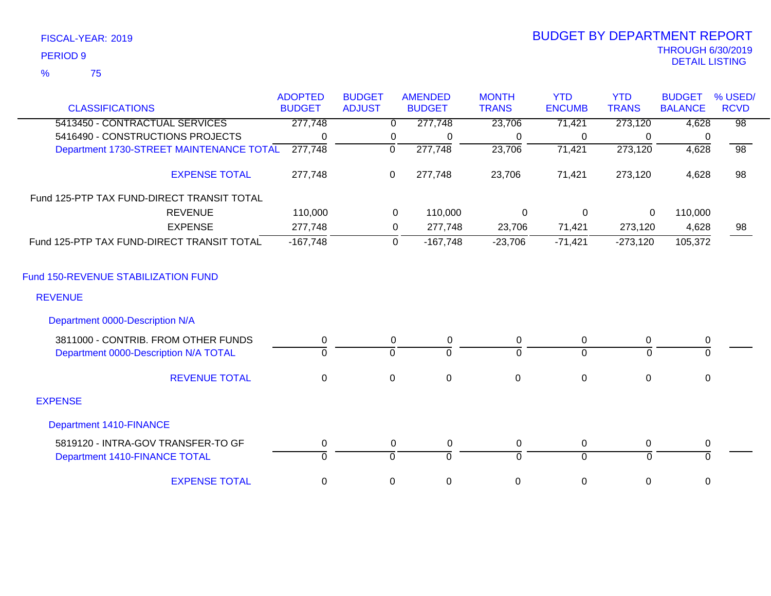| FISCAL-YEAR: 2019   |  |
|---------------------|--|
| PERIOD <sub>9</sub> |  |

# THROUGH 6/30/2019 DETAIL LISTING PERIOD <sup>9</sup> BUDGET BY DEPARTMENT REPORT

|                                            | <b>ADOPTED</b> | <b>BUDGET</b> |             | <b>AMENDED</b> | <b>MONTH</b> | <b>YTD</b>     | <b>YTD</b>   | <b>BUDGET</b>  | % USED/         |
|--------------------------------------------|----------------|---------------|-------------|----------------|--------------|----------------|--------------|----------------|-----------------|
| <b>CLASSIFICATIONS</b>                     | <b>BUDGET</b>  | <b>ADJUST</b> |             | <b>BUDGET</b>  | <b>TRANS</b> | <b>ENCUMB</b>  | <b>TRANS</b> | <b>BALANCE</b> | <b>RCVD</b>     |
| 5413450 - CONTRACTUAL SERVICES             | 277,748        |               | $\Omega$    | 277,748        | 23,706       | 71,421         | 273,120      | 4,628          | $\overline{98}$ |
| 5416490 - CONSTRUCTIONS PROJECTS           | $\Omega$       |               | 0           | 0              | 0            | 0              | $\Omega$     | 0              |                 |
| Department 1730-STREET MAINTENANCE TOTAL   | 277,748        |               | 0           | 277,748        | 23,706       | 71,421         | 273,120      | 4,628          | $\overline{98}$ |
| <b>EXPENSE TOTAL</b>                       | 277,748        |               | $\pmb{0}$   | 277,748        | 23,706       | 71,421         | 273,120      | 4,628          | 98              |
| Fund 125-PTP TAX FUND-DIRECT TRANSIT TOTAL |                |               |             |                |              |                |              |                |                 |
| <b>REVENUE</b>                             | 110,000        |               | 0           | 110,000        | 0            | 0              | 0            | 110,000        |                 |
| <b>EXPENSE</b>                             | 277,748        |               | 0           | 277,748        | 23,706       | 71,421         | 273,120      | 4,628          | 98              |
| Fund 125-PTP TAX FUND-DIRECT TRANSIT TOTAL | $-167,748$     |               | $\mathbf 0$ | $-167,748$     | $-23,706$    | $-71,421$      | $-273,120$   | 105,372        |                 |
| Fund 150-REVENUE STABILIZATION FUND        |                |               |             |                |              |                |              |                |                 |
| <b>REVENUE</b>                             |                |               |             |                |              |                |              |                |                 |
| Department 0000-Description N/A            |                |               |             |                |              |                |              |                |                 |
| 3811000 - CONTRIB. FROM OTHER FUNDS        | 0              |               | 0           | 0              | 0            | 0              | $\mathbf 0$  | 0              |                 |
| Department 0000-Description N/A TOTAL      | $\mathbf 0$    |               | $\mathbf 0$ | $\Omega$       | $\Omega$     | $\Omega$       | $\Omega$     | $\mathbf 0$    |                 |
| <b>REVENUE TOTAL</b>                       | $\mathbf 0$    |               | $\mathbf 0$ | $\mathbf 0$    | $\mathbf 0$  | $\mathbf 0$    | $\mathbf 0$  | $\mathbf 0$    |                 |
| <b>EXPENSE</b>                             |                |               |             |                |              |                |              |                |                 |
| <b>Department 1410-FINANCE</b>             |                |               |             |                |              |                |              |                |                 |
| 5819120 - INTRA-GOV TRANSFER-TO GF         | $\mathbf 0$    |               | $\mathbf 0$ | $\pmb{0}$      | 0            | $\mathbf 0$    | $\mathbf 0$  | $\pmb{0}$      |                 |
| Department 1410-FINANCE TOTAL              | $\Omega$       |               | $\Omega$    | $\Omega$       | $\Omega$     | $\overline{0}$ | $\Omega$     | $\Omega$       |                 |
| <b>EXPENSE TOTAL</b>                       | $\mathbf 0$    |               | 0           | $\mathbf 0$    | $\mathbf 0$  | $\mathbf 0$    | 0            | 0              |                 |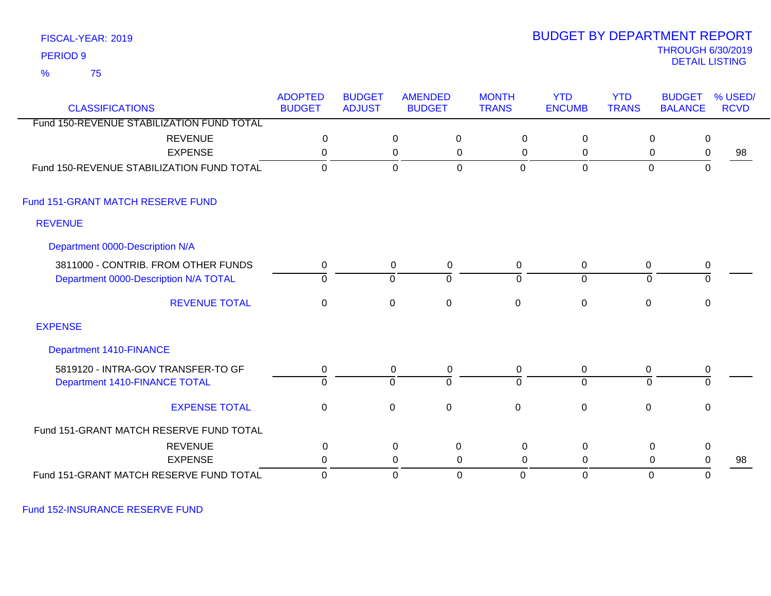75 %

### THROUGH 6/30/2019<br>DETAIL LISTING DETAIL LISTING PERIOD <sup>9</sup> BUDGET BY DEPARTMENT REPORT

| <b>CLASSIFICATIONS</b>                    | <b>ADOPTED</b><br><b>BUDGET</b> | <b>BUDGET</b><br><b>ADJUST</b> | <b>AMENDED</b> | <b>BUDGET</b>  | <b>MONTH</b><br><b>TRANS</b> | <b>YTD</b><br><b>ENCUMB</b> | <b>YTD</b><br><b>TRANS</b> | <b>BUDGET</b><br><b>BALANCE</b> | % USED/<br><b>RCVD</b> |
|-------------------------------------------|---------------------------------|--------------------------------|----------------|----------------|------------------------------|-----------------------------|----------------------------|---------------------------------|------------------------|
| Fund 150-REVENUE STABILIZATION FUND TOTAL |                                 |                                |                |                |                              |                             |                            |                                 |                        |
| <b>REVENUE</b>                            | $\mathbf 0$                     |                                | 0              | $\pmb{0}$      | $\mathbf 0$                  | $\mathbf 0$                 |                            | 0<br>$\mathbf 0$                |                        |
| <b>EXPENSE</b>                            | 0                               |                                | $\pmb{0}$      | 0              | 0                            | 0                           |                            | 0<br>0                          | 98                     |
| Fund 150-REVENUE STABILIZATION FUND TOTAL | $\Omega$                        |                                | $\mathbf 0$    | $\Omega$       | $\overline{0}$               | $\mathbf 0$                 |                            | $\mathbf 0$<br>$\mathbf 0$      |                        |
| Fund 151-GRANT MATCH RESERVE FUND         |                                 |                                |                |                |                              |                             |                            |                                 |                        |
| <b>REVENUE</b>                            |                                 |                                |                |                |                              |                             |                            |                                 |                        |
| Department 0000-Description N/A           |                                 |                                |                |                |                              |                             |                            |                                 |                        |
| 3811000 - CONTRIB. FROM OTHER FUNDS       | 0                               |                                | 0              | $\mathbf{0}$   | $\mathbf{0}$                 | $\overline{0}$              | 0                          | 0                               |                        |
| Department 0000-Description N/A TOTAL     | 0                               |                                | 0              | $\overline{0}$ | $\mathbf 0$                  | $\overline{0}$              |                            | $\overline{0}$<br>0             |                        |
| <b>REVENUE TOTAL</b>                      | 0                               |                                | $\Omega$       | $\overline{0}$ | $\mathbf 0$                  | $\mathbf 0$                 | 0                          | 0                               |                        |
| <b>EXPENSE</b>                            |                                 |                                |                |                |                              |                             |                            |                                 |                        |
| Department 1410-FINANCE                   |                                 |                                |                |                |                              |                             |                            |                                 |                        |
| 5819120 - INTRA-GOV TRANSFER-TO GF        | 0                               |                                | 0              | 0              | $\mathbf{0}$                 | $\mathbf 0$                 | 0                          | $\mathbf 0$                     |                        |
| Department 1410-FINANCE TOTAL             | $\Omega$                        |                                | $\Omega$       | $\overline{0}$ | $\Omega$                     | $\overline{0}$              |                            | $\overline{0}$<br>$\Omega$      |                        |
| <b>EXPENSE TOTAL</b>                      | $\mathbf 0$                     |                                | $\mathbf 0$    | $\mathbf 0$    | $\mathbf 0$                  | $\boldsymbol{0}$            | $\mathbf 0$                | $\mathbf 0$                     |                        |
| Fund 151-GRANT MATCH RESERVE FUND TOTAL   |                                 |                                |                |                |                              |                             |                            |                                 |                        |
| <b>REVENUE</b>                            | 0                               |                                | $\mathbf 0$    | $\pmb{0}$      | $\mathbf 0$                  | 0                           |                            | 0<br>$\mathbf 0$                |                        |
| <b>EXPENSE</b>                            | $\Omega$                        |                                | 0              | 0              | $\Omega$                     | $\Omega$                    |                            | 0<br>$\mathbf 0$                | 98                     |
| Fund 151-GRANT MATCH RESERVE FUND TOTAL   | 0                               |                                | $\mathbf 0$    | $\mathbf 0$    | 0                            | $\mathbf 0$                 |                            | $\mathbf 0$<br>0                |                        |

Fund 152-INSURANCE RESERVE FUND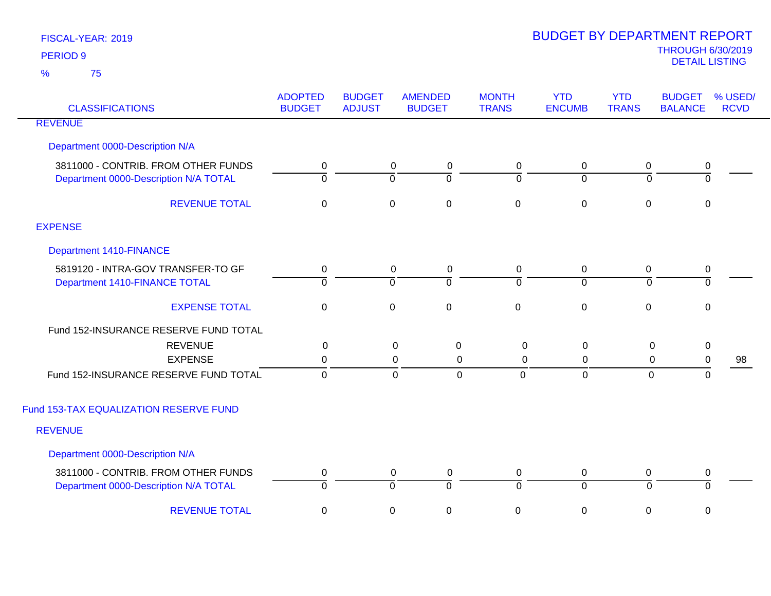| <b>CLASSIFICATIONS</b>                                                       | <b>ADOPTED</b><br><b>BUDGET</b> | <b>BUDGET</b><br><b>ADJUST</b> | <b>AMENDED</b><br><b>BUDGET</b>                           | <b>MONTH</b><br><b>TRANS</b> | <b>YTD</b><br><b>ENCUMB</b>   | <b>YTD</b><br><b>TRANS</b> | <b>BUDGET</b><br><b>BALANCE</b> | % USED/<br><b>RCVD</b> |
|------------------------------------------------------------------------------|---------------------------------|--------------------------------|-----------------------------------------------------------|------------------------------|-------------------------------|----------------------------|---------------------------------|------------------------|
| <b>REVENUE</b>                                                               |                                 |                                |                                                           |                              |                               |                            |                                 |                        |
| Department 0000-Description N/A                                              |                                 |                                |                                                           |                              |                               |                            |                                 |                        |
| 3811000 - CONTRIB. FROM OTHER FUNDS<br>Department 0000-Description N/A TOTAL | 0<br>$\Omega$                   |                                | $\mathbf 0$<br>$\pmb{0}$<br>$\overline{0}$<br>$\mathbf 0$ | $\mathbf 0$<br>$\Omega$      | $\mathbf 0$<br>$\overline{0}$ | $\mathbf 0$<br>$\Omega$    | $\pmb{0}$<br>$\mathbf 0$        |                        |
| <b>REVENUE TOTAL</b>                                                         | $\pmb{0}$                       |                                | $\pmb{0}$<br>$\pmb{0}$                                    | $\boldsymbol{0}$             | $\pmb{0}$                     | $\pmb{0}$                  | $\pmb{0}$                       |                        |
| <b>EXPENSE</b>                                                               |                                 |                                |                                                           |                              |                               |                            |                                 |                        |
| Department 1410-FINANCE                                                      |                                 |                                |                                                           |                              |                               |                            |                                 |                        |
| 5819120 - INTRA-GOV TRANSFER-TO GF<br>Department 1410-FINANCE TOTAL          | 0<br>$\mathbf 0$                |                                | $\mathbf 0$<br>$\mathbf 0$<br>ō<br>$\mathbf 0$            | 0<br>$\overline{0}$          | $\mathbf 0$<br>$\overline{0}$ | 0<br>$\Omega$              | 0<br>$\mathbf{0}$               |                        |
| <b>EXPENSE TOTAL</b>                                                         | $\mathbf 0$                     |                                | $\mathbf 0$<br>$\mathbf 0$                                | $\mathbf 0$                  | $\boldsymbol{0}$              | $\mathbf 0$                | $\mathbf{0}$                    |                        |
| Fund 152-INSURANCE RESERVE FUND TOTAL                                        |                                 |                                |                                                           |                              |                               |                            |                                 |                        |
| <b>REVENUE</b>                                                               | $\mathbf 0$                     |                                | $\mathbf 0$<br>$\mathbf 0$                                | $\mathbf 0$                  | $\pmb{0}$                     | $\mathbf 0$                | $\pmb{0}$                       |                        |
| <b>EXPENSE</b>                                                               | 0                               |                                | 0                                                         | $\mathbf 0$<br>$\mathbf 0$   | $\mathbf 0$                   | $\mathbf 0$                | $\pmb{0}$                       | 98                     |
| Fund 152-INSURANCE RESERVE FUND TOTAL                                        | $\mathbf 0$                     |                                | $\mathbf 0$                                               | $\mathbf 0$<br>0             | $\mathbf 0$                   | $\mathbf{0}$               | $\mathbf{0}$                    |                        |
| Fund 153-TAX EQUALIZATION RESERVE FUND                                       |                                 |                                |                                                           |                              |                               |                            |                                 |                        |
| <b>REVENUE</b>                                                               |                                 |                                |                                                           |                              |                               |                            |                                 |                        |
| Department 0000-Description N/A                                              |                                 |                                |                                                           |                              |                               |                            |                                 |                        |
| 3811000 - CONTRIB. FROM OTHER FUNDS                                          | 0                               |                                | $\mathbf 0$<br>$\mathbf 0$                                | $\mathbf 0$                  | $\mathbf 0$                   | 0                          | $\pmb{0}$                       |                        |
| Department 0000-Description N/A TOTAL                                        | $\overline{0}$                  |                                | $\overline{0}$<br>$\overline{0}$                          | $\overline{0}$               | $\overline{0}$                | $\overline{0}$             | $\overline{0}$                  |                        |
| <b>REVENUE TOTAL</b>                                                         | $\mathbf 0$                     |                                | $\boldsymbol{0}$<br>$\boldsymbol{0}$                      | 0                            | $\pmb{0}$                     | 0                          | $\mathbf 0$                     |                        |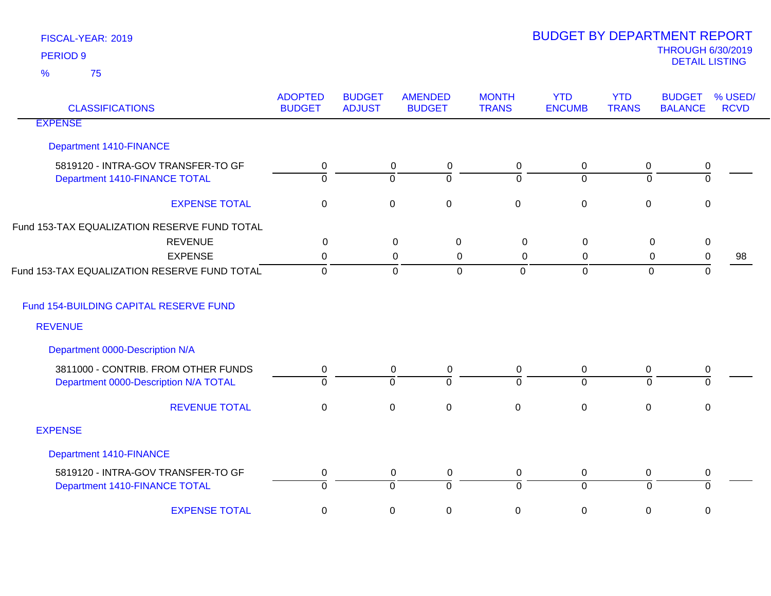| <b>CLASSIFICATIONS</b>                       | <b>ADOPTED</b><br><b>BUDGET</b> | <b>BUDGET</b><br><b>ADJUST</b> | <b>AMENDED</b><br><b>BUDGET</b> | <b>MONTH</b><br><b>TRANS</b> | <b>YTD</b><br><b>ENCUMB</b> | <b>YTD</b><br><b>TRANS</b> | <b>BUDGET</b><br><b>BALANCE</b> | % USED/<br><b>RCVD</b> |
|----------------------------------------------|---------------------------------|--------------------------------|---------------------------------|------------------------------|-----------------------------|----------------------------|---------------------------------|------------------------|
| <b>EXPENSE</b>                               |                                 |                                |                                 |                              |                             |                            |                                 |                        |
| <b>Department 1410-FINANCE</b>               |                                 |                                |                                 |                              |                             |                            |                                 |                        |
| 5819120 - INTRA-GOV TRANSFER-TO GF           | 0                               |                                | $\mathbf 0$<br>0                | 0                            | $\mathbf 0$                 | 0                          | 0                               |                        |
| Department 1410-FINANCE TOTAL                | $\overline{0}$                  |                                | $\mathbf 0$<br>$\Omega$         | $\Omega$                     | $\Omega$                    | $\Omega$                   | $\Omega$                        |                        |
| <b>EXPENSE TOTAL</b>                         | $\mathbf 0$                     |                                | $\mathsf 0$<br>$\mathbf 0$      | $\mathbf 0$                  | $\mathbf 0$                 | $\mathbf 0$                | 0                               |                        |
| Fund 153-TAX EQUALIZATION RESERVE FUND TOTAL |                                 |                                |                                 |                              |                             |                            |                                 |                        |
| <b>REVENUE</b>                               | $\mathbf 0$                     |                                | $\pmb{0}$<br>$\mathbf 0$        | $\mathbf 0$                  | $\mathbf 0$                 | $\pmb{0}$                  | $\pmb{0}$                       |                        |
| <b>EXPENSE</b>                               | 0                               |                                | 0<br>0                          | $\mathbf 0$                  | 0                           | 0                          | 0                               | 98                     |
| Fund 153-TAX EQUALIZATION RESERVE FUND TOTAL | $\mathbf 0$                     |                                | $\mathbf 0$<br>$\overline{0}$   | $\mathbf 0$                  | $\mathbf 0$                 | $\mathbf 0$                | 0                               |                        |
| Fund 154-BUILDING CAPITAL RESERVE FUND       |                                 |                                |                                 |                              |                             |                            |                                 |                        |
| <b>REVENUE</b>                               |                                 |                                |                                 |                              |                             |                            |                                 |                        |
| Department 0000-Description N/A              |                                 |                                |                                 |                              |                             |                            |                                 |                        |
| 3811000 - CONTRIB. FROM OTHER FUNDS          | 0                               |                                | 0<br>0                          | 0                            | 0                           | 0                          | 0                               |                        |
| Department 0000-Description N/A TOTAL        | $\overline{0}$                  |                                | $\overline{0}$<br>$\Omega$      | $\Omega$                     | $\overline{0}$              | $\Omega$                   | $\Omega$                        |                        |
| <b>REVENUE TOTAL</b>                         | $\mathbf 0$                     |                                | $\mathbf 0$<br>$\pmb{0}$        | $\mathsf 0$                  | $\mathbf 0$                 | $\pmb{0}$                  | $\pmb{0}$                       |                        |
| <b>EXPENSE</b>                               |                                 |                                |                                 |                              |                             |                            |                                 |                        |
| <b>Department 1410-FINANCE</b>               |                                 |                                |                                 |                              |                             |                            |                                 |                        |
| 5819120 - INTRA-GOV TRANSFER-TO GF           | 0                               |                                | $\mathbf 0$<br>0                | 0                            | $\mathbf 0$                 | 0                          | 0                               |                        |
| Department 1410-FINANCE TOTAL                | $\overline{0}$                  |                                | $\overline{0}$<br>ō             | $\overline{0}$               | $\overline{0}$              | $\overline{0}$             | ō                               |                        |
| <b>EXPENSE TOTAL</b>                         | $\mathbf 0$                     |                                | $\mathbf 0$<br>0                | 0                            | $\mathbf 0$                 | 0                          | 0                               |                        |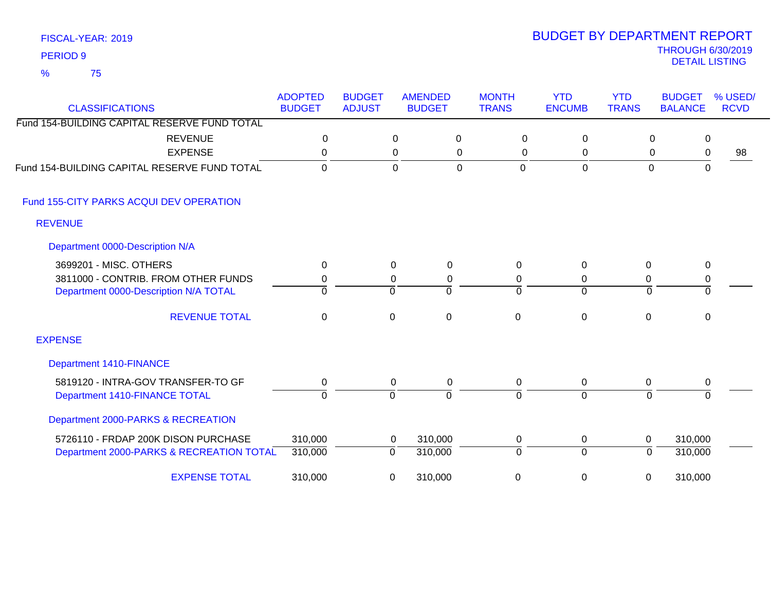### THROUGH 6/30/2019<br>DETAIL LISTING DETAIL LISTING PERIOD <sup>9</sup> BUDGET BY DEPARTMENT REPORT

| <b>CLASSIFICATIONS</b>                       | <b>ADOPTED</b><br><b>BUDGET</b> | <b>BUDGET</b><br><b>ADJUST</b> | <b>AMENDED</b><br><b>BUDGET</b> |             | <b>MONTH</b><br><b>TRANS</b> | <b>YTD</b><br><b>ENCUMB</b> | <b>YTD</b><br><b>TRANS</b> | <b>BUDGET</b><br><b>BALANCE</b> | % USED/<br><b>RCVD</b> |
|----------------------------------------------|---------------------------------|--------------------------------|---------------------------------|-------------|------------------------------|-----------------------------|----------------------------|---------------------------------|------------------------|
| Fund 154-BUILDING CAPITAL RESERVE FUND TOTAL |                                 |                                |                                 |             |                              |                             |                            |                                 |                        |
| <b>REVENUE</b>                               | $\mathbf 0$                     |                                | $\mathbf 0$                     | $\mathbf 0$ | $\mathbf 0$                  | $\mathbf 0$                 |                            | 0<br>0                          |                        |
| <b>EXPENSE</b>                               | 0                               |                                | 0                               | 0           | 0                            | 0                           |                            | 0<br>0                          | 98                     |
| Fund 154-BUILDING CAPITAL RESERVE FUND TOTAL | 0                               |                                | $\mathbf 0$                     | $\mathbf 0$ | $\mathbf{0}$                 | $\overline{0}$              | $\mathbf 0$                | $\Omega$                        |                        |
| Fund 155-CITY PARKS ACQUI DEV OPERATION      |                                 |                                |                                 |             |                              |                             |                            |                                 |                        |
| <b>REVENUE</b>                               |                                 |                                |                                 |             |                              |                             |                            |                                 |                        |
| Department 0000-Description N/A              |                                 |                                |                                 |             |                              |                             |                            |                                 |                        |
| 3699201 - MISC. OTHERS                       | 0                               | 0                              | $\Omega$                        |             | $\Omega$                     | $\mathbf{0}$                | $\Omega$                   | 0                               |                        |
| 3811000 - CONTRIB. FROM OTHER FUNDS          | 0                               | $\mathbf 0$                    | 0                               |             | 0                            | 0                           | 0                          | $\pmb{0}$                       |                        |
| Department 0000-Description N/A TOTAL        | 0                               | 0                              | $\Omega$                        |             | $\Omega$                     | $\overline{0}$              | $\overline{0}$             | $\overline{0}$                  |                        |
| <b>REVENUE TOTAL</b>                         | 0                               | $\mathbf 0$                    | $\mathbf 0$                     |             | $\mathbf 0$                  | $\mathbf 0$                 | 0                          | 0                               |                        |
| <b>EXPENSE</b>                               |                                 |                                |                                 |             |                              |                             |                            |                                 |                        |
| <b>Department 1410-FINANCE</b>               |                                 |                                |                                 |             |                              |                             |                            |                                 |                        |
| 5819120 - INTRA-GOV TRANSFER-TO GF           | 0                               | 0                              | 0                               |             | 0                            | $\mathbf 0$                 | 0                          | 0                               |                        |
| Department 1410-FINANCE TOTAL                | $\Omega$                        | 0                              | $\Omega$                        |             | $\Omega$                     | $\mathbf{0}$                | 0                          | $\Omega$                        |                        |
| Department 2000-PARKS & RECREATION           |                                 |                                |                                 |             |                              |                             |                            |                                 |                        |
| 5726110 - FRDAP 200K DISON PURCHASE          | 310,000                         | 0                              | 310,000                         |             | 0                            | 0                           | 0                          | 310,000                         |                        |
| Department 2000-PARKS & RECREATION TOTAL     | 310,000                         | $\Omega$                       | 310,000                         |             | $\Omega$                     | $\overline{0}$              | $\Omega$                   | 310,000                         |                        |
| <b>EXPENSE TOTAL</b>                         | 310,000                         | 0                              | 310,000                         |             | 0                            | 0                           | 0                          | 310,000                         |                        |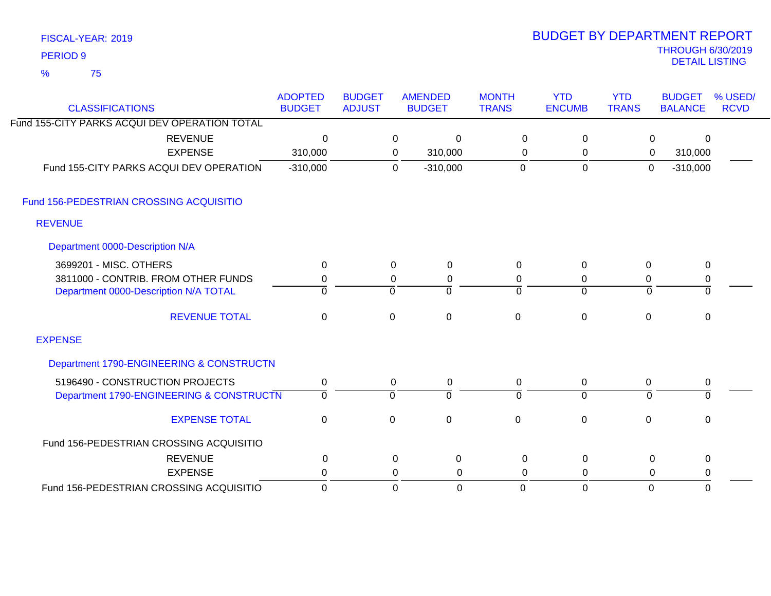| FISCAL-YEAR: 2019   |
|---------------------|
| PERIOD <sub>9</sub> |

75 %

# THROUGH 6/30/2019 DETAIL LISTING PERIOD <sup>9</sup> BUDGET BY DEPARTMENT REPORT

| <b>CLASSIFICATIONS</b>                        | <b>ADOPTED</b><br><b>BUDGET</b> | <b>BUDGET</b><br><b>ADJUST</b> |                | <b>AMENDED</b><br><b>BUDGET</b> | <b>MONTH</b><br><b>TRANS</b> | <b>YTD</b><br><b>ENCUMB</b> | <b>YTD</b><br><b>TRANS</b> | <b>BUDGET</b><br><b>BALANCE</b> | % USED/<br><b>RCVD</b> |
|-----------------------------------------------|---------------------------------|--------------------------------|----------------|---------------------------------|------------------------------|-----------------------------|----------------------------|---------------------------------|------------------------|
| Fund 155-CITY PARKS ACQUI DEV OPERATION TOTAL |                                 |                                |                |                                 |                              |                             |                            |                                 |                        |
| <b>REVENUE</b>                                | 0                               |                                | 0              | $\Omega$                        | 0                            | $\mathbf 0$                 | 0                          | 0                               |                        |
| <b>EXPENSE</b>                                | 310,000                         |                                | 0              | 310,000                         | 0                            | 0                           | 0                          | 310,000                         |                        |
| Fund 155-CITY PARKS ACQUI DEV OPERATION       | $-310,000$                      |                                | $\Omega$       | $-310,000$                      | $\mathbf 0$                  | $\mathbf 0$                 | $\mathbf 0$                | $-310,000$                      |                        |
| Fund 156-PEDESTRIAN CROSSING ACQUISITIO       |                                 |                                |                |                                 |                              |                             |                            |                                 |                        |
| <b>REVENUE</b>                                |                                 |                                |                |                                 |                              |                             |                            |                                 |                        |
| Department 0000-Description N/A               |                                 |                                |                |                                 |                              |                             |                            |                                 |                        |
| 3699201 - MISC. OTHERS                        | $\Omega$                        |                                | 0              | 0                               | $\Omega$                     | 0                           | 0                          | 0                               |                        |
| 3811000 - CONTRIB. FROM OTHER FUNDS           | 0                               |                                | 0              | 0                               | 0                            | 0                           | 0                          | 0                               |                        |
| Department 0000-Description N/A TOTAL         | $\Omega$                        |                                | $\Omega$       | $\Omega$                        | <sup>0</sup>                 | $\overline{0}$              | $\Omega$                   | $\Omega$                        |                        |
| <b>REVENUE TOTAL</b>                          | $\overline{0}$                  |                                | $\mathbf 0$    | $\mathbf 0$                     | $\mathbf{0}$                 | $\overline{0}$              | $\mathbf 0$                | $\mathbf 0$                     |                        |
| <b>EXPENSE</b>                                |                                 |                                |                |                                 |                              |                             |                            |                                 |                        |
| Department 1790-ENGINEERING & CONSTRUCTN      |                                 |                                |                |                                 |                              |                             |                            |                                 |                        |
| 5196490 - CONSTRUCTION PROJECTS               | $\pmb{0}$                       |                                | 0              | $\pmb{0}$                       | 0                            | $\mathbf 0$                 | $\pmb{0}$                  | $\pmb{0}$                       |                        |
| Department 1790-ENGINEERING & CONSTRUCTN      | $\overline{0}$                  |                                | $\overline{0}$ | $\Omega$                        | $\Omega$                     | $\overline{0}$              | $\overline{0}$             | $\Omega$                        |                        |
| <b>EXPENSE TOTAL</b>                          | $\mathbf 0$                     |                                | $\mathsf 0$    | $\mathbf{0}$                    | $\Omega$                     | $\overline{0}$              | 0                          | 0                               |                        |
| Fund 156-PEDESTRIAN CROSSING ACQUISITIO       |                                 |                                |                |                                 |                              |                             |                            |                                 |                        |
| <b>REVENUE</b>                                | 0                               |                                | 0              | 0                               | $\Omega$                     | 0                           | 0                          | $\mathbf 0$                     |                        |
| <b>EXPENSE</b>                                | 0                               |                                | 0              | 0                               | $\Omega$                     | 0                           | $\Omega$                   | 0                               |                        |
| Fund 156-PEDESTRIAN CROSSING ACQUISITIO       | $\mathbf 0$                     |                                | $\Omega$       | 0                               | $\Omega$                     | $\Omega$                    | $\mathbf 0$                | $\Omega$                        |                        |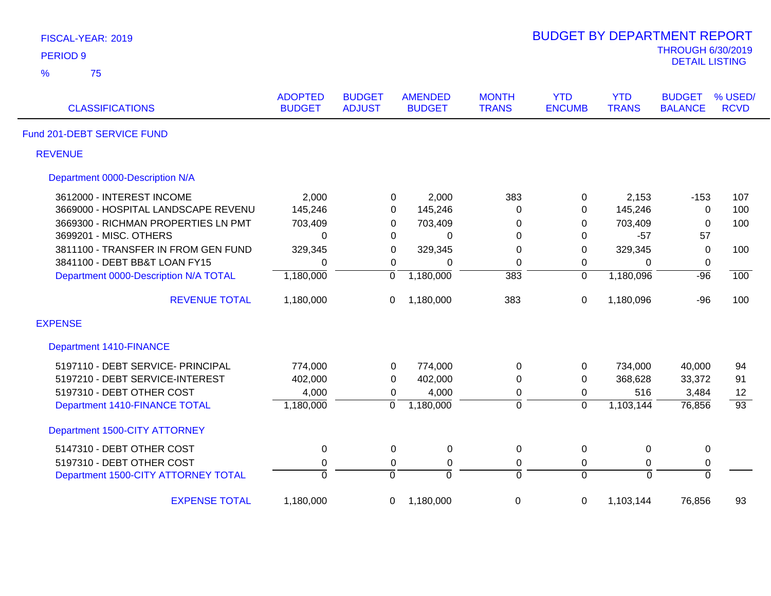| FISCAL-YEAR: 2019                     |                                 |                                |                                 |                              | <b>BUDGET BY DEPARTMENT REPORT</b> |                            |                                                   |                        |
|---------------------------------------|---------------------------------|--------------------------------|---------------------------------|------------------------------|------------------------------------|----------------------------|---------------------------------------------------|------------------------|
| <b>PERIOD 9</b>                       |                                 |                                |                                 |                              |                                    |                            | <b>THROUGH 6/30/2019</b><br><b>DETAIL LISTING</b> |                        |
| %<br>75                               |                                 |                                |                                 |                              |                                    |                            |                                                   |                        |
| <b>CLASSIFICATIONS</b>                | <b>ADOPTED</b><br><b>BUDGET</b> | <b>BUDGET</b><br><b>ADJUST</b> | <b>AMENDED</b><br><b>BUDGET</b> | <b>MONTH</b><br><b>TRANS</b> | <b>YTD</b><br><b>ENCUMB</b>        | <b>YTD</b><br><b>TRANS</b> | <b>BUDGET</b><br><b>BALANCE</b>                   | % USED/<br><b>RCVD</b> |
| Fund 201-DEBT SERVICE FUND            |                                 |                                |                                 |                              |                                    |                            |                                                   |                        |
| <b>REVENUE</b>                        |                                 |                                |                                 |                              |                                    |                            |                                                   |                        |
| Department 0000-Description N/A       |                                 |                                |                                 |                              |                                    |                            |                                                   |                        |
| 3612000 - INTEREST INCOME             | 2,000                           |                                | 2,000<br>0                      | 383                          | 0                                  | 2,153                      | $-153$                                            | 107                    |
| 3669000 - HOSPITAL LANDSCAPE REVENU   | 145,246                         |                                | 145,246<br>0                    | 0                            | 0                                  | 145,246                    | $\mathbf 0$                                       | 100                    |
| 3669300 - RICHMAN PROPERTIES LN PMT   | 703,409                         | 0                              | 703,409                         | 0                            | 0                                  | 703,409                    | $\mathbf 0$                                       | 100                    |
| 3699201 - MISC. OTHERS                | $\mathbf 0$                     |                                | 0<br>0                          | 0                            | $\mathbf 0$                        | $-57$                      | 57                                                |                        |
| 3811100 - TRANSFER IN FROM GEN FUND   | 329,345                         | 0                              | 329,345                         | 0                            | 0                                  | 329,345                    | $\mathbf 0$                                       | 100                    |
| 3841100 - DEBT BB&T LOAN FY15         | $\mathbf 0$                     | $\mathbf 0$                    | $\Omega$                        | 0                            | 0                                  | 0                          | $\mathbf 0$                                       |                        |
| Department 0000-Description N/A TOTAL | 1,180,000                       | $\overline{0}$                 | 1,180,000                       | $\overline{383}$             | $\overline{0}$                     | 1,180,096                  | $-96$                                             | $\overline{100}$       |
| <b>REVENUE TOTAL</b>                  | 1,180,000                       | 0                              | 1,180,000                       | 383                          | 0                                  | 1,180,096                  | $-96$                                             | 100                    |
| <b>EXPENSE</b>                        |                                 |                                |                                 |                              |                                    |                            |                                                   |                        |
| <b>Department 1410-FINANCE</b>        |                                 |                                |                                 |                              |                                    |                            |                                                   |                        |
| 5197110 - DEBT SERVICE- PRINCIPAL     | 774,000                         | 0                              | 774,000                         | 0                            | $\mathbf 0$                        | 734,000                    | 40,000                                            | 94                     |
| 5197210 - DEBT SERVICE-INTEREST       | 402,000                         | 0                              | 402,000                         | 0                            | 0                                  | 368,628                    | 33,372                                            | 91                     |
| 5197310 - DEBT OTHER COST             | 4,000                           | 0                              | 4,000                           | 0                            | 0                                  | 516                        | 3,484                                             | 12                     |
| Department 1410-FINANCE TOTAL         | 1,180,000                       | $\overline{0}$                 | 1,180,000                       | $\overline{0}$               | $\overline{0}$                     | 1,103,144                  | 76,856                                            | $\overline{93}$        |
| Department 1500-CITY ATTORNEY         |                                 |                                |                                 |                              |                                    |                            |                                                   |                        |
| 5147310 - DEBT OTHER COST             | $\pmb{0}$                       | 0                              | $\pmb{0}$                       | $\mathbf 0$                  | $\pmb{0}$                          | $\mathbf 0$                | $\pmb{0}$                                         |                        |
| 5197310 - DEBT OTHER COST             | $\pmb{0}$                       | 0                              | $\pmb{0}$                       | $\boldsymbol{0}$             | $\mathbf 0$                        | 0                          | $\pmb{0}$                                         |                        |
| Department 1500-CITY ATTORNEY TOTAL   | $\overline{0}$                  | ō                              | $\overline{0}$                  | $\overline{0}$               | $\overline{0}$                     | $\overline{0}$             | $\overline{0}$                                    |                        |
| <b>EXPENSE TOTAL</b>                  | 1,180,000                       | 0                              | 1,180,000                       | $\pmb{0}$                    | 0                                  | 1,103,144                  | 76,856                                            | 93                     |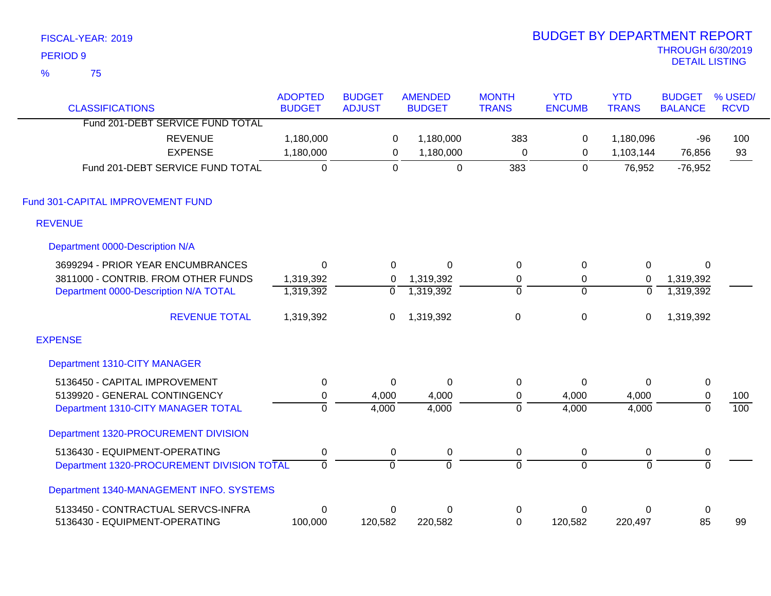| FISCAL-YEAR: 2019      |                                            |                                 |                                |                                 |                              | <b>BUDGET BY DEPARTMENT REPORT</b> |                            |                                                   |                        |
|------------------------|--------------------------------------------|---------------------------------|--------------------------------|---------------------------------|------------------------------|------------------------------------|----------------------------|---------------------------------------------------|------------------------|
| <b>PERIOD 9</b>        |                                            |                                 |                                |                                 |                              |                                    |                            | <b>THROUGH 6/30/2019</b><br><b>DETAIL LISTING</b> |                        |
| $\frac{9}{6}$<br>75    |                                            |                                 |                                |                                 |                              |                                    |                            |                                                   |                        |
| <b>CLASSIFICATIONS</b> |                                            | <b>ADOPTED</b><br><b>BUDGET</b> | <b>BUDGET</b><br><b>ADJUST</b> | <b>AMENDED</b><br><b>BUDGET</b> | <b>MONTH</b><br><b>TRANS</b> | <b>YTD</b><br><b>ENCUMB</b>        | <b>YTD</b><br><b>TRANS</b> | <b>BUDGET</b><br><b>BALANCE</b>                   | % USED/<br><b>RCVD</b> |
|                        | Fund 201-DEBT SERVICE FUND TOTAL           |                                 |                                |                                 |                              |                                    |                            |                                                   |                        |
|                        | <b>REVENUE</b>                             | 1,180,000                       | 0                              | 1,180,000                       | 383                          | 0                                  | 1,180,096                  | -96                                               | 100                    |
|                        | <b>EXPENSE</b>                             | 1,180,000                       | $\mathbf 0$                    | 1,180,000                       | $\mathbf 0$                  | $\mathbf 0$                        | 1,103,144                  | 76,856                                            | 93                     |
|                        | Fund 201-DEBT SERVICE FUND TOTAL           | $\overline{0}$                  | $\overline{0}$                 | $\mathbf 0$                     | 383                          | $\overline{0}$                     | 76,952                     | $-76,952$                                         |                        |
|                        | Fund 301-CAPITAL IMPROVEMENT FUND          |                                 |                                |                                 |                              |                                    |                            |                                                   |                        |
| <b>REVENUE</b>         |                                            |                                 |                                |                                 |                              |                                    |                            |                                                   |                        |
|                        | Department 0000-Description N/A            |                                 |                                |                                 |                              |                                    |                            |                                                   |                        |
|                        | 3699294 - PRIOR YEAR ENCUMBRANCES          | $\mathbf 0$                     | $\mathbf 0$                    | $\mathbf 0$                     | $\mathsf 0$                  | $\mathbf 0$                        | $\pmb{0}$                  | $\mathbf 0$                                       |                        |
|                        | 3811000 - CONTRIB. FROM OTHER FUNDS        | 1,319,392                       | $\Omega$                       | 1,319,392                       | 0                            | 0                                  | 0                          | 1,319,392                                         |                        |
|                        | Department 0000-Description N/A TOTAL      | 1,319,392                       | $\overline{0}$                 | 1,319,392                       | $\overline{0}$               | $\overline{0}$                     | $\overline{0}$             | 1,319,392                                         |                        |
|                        | <b>REVENUE TOTAL</b>                       | 1,319,392                       | $\mathbf 0$                    | 1,319,392                       | $\mathbf 0$                  | $\mathbf 0$                        | $\mathbf 0$                | 1,319,392                                         |                        |
| <b>EXPENSE</b>         |                                            |                                 |                                |                                 |                              |                                    |                            |                                                   |                        |
|                        | Department 1310-CITY MANAGER               |                                 |                                |                                 |                              |                                    |                            |                                                   |                        |
|                        | 5136450 - CAPITAL IMPROVEMENT              | $\pmb{0}$                       | $\mathbf 0$                    | $\mathbf 0$                     | $\pmb{0}$                    | 0                                  | $\Omega$                   | $\pmb{0}$                                         |                        |
|                        | 5139920 - GENERAL CONTINGENCY              | $\pmb{0}$                       | 4,000                          | 4,000                           | $\boldsymbol{0}$             | 4,000                              | 4,000                      | $\pmb{0}$                                         | 100                    |
|                        | Department 1310-CITY MANAGER TOTAL         | $\overline{0}$                  | 4,000                          | 4,000                           | $\overline{0}$               | 4,000                              | 4,000                      | $\overline{0}$                                    | 100                    |
|                        | Department 1320-PROCUREMENT DIVISION       |                                 |                                |                                 |                              |                                    |                            |                                                   |                        |
|                        | 5136430 - EQUIPMENT-OPERATING              | 0                               | 0                              | $\mathbf 0$                     | $\mathbf 0$                  | $\mathbf 0$                        | $\mathbf 0$                | $\pmb{0}$                                         |                        |
|                        | Department 1320-PROCUREMENT DIVISION TOTAL | $\overline{0}$                  | $\overline{0}$                 | $\overline{0}$                  | ō                            | $\overline{0}$                     | $\overline{0}$             | $\overline{0}$                                    |                        |
|                        | Department 1340-MANAGEMENT INFO. SYSTEMS   |                                 |                                |                                 |                              |                                    |                            |                                                   |                        |
|                        | 5133450 - CONTRACTUAL SERVCS-INFRA         | $\pmb{0}$                       | $\mathbf 0$                    | $\mathbf 0$                     | $\pmb{0}$                    | 0                                  | 0                          | $\pmb{0}$                                         |                        |
|                        | 5136430 - EQUIPMENT-OPERATING              | 100,000                         | 120,582                        | 220,582                         | 0                            | 120,582                            | 220,497                    | 85                                                | 99                     |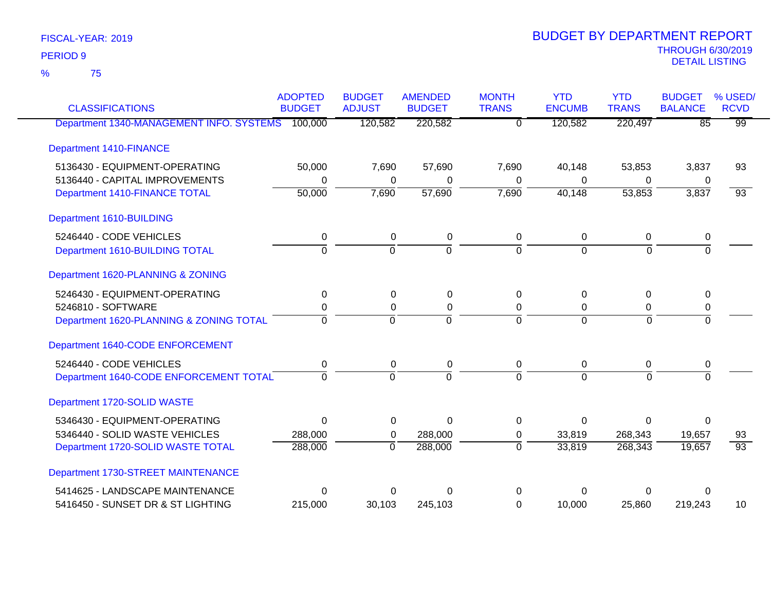75 %

|                                                  | <b>ADOPTED</b> | <b>BUDGET</b>  | <b>AMENDED</b> | <b>MONTH</b>   | <b>YTD</b>     | <b>YTD</b>     | <b>BUDGET</b>   | % USED/         |
|--------------------------------------------------|----------------|----------------|----------------|----------------|----------------|----------------|-----------------|-----------------|
| <b>CLASSIFICATIONS</b>                           | <b>BUDGET</b>  | <b>ADJUST</b>  | <b>BUDGET</b>  | <b>TRANS</b>   | <b>ENCUMB</b>  | <b>TRANS</b>   | <b>BALANCE</b>  | <b>RCVD</b>     |
| Department 1340-MANAGEMENT INFO. SYSTEMS 100,000 |                | 120,582        | 220,582        | $\overline{0}$ | 120,582        | 220,497        | $\overline{85}$ | $\overline{99}$ |
| <b>Department 1410-FINANCE</b>                   |                |                |                |                |                |                |                 |                 |
| 5136430 - EQUIPMENT-OPERATING                    | 50,000         | 7,690          | 57,690         | 7,690          | 40,148         | 53,853         | 3,837           | 93              |
| 5136440 - CAPITAL IMPROVEMENTS                   | 0              | 0              | 0              | 0              | 0              | 0              | 0               |                 |
| Department 1410-FINANCE TOTAL                    | 50,000         | 7,690          | 57,690         | 7,690          | 40,148         | 53,853         | 3,837           | $\overline{93}$ |
| Department 1610-BUILDING                         |                |                |                |                |                |                |                 |                 |
| 5246440 - CODE VEHICLES                          | 0              | 0              | 0              | 0              | 0              | 0              | 0               |                 |
| Department 1610-BUILDING TOTAL                   | $\overline{0}$ | $\overline{0}$ | $\overline{0}$ | $\Omega$       | $\overline{0}$ | $\Omega$       | $\overline{0}$  |                 |
| Department 1620-PLANNING & ZONING                |                |                |                |                |                |                |                 |                 |
| 5246430 - EQUIPMENT-OPERATING                    | $\Omega$       | $\Omega$       | 0              | $\Omega$       | 0              | $\Omega$       | 0               |                 |
| 5246810 - SOFTWARE                               | 0              | 0              | 0              | 0              | 0              | 0              | 0               |                 |
| Department 1620-PLANNING & ZONING TOTAL          | $\Omega$       | $\Omega$       | $\overline{0}$ | $\Omega$       | $\Omega$       | $\Omega$       | $\overline{0}$  |                 |
| Department 1640-CODE ENFORCEMENT                 |                |                |                |                |                |                |                 |                 |
| 5246440 - CODE VEHICLES                          | 0              | $\mathbf 0$    | 0              | $\mathbf 0$    | 0              | 0              | 0               |                 |
| Department 1640-CODE ENFORCEMENT TOTAL           | $\Omega$       | $\Omega$       | $\Omega$       | $\overline{0}$ | $\Omega$       | $\Omega$       | $\Omega$        |                 |
| Department 1720-SOLID WASTE                      |                |                |                |                |                |                |                 |                 |
| 5346430 - EQUIPMENT-OPERATING                    | $\mathbf 0$    | $\Omega$       | $\mathbf 0$    | $\Omega$       | $\Omega$       | $\overline{0}$ | $\Omega$        |                 |
| 5346440 - SOLID WASTE VEHICLES                   | 288,000        | 0              | 288,000        | 0              | 33,819         | 268,343        | 19,657          | 93              |
| Department 1720-SOLID WASTE TOTAL                | 288,000        | $\overline{0}$ | 288,000        | $\overline{0}$ | 33,819         | 268,343        | 19,657          | $\overline{93}$ |
| Department 1730-STREET MAINTENANCE               |                |                |                |                |                |                |                 |                 |
| 5414625 - LANDSCAPE MAINTENANCE                  | $\Omega$       | O              | O              | 0              | ∩              | 0              | 0               |                 |
| 5416450 - SUNSET DR & ST LIGHTING                | 215,000        | 30,103         | 245,103        | $\Omega$       | 10,000         | 25,860         | 219,243         | 10              |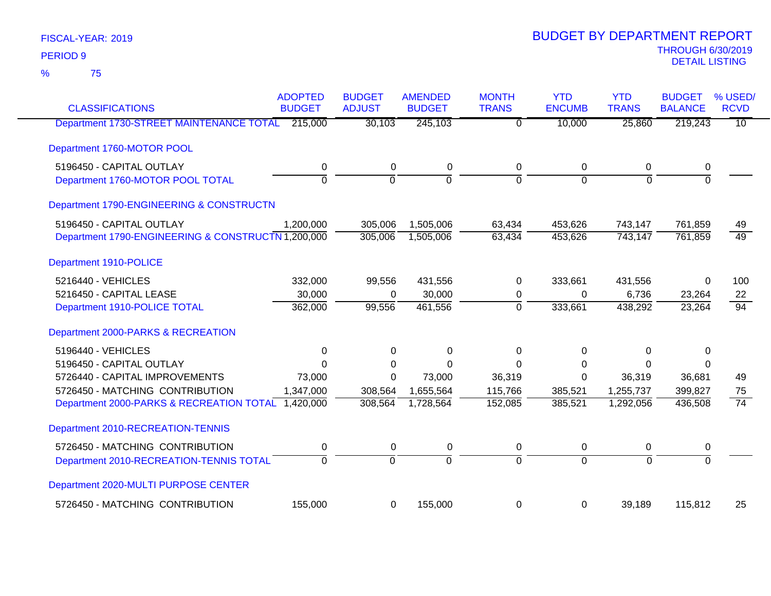| <b>CLASSIFICATIONS</b>                             | <b>ADOPTED</b><br><b>BUDGET</b> | <b>BUDGET</b><br><b>ADJUST</b> | <b>AMENDED</b><br><b>BUDGET</b> | <b>MONTH</b><br><b>TRANS</b> | <b>YTD</b><br><b>ENCUMB</b> | <b>YTD</b><br><b>TRANS</b> | <b>BUDGET</b><br><b>BALANCE</b> | % USED/<br><b>RCVD</b> |
|----------------------------------------------------|---------------------------------|--------------------------------|---------------------------------|------------------------------|-----------------------------|----------------------------|---------------------------------|------------------------|
| Department 1730-STREET MAINTENANCE TOTAL           | 215,000                         | 30,103                         | 245,103                         | $\overline{0}$               | 10,000                      | 25,860                     | 219,243                         | $\overline{10}$        |
|                                                    |                                 |                                |                                 |                              |                             |                            |                                 |                        |
| Department 1760-MOTOR POOL                         |                                 |                                |                                 |                              |                             |                            |                                 |                        |
| 5196450 - CAPITAL OUTLAY                           | $\mathbf 0$                     | $\mathbf 0$                    | $\pmb{0}$                       | $\mathbf 0$                  | 0                           | 0                          | 0                               |                        |
| Department 1760-MOTOR POOL TOTAL                   | $\overline{0}$                  | $\overline{0}$                 | $\overline{0}$                  | $\overline{0}$               | $\overline{0}$              | $\Omega$                   | $\overline{0}$                  |                        |
| Department 1790-ENGINEERING & CONSTRUCTN           |                                 |                                |                                 |                              |                             |                            |                                 |                        |
| 5196450 - CAPITAL OUTLAY                           | 1,200,000                       | 305,006                        | 1,505,006                       | 63,434                       | 453,626                     | 743,147                    | 761,859                         | 49                     |
| Department 1790-ENGINEERING & CONSTRUCTN 1,200,000 |                                 | 305,006                        | 1,505,006                       | 63,434                       | 453,626                     | 743,147                    | 761,859                         | $\overline{49}$        |
| Department 1910-POLICE                             |                                 |                                |                                 |                              |                             |                            |                                 |                        |
| 5216440 - VEHICLES                                 | 332,000                         | 99,556                         | 431,556                         | 0                            | 333,661                     | 431,556                    | 0                               | 100                    |
| 5216450 - CAPITAL LEASE                            | 30,000                          | $\Omega$                       | 30,000                          | 0                            | 0                           | 6,736                      | 23,264                          | 22                     |
| Department 1910-POLICE TOTAL                       | 362,000                         | 99,556                         | 461,556                         | $\mathbf 0$                  | 333,661                     | 438,292                    | 23,264                          | $\overline{94}$        |
| Department 2000-PARKS & RECREATION                 |                                 |                                |                                 |                              |                             |                            |                                 |                        |
| 5196440 - VEHICLES                                 | 0                               | 0                              | 0                               | $\Omega$                     | 0                           | 0                          | 0                               |                        |
| 5196450 - CAPITAL OUTLAY                           | $\mathbf 0$                     | 0                              | $\Omega$                        | $\Omega$                     | 0                           | 0                          | $\Omega$                        |                        |
| 5726440 - CAPITAL IMPROVEMENTS                     | 73,000                          | $\Omega$                       | 73,000                          | 36,319                       | $\Omega$                    | 36,319                     | 36,681                          | 49                     |
| 5726450 - MATCHING CONTRIBUTION                    | 1,347,000                       | 308,564                        | 1,655,564                       | 115,766                      | 385,521                     | 1,255,737                  | 399,827                         | 75                     |
| Department 2000-PARKS & RECREATION TOTAL 1,420,000 |                                 | 308,564                        | 1,728,564                       | 152,085                      | 385,521                     | 1,292,056                  | 436,508                         | $\overline{74}$        |
| Department 2010-RECREATION-TENNIS                  |                                 |                                |                                 |                              |                             |                            |                                 |                        |
| 5726450 - MATCHING CONTRIBUTION                    | 0                               | 0                              | 0                               | 0                            | 0                           | 0                          | 0                               |                        |
| Department 2010-RECREATION-TENNIS TOTAL            | $\overline{0}$                  | $\overline{0}$                 | ō                               | $\overline{0}$               | $\overline{0}$              | $\overline{0}$             | $\overline{0}$                  |                        |
| Department 2020-MULTI PURPOSE CENTER               |                                 |                                |                                 |                              |                             |                            |                                 |                        |
| 5726450 - MATCHING CONTRIBUTION                    | 155,000                         | 0                              | 155,000                         | 0                            | 0                           | 39,189                     | 115,812                         | 25                     |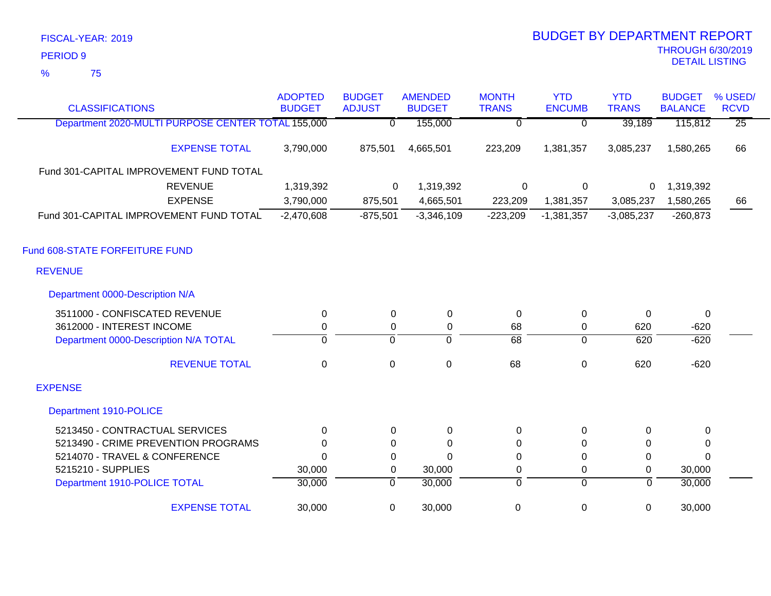75 %

| <b>CLASSIFICATIONS</b>                             | <b>ADOPTED</b><br><b>BUDGET</b> | <b>BUDGET</b><br><b>ADJUST</b> | <b>AMENDED</b><br><b>BUDGET</b> | <b>MONTH</b><br><b>TRANS</b> | <b>YTD</b><br><b>ENCUMB</b> | <b>YTD</b><br><b>TRANS</b> | <b>BUDGET</b><br><b>BALANCE</b> | % USED/<br><b>RCVD</b> |
|----------------------------------------------------|---------------------------------|--------------------------------|---------------------------------|------------------------------|-----------------------------|----------------------------|---------------------------------|------------------------|
| Department 2020-MULTI PURPOSE CENTER TOTAL 155,000 |                                 | $\Omega$                       | 155,000                         | $\overline{0}$               | $\overline{0}$              | 39,189                     | 115,812                         | $\overline{25}$        |
| <b>EXPENSE TOTAL</b>                               | 3,790,000                       | 875,501                        | 4,665,501                       | 223,209                      | 1,381,357                   | 3,085,237                  | 1,580,265                       | 66                     |
| Fund 301-CAPITAL IMPROVEMENT FUND TOTAL            |                                 |                                |                                 |                              |                             |                            |                                 |                        |
| <b>REVENUE</b>                                     | 1,319,392                       | 0                              | 1,319,392                       | $\mathsf 0$                  | $\overline{0}$              | 0                          | 1,319,392                       |                        |
| <b>EXPENSE</b>                                     | 3,790,000                       | 875,501                        | 4,665,501                       | 223,209                      | 1,381,357                   | 3,085,237                  | 1,580,265                       | 66                     |
| Fund 301-CAPITAL IMPROVEMENT FUND TOTAL            | $-2,470,608$                    | $-875,501$                     | $-3,346,109$                    | $-223,209$                   | $-1,381,357$                | $-3,085,237$               | $-260,873$                      |                        |
| Fund 608-STATE FORFEITURE FUND                     |                                 |                                |                                 |                              |                             |                            |                                 |                        |
| <b>REVENUE</b>                                     |                                 |                                |                                 |                              |                             |                            |                                 |                        |
| Department 0000-Description N/A                    |                                 |                                |                                 |                              |                             |                            |                                 |                        |
| 3511000 - CONFISCATED REVENUE                      | 0                               | 0                              | 0                               | 0                            | $\mathbf 0$                 | $\Omega$                   | 0                               |                        |
| 3612000 - INTEREST INCOME                          | $\pmb{0}$                       | $\mathbf 0$                    | $\boldsymbol{0}$                | 68                           | $\mathbf 0$                 | 620                        | $-620$                          |                        |
| Department 0000-Description N/A TOTAL              | $\overline{0}$                  | $\overline{0}$                 | $\overline{0}$                  | $\overline{68}$              | $\overline{0}$              | 620                        | $-620$                          |                        |
| <b>REVENUE TOTAL</b>                               | 0                               | 0                              | $\mathbf 0$                     | 68                           | $\pmb{0}$                   | 620                        | $-620$                          |                        |
| <b>EXPENSE</b>                                     |                                 |                                |                                 |                              |                             |                            |                                 |                        |
| Department 1910-POLICE                             |                                 |                                |                                 |                              |                             |                            |                                 |                        |
| 5213450 - CONTRACTUAL SERVICES                     | $\Omega$                        | $\Omega$                       | 0                               | 0                            | 0                           | $\Omega$                   | 0                               |                        |
| 5213490 - CRIME PREVENTION PROGRAMS                | $\Omega$                        | 0                              | 0                               | 0                            | $\mathbf{0}$                | 0                          | 0                               |                        |
| 5214070 - TRAVEL & CONFERENCE                      | $\Omega$                        | 0                              | $\overline{0}$                  | 0                            | $\pmb{0}$                   | 0                          | $\Omega$                        |                        |
| 5215210 - SUPPLIES                                 | 30,000                          | 0                              | 30,000                          | 0                            | 0                           | $\Omega$                   | 30,000                          |                        |
| Department 1910-POLICE TOTAL                       | 30,000                          | $\overline{0}$                 | 30,000                          | 0                            | $\overline{0}$              | $\mathbf 0$                | 30,000                          |                        |
| <b>EXPENSE TOTAL</b>                               | 30,000                          | $\mathbf 0$                    | 30,000                          | 0                            | 0                           | $\mathbf 0$                | 30,000                          |                        |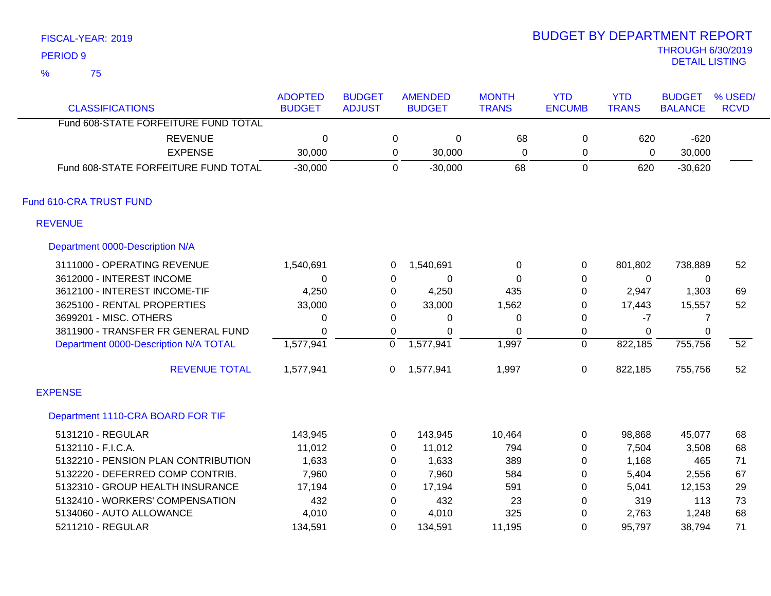75 %

| <b>CLASSIFICATIONS</b>                | <b>ADOPTED</b><br><b>BUDGET</b> | <b>BUDGET</b><br><b>ADJUST</b> |              | <b>AMENDED</b><br><b>BUDGET</b> | <b>MONTH</b><br><b>TRANS</b> | <b>YTD</b><br><b>ENCUMB</b> | <b>YTD</b><br><b>TRANS</b> | <b>BUDGET</b><br><b>BALANCE</b> | % USED/<br><b>RCVD</b> |
|---------------------------------------|---------------------------------|--------------------------------|--------------|---------------------------------|------------------------------|-----------------------------|----------------------------|---------------------------------|------------------------|
| Fund 608-STATE FORFEITURE FUND TOTAL  |                                 |                                |              |                                 |                              |                             |                            |                                 |                        |
| <b>REVENUE</b>                        | 0                               |                                | 0            | $\pmb{0}$                       | 68                           | 0                           | 620                        | $-620$                          |                        |
| <b>EXPENSE</b>                        | 30,000                          |                                | $\mathbf 0$  | 30,000                          | $\Omega$                     | 0                           | 0                          | 30,000                          |                        |
| Fund 608-STATE FORFEITURE FUND TOTAL  | $-30,000$                       |                                | 0            | $-30,000$                       | 68                           | $\mathbf 0$                 | 620                        | $-30,620$                       |                        |
| Fund 610-CRA TRUST FUND               |                                 |                                |              |                                 |                              |                             |                            |                                 |                        |
| <b>REVENUE</b>                        |                                 |                                |              |                                 |                              |                             |                            |                                 |                        |
| Department 0000-Description N/A       |                                 |                                |              |                                 |                              |                             |                            |                                 |                        |
| 3111000 - OPERATING REVENUE           | 1,540,691                       |                                | 0            | 1,540,691                       | 0                            | 0                           | 801,802                    | 738,889                         | 52                     |
| 3612000 - INTEREST INCOME             | 0                               |                                | 0            | 0                               | $\Omega$                     | 0                           | 0                          | 0                               |                        |
| 3612100 - INTEREST INCOME-TIF         | 4,250                           |                                | 0            | 4,250                           | 435                          | $\mathbf 0$                 | 2,947                      | 1,303                           | 69                     |
| 3625100 - RENTAL PROPERTIES           | 33,000                          |                                | $\mathbf{0}$ | 33,000                          | 1,562                        | 0                           | 17,443                     | 15,557                          | 52                     |
| 3699201 - MISC. OTHERS                | 0                               |                                | $\Omega$     | 0                               | 0                            | $\Omega$                    | $-7$                       |                                 |                        |
| 3811900 - TRANSFER FR GENERAL FUND    | $\Omega$                        |                                | 0            | 0                               | $\Omega$                     | $\boldsymbol{0}$            | $\Omega$                   | $\Omega$                        |                        |
| Department 0000-Description N/A TOTAL | 1,577,941                       |                                | 0            | 1,577,941                       | 1,997                        | $\mathbf 0$                 | 822,185                    | 755,756                         | $\overline{52}$        |
| <b>REVENUE TOTAL</b>                  | 1,577,941                       |                                | 0            | 1,577,941                       | 1,997                        | $\mathbf 0$                 | 822,185                    | 755,756                         | 52                     |
| <b>EXPENSE</b>                        |                                 |                                |              |                                 |                              |                             |                            |                                 |                        |
| Department 1110-CRA BOARD FOR TIF     |                                 |                                |              |                                 |                              |                             |                            |                                 |                        |
| 5131210 - REGULAR                     | 143,945                         |                                | 0            | 143,945                         | 10,464                       | 0                           | 98,868                     | 45,077                          | 68                     |
| 5132110 - F.I.C.A.                    | 11,012                          |                                | 0            | 11,012                          | 794                          | $\mathbf{0}$                | 7,504                      | 3,508                           | 68                     |
| 5132210 - PENSION PLAN CONTRIBUTION   | 1,633                           |                                | 0            | 1,633                           | 389                          | $\mathbf{0}$                | 1,168                      | 465                             | 71                     |
| 5132220 - DEFERRED COMP CONTRIB.      | 7,960                           |                                | 0            | 7,960                           | 584                          | 0                           | 5,404                      | 2,556                           | 67                     |
| 5132310 - GROUP HEALTH INSURANCE      | 17,194                          |                                | $\mathbf{0}$ | 17,194                          | 591                          | $\mathbf{0}$                | 5,041                      | 12,153                          | 29                     |
| 5132410 - WORKERS' COMPENSATION       | 432                             |                                | $\Omega$     | 432                             | 23                           | 0                           | 319                        | 113                             | 73                     |
| 5134060 - AUTO ALLOWANCE              | 4,010                           |                                | 0            | 4,010                           | 325                          | 0                           | 2,763                      | 1,248                           | 68                     |
| 5211210 - REGULAR                     | 134,591                         |                                | $\Omega$     | 134,591                         | 11,195                       | $\Omega$                    | 95,797                     | 38,794                          | 71                     |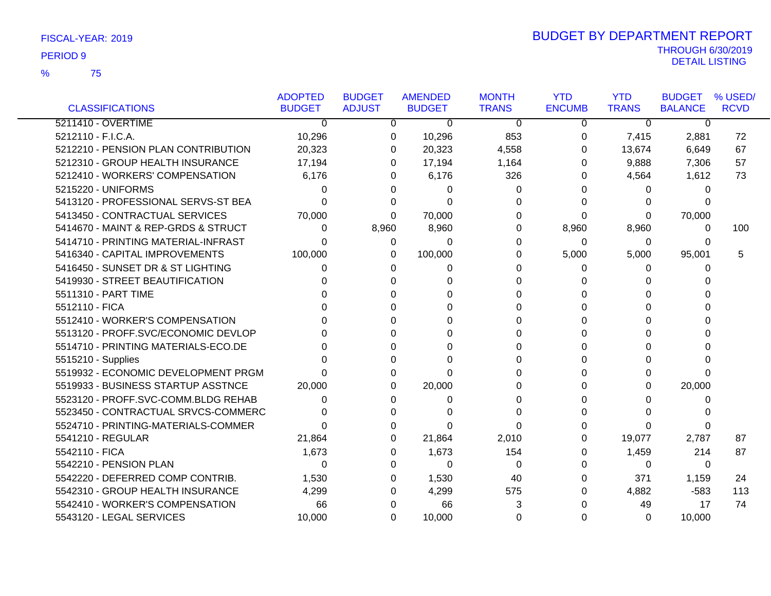|                                     | <b>ADOPTED</b> | <b>BUDGET</b> | <b>AMENDED</b> | <b>MONTH</b> | <b>YTD</b>    | <b>YTD</b>     | <b>BUDGET</b>  | % USED/     |
|-------------------------------------|----------------|---------------|----------------|--------------|---------------|----------------|----------------|-------------|
| <b>CLASSIFICATIONS</b>              | <b>BUDGET</b>  | <b>ADJUST</b> | <b>BUDGET</b>  | <b>TRANS</b> | <b>ENCUMB</b> | <b>TRANS</b>   | <b>BALANCE</b> | <b>RCVD</b> |
| 5211410 - OVERTIME                  | $\Omega$       | 0             | $\Omega$       | $\Omega$     | $\Omega$      | $\overline{0}$ | $\overline{0}$ |             |
| 5212110 - F.I.C.A.                  | 10,296         | 0             | 10,296         | 853          | 0             | 7,415          | 2,881          | 72          |
| 5212210 - PENSION PLAN CONTRIBUTION | 20,323         | 0             | 20,323         | 4,558        | $\Omega$      | 13,674         | 6,649          | 67          |
| 5212310 - GROUP HEALTH INSURANCE    | 17,194         | 0             | 17,194         | 1,164        | 0             | 9,888          | 7,306          | 57          |
| 5212410 - WORKERS' COMPENSATION     | 6,176          | 0             | 6,176          | 326          | 0             | 4,564          | 1,612          | 73          |
| 5215220 - UNIFORMS                  |                | 0             | 0              | 0            | 0             | 0              | 0              |             |
| 5413120 - PROFESSIONAL SERVS-ST BEA |                | 0             | O              | 0            | 0             | 0              |                |             |
| 5413450 - CONTRACTUAL SERVICES      | 70,000         | 0             | 70,000         | 0            | $\Omega$      | 0              | 70,000         |             |
| 5414670 - MAINT & REP-GRDS & STRUCT | 0              | 8,960         | 8,960          | 0            | 8,960         | 8,960          | 0              | 100         |
| 5414710 - PRINTING MATERIAL-INFRAST |                | 0             | 0              | 0            | 0             | 0              | 0              |             |
| 5416340 - CAPITAL IMPROVEMENTS      | 100,000        | 0             | 100,000        | 0            | 5,000         | 5,000          | 95,001         | 5           |
| 5416450 - SUNSET DR & ST LIGHTING   |                | 0             | $\Omega$       | 0            | $\Omega$      | 0              | 0              |             |
| 5419930 - STREET BEAUTIFICATION     |                | 0             |                | 0            |               |                |                |             |
| 5511310 - PART TIME                 |                | <sup>0</sup>  | O              |              | 0             | 0              |                |             |
| 5512110 - FICA                      |                | U             |                | 0            | 0             | U              |                |             |
| 5512410 - WORKER'S COMPENSATION     |                |               |                |              | 0             | 0              |                |             |
| 5513120 - PROFF.SVC/ECONOMIC DEVLOP |                | O             |                | 0            |               | 0              |                |             |
| 5514710 - PRINTING MATERIALS-ECO.DE |                |               | O              |              | 0             | 0              |                |             |
| 5515210 - Supplies                  |                | ∩             | U              |              | 0             | 0              | <sup>0</sup>   |             |
| 5519932 - ECONOMIC DEVELOPMENT PRGM |                | 0             | O              |              | 0             | 0              | 0              |             |
| 5519933 - BUSINESS STARTUP ASSTNCE  | 20,000         | 0             | 20,000         |              | 0             | 0              | 20,000         |             |
| 5523120 - PROFF.SVC-COMM.BLDG REHAB |                | 0             | 0              | 0            | 0             |                | 0              |             |
| 5523450 - CONTRACTUAL SRVCS-COMMERC |                | $\Omega$      |                |              | 0             |                |                |             |
| 5524710 - PRINTING-MATERIALS-COMMER |                | O             |                | 0            |               | 0              |                |             |
| 5541210 - REGULAR                   | 21,864         | 0             | 21,864         | 2,010        | 0             | 19,077         | 2,787          | 87          |
| 5542110 - FICA                      | 1,673          | 0             | 1,673          | 154          | 0             | 1,459          | 214            | 87          |
| 5542210 - PENSION PLAN              | 0              | 0             | $\Omega$       | 0            | 0             | 0              | $\Omega$       |             |
| 5542220 - DEFERRED COMP CONTRIB.    | 1,530          | 0             | 1,530          | 40           | 0             | 371            | 1,159          | 24          |
| 5542310 - GROUP HEALTH INSURANCE    | 4,299          | 0             | 4,299          | 575          | 0             | 4,882          | $-583$         | 113         |
| 5542410 - WORKER'S COMPENSATION     | 66             | 0             | 66             | 3            |               | 49             | 17             | 74          |
| 5543120 - LEGAL SERVICES            | 10,000         | 0             | 10,000         | 0            | 0             | 0              | 10,000         |             |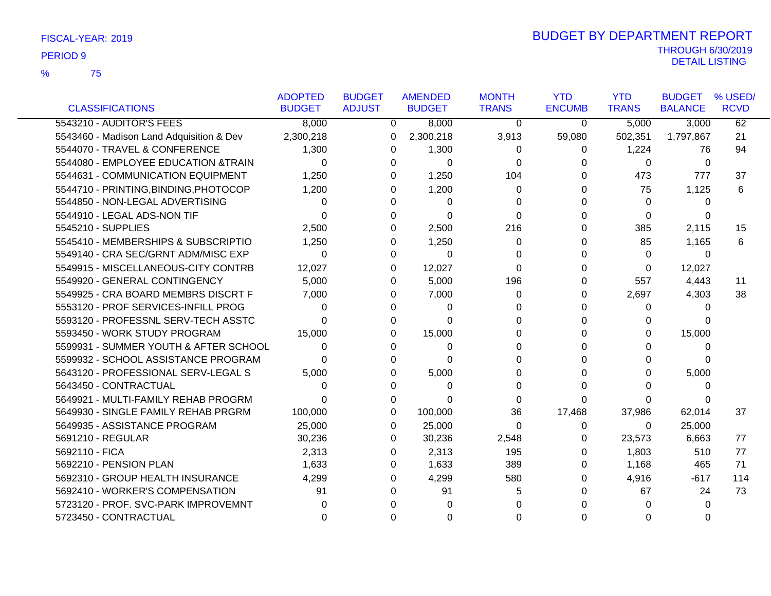|                                          | <b>ADOPTED</b> | <b>BUDGET</b> | <b>AMENDED</b> | <b>MONTH</b> | <b>YTD</b>    | <b>YTD</b>   | <b>BUDGET</b>  | % USED/     |
|------------------------------------------|----------------|---------------|----------------|--------------|---------------|--------------|----------------|-------------|
| <b>CLASSIFICATIONS</b>                   | <b>BUDGET</b>  | <b>ADJUST</b> | <b>BUDGET</b>  | <b>TRANS</b> | <b>ENCUMB</b> | <b>TRANS</b> | <b>BALANCE</b> | <b>RCVD</b> |
| 5543210 - AUDITOR'S FEES                 | 8,000          | 0             | 8,000          | 0            | 0             | 5,000        | 3,000          | 62          |
| 5543460 - Madison Land Adquisition & Dev | 2,300,218      | 0             | 2,300,218      | 3,913        | 59,080        | 502,351      | 1,797,867      | 21          |
| 5544070 - TRAVEL & CONFERENCE            | 1,300          | 0             | 1,300          | 0            | 0             | 1,224        | 76             | 94          |
| 5544080 - EMPLOYEE EDUCATION &TRAIN      | $\Omega$       | $\Omega$      | $\Omega$       | $\Omega$     |               | 0            | $\overline{0}$ |             |
| 5544631 - COMMUNICATION EQUIPMENT        | 1,250          | 0             | 1,250          | 104          | 0             | 473          | 777            | 37          |
| 5544710 - PRINTING, BINDING, PHOTOCOP    | 1,200          | 0             | 1,200          | 0            | 0             | 75           | 1,125          | 6           |
| 5544850 - NON-LEGAL ADVERTISING          | 0              | U             | 0              | 0            | 0             | $\Omega$     | 0              |             |
| 5544910 - LEGAL ADS-NON TIF              | 0              |               | 0              | $\Omega$     | 0             | 0            | 0              |             |
| 5545210 - SUPPLIES                       | 2,500          |               | 2,500          | 216          | 0             | 385          | 2,115          | 15          |
| 5545410 - MEMBERSHIPS & SUBSCRIPTIO      | 1,250          | O             | 1,250          | 0            | 0             | 85           | 1,165          | 6           |
| 5549140 - CRA SEC/GRNT ADM/MISC EXP      | $\Omega$       | $\Omega$      | $\Omega$       | $\Omega$     | 0             | $\Omega$     | $\Omega$       |             |
| 5549915 - MISCELLANEOUS-CITY CONTRB      | 12,027         | 0             | 12,027         | $\Omega$     | 0             | 0            | 12,027         |             |
| 5549920 - GENERAL CONTINGENCY            | 5,000          | 0             | 5,000          | 196          | 0             | 557          | 4,443          | 11          |
| 5549925 - CRA BOARD MEMBRS DISCRT F      | 7,000          | 0             | 7,000          | 0            | 0             | 2,697        | 4,303          | 38          |
| 5553120 - PROF SERVICES-INFILL PROG      | 0              | 0             | 0              | 0            | 0             | 0            | $\Omega$       |             |
| 5593120 - PROFESSNL SERV-TECH ASSTC      | 0              | 0             | 0              | 0            | 0             | 0            | ∩              |             |
| 5593450 - WORK STUDY PROGRAM             | 15,000         | 0             | 15,000         | 0            | 0             | 0            | 15,000         |             |
| 5599931 - SUMMER YOUTH & AFTER SCHOOL    | 0              | 0             | 0              |              | 0             | U            | 0              |             |
| 5599932 - SCHOOL ASSISTANCE PROGRAM      | U              | 0             | 0              | 0            | U             | O            | <sup>0</sup>   |             |
| 5643120 - PROFESSIONAL SERV-LEGAL S      | 5,000          | 0             | 5,000          | 0            | 0             | O            | 5,000          |             |
| 5643450 - CONTRACTUAL                    | 0              | 0             | 0              | 0            | 0             | 0            | 0              |             |
| 5649921 - MULTI-FAMILY REHAB PROGRM      | 0              | $\Omega$      | 0              | 0            | 0             | 0            | 0              |             |
| 5649930 - SINGLE FAMILY REHAB PRGRM      | 100,000        | 0             | 100,000        | 36           | 17,468        | 37,986       | 62,014         | 37          |
| 5649935 - ASSISTANCE PROGRAM             | 25,000         | 0             | 25,000         | $\Omega$     | $\Omega$      | 0            | 25,000         |             |
| 5691210 - REGULAR                        | 30,236         | 0             | 30,236         | 2,548        | 0             | 23,573       | 6,663          | 77          |
| 5692110 - FICA                           | 2,313          | 0             | 2,313          | 195          | 0             | 1,803        | 510            | 77          |
| 5692210 - PENSION PLAN                   | 1,633          | 0             | 1,633          | 389          | 0             | 1,168        | 465            | 71          |
| 5692310 - GROUP HEALTH INSURANCE         | 4,299          | 0             | 4,299          | 580          | 0             | 4,916        | $-617$         | 114         |
| 5692410 - WORKER'S COMPENSATION          | 91             | 0             | 91             | 5            | 0             | 67           | 24             | 73          |
| 5723120 - PROF. SVC-PARK IMPROVEMNT      |                |               |                |              |               | U            | 0              |             |
| 5723450 - CONTRACTUAL                    | 0              |               | 0              |              | 0             | O            |                |             |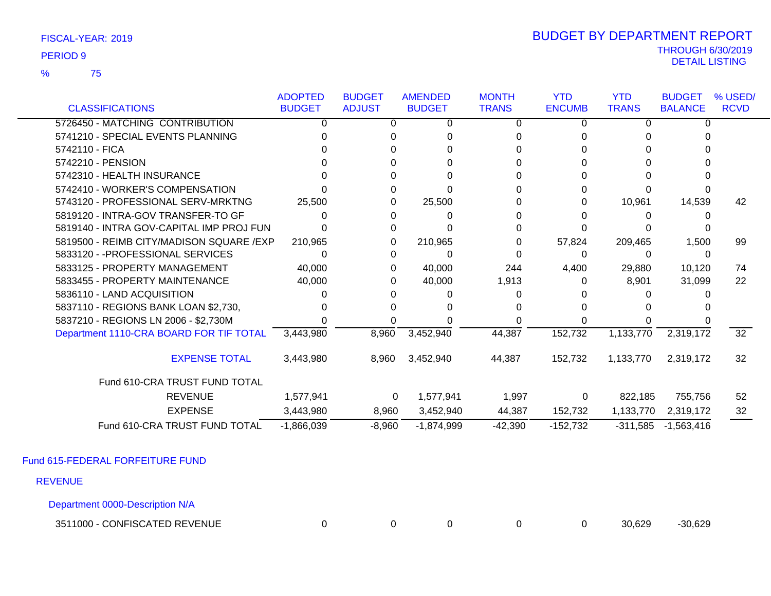75 %

### THROUGH 6/30/2019<br>DETAIL LISTING DETAIL LISTING PERIOD <sup>9</sup> BUDGET BY DEPARTMENT REPORT

|                                          | <b>ADOPTED</b> | <b>BUDGET</b> | <b>AMENDED</b> | <b>MONTH</b> | <b>YTD</b>    | <b>YTD</b>   | <b>BUDGET</b>  | % USED/         |
|------------------------------------------|----------------|---------------|----------------|--------------|---------------|--------------|----------------|-----------------|
| <b>CLASSIFICATIONS</b>                   | <b>BUDGET</b>  | <b>ADJUST</b> | <b>BUDGET</b>  | <b>TRANS</b> | <b>ENCUMB</b> | <b>TRANS</b> | <b>BALANCE</b> | <b>RCVD</b>     |
| 5726450 - MATCHING CONTRIBUTION          | 0              | 0             | 0              | 0            | 0             |              | $\Omega$       |                 |
| 5741210 - SPECIAL EVENTS PLANNING        |                |               |                |              |               |              |                |                 |
| 5742110 - FICA                           |                |               |                |              |               |              |                |                 |
| 5742210 - PENSION                        |                |               |                |              |               |              |                |                 |
| 5742310 - HEALTH INSURANCE               |                |               |                |              |               |              |                |                 |
| 5742410 - WORKER'S COMPENSATION          |                | 0             |                |              |               |              |                |                 |
| 5743120 - PROFESSIONAL SERV-MRKTNG       | 25,500         |               | 25,500         |              | 0             | 10,961       | 14,539         | 42              |
| 5819120 - INTRA-GOV TRANSFER-TO GF       |                |               | 0              |              |               |              |                |                 |
| 5819140 - INTRA GOV-CAPITAL IMP PROJ FUN |                | 0             |                |              |               |              |                |                 |
| 5819500 - REIMB CITY/MADISON SQUARE /EXP | 210,965        | 0             | 210,965        |              | 57,824        | 209,465      | 1,500          | 99              |
| 5833120 - - PROFESSIONAL SERVICES        |                | $\Omega$      | 0              |              | $\Omega$      | 0            | $\Omega$       |                 |
| 5833125 - PROPERTY MANAGEMENT            | 40,000         | 0             | 40,000         | 244          | 4,400         | 29,880       | 10,120         | 74              |
| 5833455 - PROPERTY MAINTENANCE           | 40,000         | O             | 40,000         | 1,913        | 0             | 8,901        | 31,099         | 22              |
| 5836110 - LAND ACQUISITION               |                |               |                |              |               |              |                |                 |
| 5837110 - REGIONS BANK LOAN \$2,730,     |                |               |                |              |               |              |                |                 |
| 5837210 - REGIONS LN 2006 - \$2,730M     |                |               |                |              |               |              |                |                 |
| Department 1110-CRA BOARD FOR TIF TOTAL  | 3,443,980      | 8,960         | 3,452,940      | 44,387       | 152,732       | 1,133,770    | 2,319,172      | $\overline{32}$ |
| <b>EXPENSE TOTAL</b>                     | 3,443,980      | 8,960         | 3,452,940      | 44,387       | 152,732       | 1,133,770    | 2,319,172      | 32              |
| Fund 610-CRA TRUST FUND TOTAL            |                |               |                |              |               |              |                |                 |
| <b>REVENUE</b>                           | 1,577,941      | $\mathbf{0}$  | 1,577,941      | 1,997        | 0             | 822,185      | 755,756        | 52              |
| <b>EXPENSE</b>                           | 3,443,980      | 8,960         | 3,452,940      | 44,387       | 152,732       | 1,133,770    | 2,319,172      | 32              |
| Fund 610-CRA TRUST FUND TOTAL            | $-1,866,039$   | $-8,960$      | $-1,874,999$   | $-42,390$    | $-152,732$    | $-311,585$   | $-1,563,416$   |                 |

Fund 615-FEDERAL FORFEITURE FUND

REVENUE

Department 0000-Description N/A

3511000 - CONFISCATED REVENUE 0 0 0 0 0 30,629 -30,629